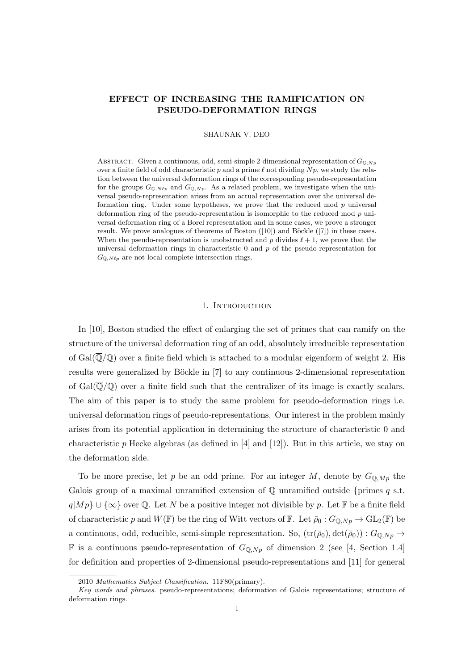### EFFECT OF INCREASING THE RAMIFICATION ON PSEUDO-DEFORMATION RINGS

SHAUNAK V. DEO

ABSTRACT. Given a continuous, odd, semi-simple 2-dimensional representation of  $G_{\mathbb{Q},Np}$ over a finite field of odd characteristic p and a prime  $\ell$  not dividing  $N p$ , we study the relation between the universal deformation rings of the corresponding pseudo-representation for the groups  $G_{\mathbb{Q},N\ell_p}$  and  $G_{\mathbb{Q},N_p}$ . As a related problem, we investigate when the universal pseudo-representation arises from an actual representation over the universal deformation ring. Under some hypotheses, we prove that the reduced mod  $p$  universal deformation ring of the pseudo-representation is isomorphic to the reduced mod p universal deformation ring of a Borel representation and in some cases, we prove a stronger result. We prove analogues of theorems of Boston  $([10])$  and Böckle  $([7])$  in these cases. When the pseudo-representation is unobstructed and p divides  $\ell + 1$ , we prove that the universal deformation rings in characteristic  $0$  and  $p$  of the pseudo-representation for  $G_{\mathbb{O},N\ell p}$  are not local complete intersection rings.

#### 1. INTRODUCTION

In [10], Boston studied the effect of enlarging the set of primes that can ramify on the structure of the universal deformation ring of an odd, absolutely irreducible representation of  $Gal(\overline{\mathbb{Q}}/\mathbb{Q})$  over a finite field which is attached to a modular eigenform of weight 2. His results were generalized by Böckle in [7] to any continuous 2-dimensional representation of  $Gal(\overline{\mathbb{Q}}/\mathbb{Q})$  over a finite field such that the centralizer of its image is exactly scalars. The aim of this paper is to study the same problem for pseudo-deformation rings i.e. universal deformation rings of pseudo-representations. Our interest in the problem mainly arises from its potential application in determining the structure of characteristic 0 and characteristic p Hecke algebras (as defined in  $[4]$  and  $[12]$ ). But in this article, we stay on the deformation side.

To be more precise, let p be an odd prime. For an integer M, denote by  $G_{\mathbb{O},Mp}$  the Galois group of a maximal unramified extension of  $\mathbb Q$  unramified outside {primes q s.t.  $q|M p\rangle \cup {\infty}$  over Q. Let N be a positive integer not divisible by p. Let F be a finite field of characteristic p and  $W(\mathbb{F})$  be the ring of Witt vectors of  $\mathbb{F}$ . Let  $\bar{\rho}_0: G_{\mathbb{Q},N_p} \to GL_2(\mathbb{F})$  be a continuous, odd, reducible, semi-simple representation. So,  $(tr(\bar{\rho}_0), det(\bar{\rho}_0)) : G_{\mathbb{Q},Np} \to$ **F** is a continuous pseudo-representation of  $G_{\mathbb{Q},Np}$  of dimension 2 (see [4, Section 1.4] for definition and properties of 2-dimensional pseudo-representations and [11] for general

<sup>2010</sup> Mathematics Subject Classification. 11F80(primary).

Key words and phrases. pseudo-representations; deformation of Galois representations; structure of deformation rings.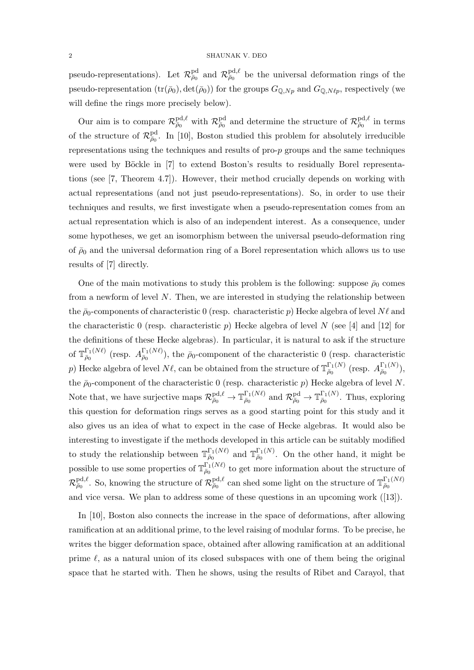pseudo-representations). Let  $\mathcal{R}^{pd}_{\bar{\rho}_0}$  and  $\mathcal{R}^{pd,\ell}_{\bar{\rho}_0}$  be the universal deformation rings of the pseudo-representation  $(tr(\bar{\rho}_0), det(\bar{\rho}_0))$  for the groups  $G_{\mathbb{Q},Np}$  and  $G_{\mathbb{Q},N\ell p}$ , respectively (we will define the rings more precisely below).

Our aim is to compare  $\mathcal{R}^{\text{pd},\ell}_{\bar{\rho}_0}$  with  $\mathcal{R}^{\text{pd}}_{\bar{\rho}_0}$  and determine the structure of  $\mathcal{R}^{\text{pd},\ell}_{\bar{\rho}_0}$  in terms of the structure of  $\mathcal{R}^{\text{pd}}_{\bar{\rho}_0}$ . In [10], Boston studied this problem for absolutely irreducible representations using the techniques and results of  $pro-p$  groups and the same techniques were used by Böckle in [7] to extend Boston's results to residually Borel representations (see [7, Theorem 4.7]). However, their method crucially depends on working with actual representations (and not just pseudo-representations). So, in order to use their techniques and results, we first investigate when a pseudo-representation comes from an actual representation which is also of an independent interest. As a consequence, under some hypotheses, we get an isomorphism between the universal pseudo-deformation ring of  $\bar{\rho}_0$  and the universal deformation ring of a Borel representation which allows us to use results of [7] directly.

One of the main motivations to study this problem is the following: suppose  $\bar{\rho}_0$  comes from a newform of level N. Then, we are interested in studying the relationship between the  $\bar{\rho}_0$ -components of characteristic 0 (resp. characteristic p) Hecke algebra of level  $N\ell$  and the characteristic 0 (resp. characteristic p) Hecke algebra of level N (see [4] and [12] for the definitions of these Hecke algebras). In particular, it is natural to ask if the structure of  $\mathbb{T}_{\bar{\rho}_0}^{\Gamma_1(N\ell)}$  $\frac{\Gamma_1(N\ell)}{\bar{\rho}_0}$  (resp.  $A_{\bar{\rho}_0}^{\Gamma_1(N\ell)}$  $\bar{\rho}_0$ <sup>1</sup><sub>1</sub>(*Nt*)</sup>), the  $\bar{\rho}_0$ -component of the characteristic 0 (resp. characteristic p) Hecke algebra of level  $N\ell$ , can be obtained from the structure of  $\mathbb{T}_{\bar{p}_0}^{\Gamma_1(N)}$  $_{\bar\rho_0}^{\Gamma_1(N)}$  (resp.  $A^{\Gamma_1(N)}_{\bar\rho_0}$  $\frac{1}{\bar{\rho}_0}^{1(N)}\big),$ the  $\bar{p}_0$ -component of the characteristic 0 (resp. characteristic p) Hecke algebra of level N. Note that, we have surjective maps  $\mathcal{R}^{\text{pd},\ell}_{\bar{\rho}_0} \to \mathbb{T}^{\Gamma_1(N\ell)}_{\bar{\rho}_0}$  $\frac{\Gamma_1(N\ell)}{\bar{\rho}_0}$  and  $\mathcal{R}^{\text{pd}}_{\bar{\rho}_0} \to \mathbb{T}^{\Gamma_1(N)}_{\bar{\rho}_0}$  $\bar{\rho}_0^{\text{I}_1(N)}$ . Thus, exploring this question for deformation rings serves as a good starting point for this study and it also gives us an idea of what to expect in the case of Hecke algebras. It would also be interesting to investigate if the methods developed in this article can be suitably modified to study the relationship between  $\mathbb{T}_{\bar{\rho}_0}^{\Gamma_1(N\ell)}$  $\frac{\Gamma_1(N\ell)}{\bar{\rho}_0}$  and  $\mathbb{T}_{\bar{\rho}_0}^{\Gamma_1(N)}$  $\bar{\rho}_0^{\text{I}_1(N)}$ . On the other hand, it might be possible to use some properties of  $\mathbb{T}_{\bar{p}_0}^{\Gamma_1(N\ell)}$  $\bar{\rho}_0^{1,(N\ell)}$  to get more information about the structure of  $\mathcal{R}^{\text{pd},\ell}_{\bar{\rho}_0}$ . So, knowing the structure of  $\mathcal{R}^{\text{pd},\ell}_{\bar{\rho}_0}$  can shed some light on the structure of  $\mathbb{T}^{\Gamma_1(N\ell)}_{\bar{\rho}_0}$  $\bar{\rho}_0$ and vice versa. We plan to address some of these questions in an upcoming work ([13]).

In [10], Boston also connects the increase in the space of deformations, after allowing ramification at an additional prime, to the level raising of modular forms. To be precise, he writes the bigger deformation space, obtained after allowing ramification at an additional prime  $\ell$ , as a natural union of its closed subspaces with one of them being the original space that he started with. Then he shows, using the results of Ribet and Carayol, that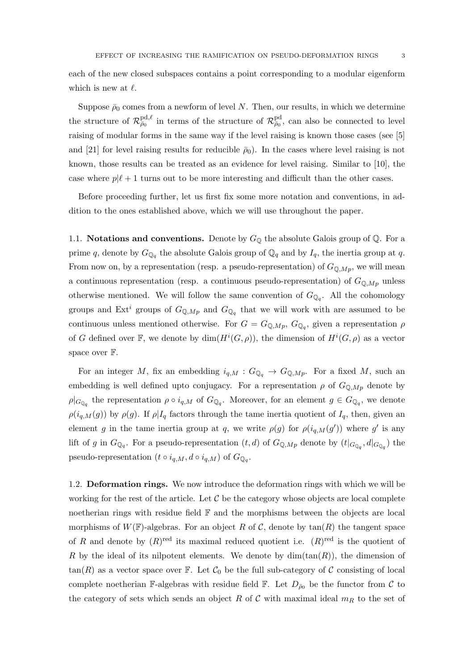each of the new closed subspaces contains a point corresponding to a modular eigenform which is new at  $\ell$ .

Suppose  $\bar{\rho}_0$  comes from a newform of level N. Then, our results, in which we determine the structure of  $\mathcal{R}^{pd,\ell}_{\bar{\rho}_0}$  in terms of the structure of  $\mathcal{R}^{pd}_{\bar{\rho}_0}$ , can also be connected to level raising of modular forms in the same way if the level raising is known those cases (see [5] and [21] for level raising results for reducible  $\bar{\rho}_0$ ). In the cases where level raising is not known, those results can be treated as an evidence for level raising. Similar to [10], the case where  $p|\ell + 1$  turns out to be more interesting and difficult than the other cases.

Before proceeding further, let us first fix some more notation and conventions, in addition to the ones established above, which we will use throughout the paper.

1.1. Notations and conventions. Denote by  $G_{\mathbb{Q}}$  the absolute Galois group of  $\mathbb{Q}$ . For a prime q, denote by  $G_{\mathbb{Q}_q}$  the absolute Galois group of  $\mathbb{Q}_q$  and by  $I_q$ , the inertia group at q. From now on, by a representation (resp. a pseudo-representation) of  $G_{\mathbb{Q},Mp}$ , we will mean a continuous representation (resp. a continuous pseudo-representation) of  $G_{\mathbb{Q},Mp}$  unless otherwise mentioned. We will follow the same convention of  $G_{\mathbb{Q}_q}$ . All the cohomology groups and Ext<sup>i</sup> groups of  $G_{\mathbb{Q},Mp}$  and  $G_{\mathbb{Q}_q}$  that we will work with are assumed to be continuous unless mentioned otherwise. For  $G = G_{\mathbb{Q},Mp}$ ,  $G_{\mathbb{Q}_q}$ , given a representation  $\rho$ of G defined over F, we denote by  $\dim(H^{i}(G,\rho))$ , the dimension of  $H^{i}(G,\rho)$  as a vector space over  $\mathbb{F}$ .

For an integer M, fix an embedding  $i_{q,M}: G_{\mathbb{Q}_q} \to G_{\mathbb{Q},Mp}$ . For a fixed M, such an embedding is well defined upto conjugacy. For a representation  $\rho$  of  $G_{\mathbb{Q},Mp}$  denote by  $\rho|_{G_{\mathbb{Q}_q}}$  the representation  $\rho \circ i_{q,M}$  of  $G_{\mathbb{Q}_q}$ . Moreover, for an element  $g \in G_{\mathbb{Q}_q}$ , we denote  $\rho(i_{q,M}(g))$  by  $\rho(g)$ . If  $\rho|I_q$  factors through the tame inertia quotient of  $I_q$ , then, given an element g in the tame inertia group at q, we write  $\rho(g)$  for  $\rho(i_{q,M}(g'))$  where g' is any lift of g in  $G_{\mathbb{Q}_q}$ . For a pseudo-representation  $(t, d)$  of  $G_{\mathbb{Q},Mp}$  denote by  $(t|_{G_{\mathbb{Q}_q}}, d|_{G_{\mathbb{Q}_q}})$  the pseudo-representation  $(t \circ i_{q,M}, d \circ i_{q,M})$  of  $G_{\mathbb{Q}_q}$ .

1.2. Deformation rings. We now introduce the deformation rings with which we will be working for the rest of the article. Let  $\mathcal C$  be the category whose objects are local complete noetherian rings with residue field F and the morphisms between the objects are local morphisms of  $W(\mathbb{F})$ -algebras. For an object R of C, denote by  $tan(R)$  the tangent space of R and denote by  $(R)$ <sup>red</sup> its maximal reduced quotient i.e.  $(R)$ <sup>red</sup> is the quotient of R by the ideal of its nilpotent elements. We denote by  $\dim(\tan(R))$ , the dimension of  $tan(R)$  as a vector space over F. Let  $C_0$  be the full sub-category of C consisting of local complete noetherian F-algebras with residue field F. Let  $D_{\bar{\rho}_0}$  be the functor from C to the category of sets which sends an object R of C with maximal ideal  $m_R$  to the set of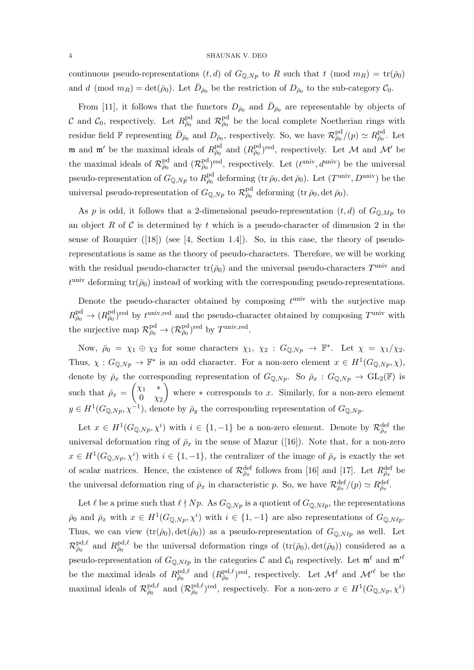continuous pseudo-representations  $(t, d)$  of  $G_{\mathbb{Q},Np}$  to R such that  $t \pmod{m_R} = \text{tr}(\bar{\rho}_0)$ and d (mod  $m_R$ ) = det( $\bar{\rho}_0$ ). Let  $\bar{D}_{\bar{\rho}_0}$  be the restriction of  $D_{\bar{\rho}_0}$  to the sub-category  $\mathcal{C}_0$ .

From [11], it follows that the functors  $D_{\bar{\rho}_0}$  and  $\bar{D}_{\bar{\rho}_0}$  are representable by objects of C and  $C_0$ , respectively. Let  $R_{\bar{\rho}_0}^{\text{pd}}$  and  $\mathcal{R}_{\bar{\rho}_0}^{\text{pd}}$  be the local complete Noetherian rings with residue field  $\mathbb F$  representing  $\bar{D}_{\bar{\rho}_0}$  and  $D_{\bar{\rho}_0}$ , respectively. So, we have  $\mathcal{R}^{\text{pd}}_{\bar{\rho}_0}/(p) \simeq R^{\text{pd}}_{\bar{\rho}_0}$ . Let m and m' be the maximal ideals of  $R_{\bar{\rho}_0}^{\text{pd}}$  and  $(R_{\bar{\rho}_0}^{\text{pd}})^{\text{red}}$ , respectively. Let M and M' be the maximal ideals of  $\mathcal{R}^{\text{pd}}_{\bar{\rho}_0}$  and  $(\mathcal{R}^{\text{pd}}_{\bar{\rho}_0})^{\text{red}}$ , respectively. Let  $(t^{\text{univ}}, d^{\text{univ}})$  be the universal pseudo-representation of  $G_{\mathbb{Q},Np}$  to  $R^{\text{pd}}_{\bar{\rho}_0}$  deforming  $(\text{tr } \bar{\rho}_0, \det \bar{\rho}_0)$ . Let  $(T^{\text{univ}}, D^{\text{univ}})$  be the universal pseudo-representation of  $G_{\mathbb{Q},Np}$  to  $\mathcal{R}^{\text{pd}}_{\bar{\rho}_0}$  deforming  $(\text{tr } \bar{\rho}_0, \det \bar{\rho}_0)$ .

As p is odd, it follows that a 2-dimensional pseudo-representation  $(t, d)$  of  $G_{\mathbb{Q},Mp}$  to an object R of C is determined by t which is a pseudo-character of dimension 2 in the sense of Rouquier  $([18])$  (see [4, Section 1.4]). So, in this case, the theory of pseudorepresentations is same as the theory of pseudo-characters. Therefore, we will be working with the residual pseudo-character  $\text{tr}(\bar{\rho}_0)$  and the universal pseudo-characters  $T^{\text{univ}}$  and  $t^{\text{univ}}$  deforming  $\text{tr}(\bar{\rho}_0)$  instead of working with the corresponding pseudo-representations.

Denote the pseudo-character obtained by composing  $t^{\text{univ}}$  with the surjective map  $R^{\text{pd}}_{\bar{\rho}_0} \to (R^{\text{pd}}_{\bar{\rho}_0})^{\text{red}}$  by  $t^{\text{univ,red}}$  and the pseudo-character obtained by composing  $T^{\text{univ}}$  with the surjective map  $\mathcal{R}^{\text{pd}}_{\bar{\rho}_0} \to (\mathcal{R}^{\text{pd}}_{\bar{\rho}_0})^{\text{red}}$  by  $T^{\text{univ,red}}$ .

Now,  $\bar{\rho}_0 = \chi_1 \oplus \chi_2$  for some characters  $\chi_1, \chi_2 : G_{\mathbb{Q},Np} \to \mathbb{F}^*$ . Let  $\chi = \chi_1/\chi_2$ . Thus,  $\chi: G_{\mathbb{Q},Np} \to \mathbb{F}^*$  is an odd character. For a non-zero element  $x \in H^1(G_{\mathbb{Q},Np}, \chi)$ , denote by  $\bar{\rho}_x$  the corresponding representation of  $G_{\mathbb{Q},Np}$ . So  $\bar{\rho}_x : G_{\mathbb{Q},Np} \to GL_2(\mathbb{F})$  is such that  $\bar{\rho}_x = \begin{pmatrix} \chi_1 & * \\ 0 & \chi_2 \end{pmatrix}$  $0 \chi_2$ where  $*$  corresponds to x. Similarly, for a non-zero element  $y \in H^1(G_{\mathbb{Q},N_p}, \chi^{-1}),$  denote by  $\bar{\rho}_y$  the corresponding representation of  $G_{\mathbb{Q},N_p}$ .

Let  $x \in H^1(G_{\mathbb{Q},N_p},\chi^i)$  with  $i \in \{1,-1\}$  be a non-zero element. Denote by  $\mathcal{R}_{\bar{\rho}_x}^{\text{def}}$  the universal deformation ring of  $\bar{\rho}_x$  in the sense of Mazur ([16]). Note that, for a non-zero  $x \in H^1(G_{\mathbb{Q},N_p},\chi^i)$  with  $i \in \{1,-1\}$ , the centralizer of the image of  $\bar{\rho}_x$  is exactly the set of scalar matrices. Hence, the existence of  $\mathcal{R}^{\text{def}}_{\bar{\rho}_x}$  follows from [16] and [17]. Let  $R^{\text{def}}_{\bar{\rho}_x}$  be the universal deformation ring of  $\bar{\rho}_x$  in characteristic p. So, we have  $\mathcal{R}^{\text{def}}_{\bar{\rho}_x}/(p) \simeq R^{\text{def}}_{\bar{\rho}_x}$ .

Let  $\ell$  be a prime such that  $\ell \nmid Np$ . As  $G_{\mathbb{Q},Np}$  is a quotient of  $G_{\mathbb{Q},N\ell p}$ , the representations  $\bar{\rho}_0$  and  $\bar{\rho}_x$  with  $x \in H^1(G_{\mathbb{Q},Np},\chi^i)$  with  $i \in \{1,-1\}$  are also representations of  $G_{\mathbb{Q},N\ell p}$ . Thus, we can view  $(tr(\bar{\rho}_0), det(\bar{\rho}_0))$  as a pseudo-representation of  $G_{\mathbb{Q},N\ell_p}$  as well. Let  $\mathcal{R}^{\text{pd},\ell}_{\bar{\rho}_0}$  and  $R^{\text{pd},\ell}_{\bar{\rho}_0}$  be the universal deformation rings of  $(\text{tr}(\bar{\rho}_0), \text{det}(\bar{\rho}_0))$  considered as a pseudo-representation of  $G_{\mathbb{Q},N\ell p}$  in the categories  $\mathcal C$  and  $\mathcal C_0$  respectively. Let  $\mathfrak{m}^\ell$  and  $\mathfrak{m'}^\ell$ be the maximal ideals of  $R_{\bar{\rho}_0}^{\text{pd},\ell}$  and  $(R_{\bar{\rho}_0}^{\text{pd},\ell})^{\text{red}}$ , respectively. Let  $\mathcal{M}^{\ell}$  and  $\mathcal{M'}^{\ell}$  be the maximal ideals of  $\mathcal{R}^{\text{pd},\ell}_{\bar{\rho}_0}$  and  $(\mathcal{R}^{\text{pd},\ell}_{\bar{\rho}_0})^{\text{red}}$ , respectively. For a non-zero  $x \in H^1(G_{\mathbb{Q},N_p},\chi^i)$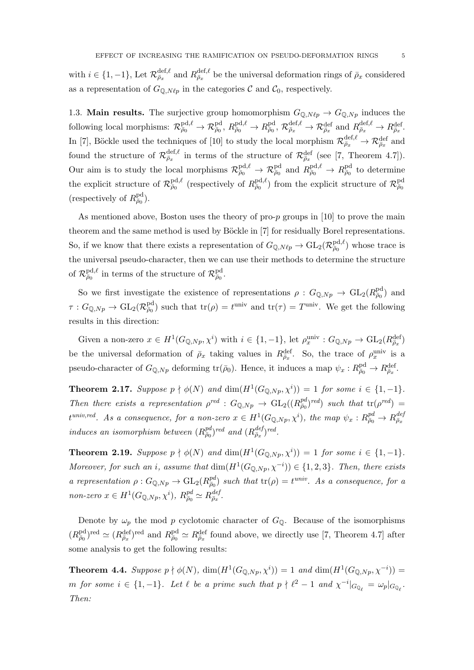with  $i \in \{1, -1\}$ , Let  $\mathcal{R}_{\bar{\rho}_x}^{\text{def},\ell}$  and  $R_{\bar{\rho}_x}^{\text{def},\ell}$  be the universal deformation rings of  $\bar{\rho}_x$  considered as a representation of  $G_{\mathbb{Q},N\ell p}$  in the categories C and  $\mathcal{C}_0$ , respectively.

1.3. Main results. The surjective group homomorphism  $G_{\mathbb{Q},N\ell p} \to G_{\mathbb{Q},N p}$  induces the  $\text{following local morphisms: } \mathcal{R}_{\bar{\rho}_0}^{\text{pd},\ell} \to \mathcal{R}_{\bar{\rho}_0}^{\text{pd},\ell}, R_{\bar{\rho}_0}^{\text{pd},\ell} \to R_{\bar{\rho}_0}^{\text{bd}}, \mathcal{R}_{\bar{\rho}_x}^{\text{def},\ell} \to \mathcal{R}_{\bar{\rho}_x}^{\text{def},\ell} \to R_{\bar{\rho}_x}^{\text{def},\ell} \to R_{\bar{\rho}_x}^{\text{def},\ell}.$ In [7], Böckle used the techniques of [10] to study the local morphism  $\mathcal{R}^{\text{def},\ell}_{\bar{\rho}_x} \to \mathcal{R}^{\text{def}}_{\bar{\rho}_x}$  and found the structure of  $\mathcal{R}_{\bar{\rho}_x}^{\text{def},\ell}$  in terms of the structure of  $\mathcal{R}_{\bar{\rho}_x}^{\text{def}}$  (see [7, Theorem 4.7]). Our aim is to study the local morphisms  $\mathcal{R}^{\text{pd},\ell}_{\bar{\rho}_0} \to \mathcal{R}^{\text{pd}}_{\bar{\rho}_0}$  and  $R^{\text{pd},\ell}_{\bar{\rho}_0} \to R^{\text{pd}}_{\bar{\rho}_0}$  to determine the explicit structure of  $\mathcal{R}^{\text{pd},\ell}_{\bar{\rho}_0}$  (respectively of  $R^{\text{pd},\ell}_{\bar{\rho}_0}$ ) from the explicit structure of  $\mathcal{R}^{\text{pd}}_{\bar{\rho}_0}$ (respectively of  $R^{\text{pd}}_{\bar{\rho}_0}$ ).

As mentioned above, Boston uses the theory of pro- $p$  groups in [10] to prove the main theorem and the same method is used by Böckle in [7] for residually Borel representations. So, if we know that there exists a representation of  $G_{\mathbb{Q},N\ell p} \to GL_2(\mathcal{R}_{\bar{\rho}_0}^{\text{pd},\ell})$  whose trace is the universal pseudo-character, then we can use their methods to determine the structure of  $\mathcal{R}^{\text{pd},\ell}_{\bar{\rho}_0}$  in terms of the structure of  $\mathcal{R}^{\text{pd}}_{\bar{\rho}_0}$ .

So we first investigate the existence of representations  $\rho: G_{\mathbb{Q},Np} \to GL_2(R_{\bar{p}_0}^{\text{pd}})$  and  $\tau: G_{\mathbb{Q},Np} \to GL_2(\mathcal{R}_{\bar{p}_0}^{\text{pd}})$  such that  $\text{tr}(\rho) = t^{\text{univ}}$  and  $\text{tr}(\tau) = T^{\text{univ}}$ . We get the following results in this direction:

Given a non-zero  $x \in H^1(G_{\mathbb{Q},N_p},\chi^i)$  with  $i \in \{1,-1\}$ , let  $\rho_x^{\text{univ}} : G_{\mathbb{Q},N_p} \to \text{GL}_2(R_{\bar{\rho}_x}^{\text{def}})$ be the universal deformation of  $\bar{\rho}_x$  taking values in  $R_{\bar{\rho}_x}^{\text{def}}$ . So, the trace of  $\rho_x^{\text{univ}}$  is a pseudo-character of  $G_{\mathbb{Q},Np}$  deforming  $\text{tr}(\bar{\rho}_0)$ . Hence, it induces a map  $\psi_x: R^{\text{pd}}_{\bar{\rho}_0} \to R^{\text{def}}_{\bar{\rho}_x}$ .

**Theorem 2.17.** Suppose  $p \nmid \phi(N)$  and  $\dim(H^1(G_{\mathbb{Q},Np},\chi^i)) = 1$  for some  $i \in \{1,-1\}$ . Then there exists a representation  $\rho^{red}$  :  $G_{\mathbb{Q},Np} \to GL_2((R_{\overline{\rho}_0}^{pd})^{red})$  such that  $tr(\rho^{red}) =$  $t^{univ,red}$ . As a consequence, for a non-zero  $x \in H^1(G_{\mathbb{Q},Np},\chi^i)$ , the map  $\psi_x: R^{pd}_{\bar{\rho}_0} \to R^{dej}_{\bar{\rho}_x}$ induces an isomorphism between  $(R_{\bar{\rho}_0}^{pd})^{red}$  and  $(R_{\bar{\rho}_x}^{def})^{red}$ .

**Theorem 2.19.** Suppose  $p \nmid \phi(N)$  and  $\dim(H^1(G_{\mathbb{Q},Np},\chi^i)) = 1$  for some  $i \in \{1,-1\}$ . Moreover, for such an i, assume that  $\dim(H^1(G_{\mathbb{Q},Np},\chi^{-i})) \in \{1,2,3\}$ . Then, there exists a representation  $\rho: G_{\mathbb{Q},Np} \to GL_2(R_{\bar{\rho}_0}^{pd})$  such that  $tr(\rho) = t^{univ}$ . As a consequence, for a non-zero  $x \in H^1(G_{\mathbb{Q},Np}, \chi^i)$ ,  $R_{\bar{\rho}_0}^{pd} \simeq R_{\bar{\rho}_x}^{def}$ .

Denote by  $\omega_p$  the mod p cyclotomic character of  $G_{\mathbb{Q}}$ . Because of the isomorphisms  $(R_{\bar{\rho}_0}^{\text{pd}})^{\text{red}} \simeq (R_{\bar{\rho}_x}^{\text{def}})^{\text{red}}$  and  $R_{\bar{\rho}_0}^{\text{pd}} \simeq R_{\bar{\rho}_x}^{\text{def}}$  found above, we directly use [7, Theorem 4.7] after some analysis to get the following results:

**Theorem 4.4.** Suppose  $p \nmid \phi(N)$ ,  $\dim(H^1(G_{\mathbb{Q},Np}, \chi^i)) = 1$  and  $\dim(H^1(G_{\mathbb{Q},Np}, \chi^{-i})) =$ m for some  $i \in \{1, -1\}$ . Let  $\ell$  be a prime such that  $p \nmid \ell^2 - 1$  and  $\chi^{-i}|_{G_{\mathbb{Q}_\ell}} = \omega_p|_{G_{\mathbb{Q}_\ell}}$ . Then: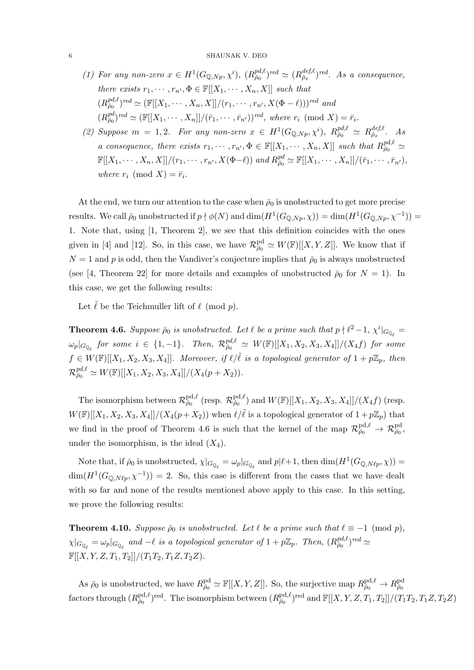#### 6 SHAUNAK V. DEO

- (1) For any non-zero  $x \in H^1(G_{\mathbb{Q},Np},\chi^i)$ ,  $(R_{\bar{\rho}_0}^{pd,\ell})^{red} \simeq (R_{\bar{\rho}_x}^{def,\ell})^{red}$ . As a consequence, there exists  $r_1, \dots, r_{n'}$ ,  $\Phi \in \mathbb{F}[[X_1, \dots, X_n, X]]$  such that  $(R_{\overline{\rho}_0}^{pd,\ell})^{red} \simeq (\mathbb{F}[[X_1,\cdots,X_n,X]]/(r_1,\cdots,r_{n'},X(\Phi-\ell)))^{red}$  and  $(R^{pd}_{\bar{\rho}_0})^{red} \simeq (\mathbb{F}[[X_1, \cdots, X_n]]/(\bar{r}_1, \cdots, \bar{r}_{n'}))^{red}$ , where  $r_i \pmod{X} = \bar{r}_i$ .
- (2) Suppose  $m = 1, 2$ . For any non-zero  $x \in H^1(G_{\mathbb{Q},Np}, \chi^i)$ ,  $R_{\bar{\rho}_0}^{pd,\ell} \simeq R_{\bar{\rho}_x}^{def,\ell}$ . As a consequence, there exists  $r_1, \dots, r_{n'} \Phi \in \mathbb{F}[[X_1, \dots, X_n, X]]$  such that  $R_{\bar{p}_0}^{pd, \ell} \simeq$  $\mathbb{F}[[X_1, \cdots, X_n, X]]/(r_1, \cdots, r_{n'}, X(\Phi-\ell))$  and  $R_{\bar{\rho}_0}^{pd} \simeq \mathbb{F}[[X_1, \cdots, X_n]]/(\bar{r}_1, \cdots, \bar{r}_{n'}),$ where  $r_i \pmod{X} = \overline{r_i}$ .

At the end, we turn our attention to the case when  $\bar{\rho}_0$  is unobstructed to get more precise results. We call  $\bar{\rho}_0$  unobstructed if  $p \nmid \phi(N)$  and  $\dim(H^1(G_{\mathbb{Q},Np},\chi)) = \dim(H^1(G_{\mathbb{Q},Np},\chi^{-1})) =$ 1. Note that, using [1, Theorem 2], we see that this definition coincides with the ones given in [4] and [12]. So, in this case, we have  $\mathcal{R}^{\text{pd}}_{\bar{\rho}_0} \simeq W(\mathbb{F})[[X, Y, Z]]$ . We know that if  $N = 1$  and p is odd, then the Vandiver's conjecture implies that  $\bar{p}_0$  is always unobstructed (see [4, Theorem 22] for more details and examples of unobstructed  $\bar{\rho}_0$  for  $N = 1$ ). In this case, we get the following results:

Let  $\tilde{\ell}$  be the Teichmuller lift of  $\ell \pmod{p}$ .

**Theorem 4.6.** Suppose  $\bar{\rho}_0$  is unobstructed. Let  $\ell$  be a prime such that  $p \nmid \ell^2 - 1$ ,  $\chi^i |_{G_{\mathbb{Q}_{\ell}}} =$  $\omega_p|_{G_{\mathbb{Q}_{\ell}}}$  for some  $i\ \in\ \{1,-1\}.$  Then,  $\mathcal{R}_{\bar{\rho}_0}^{pd,\ell}\ \simeq\ W(\mathbb{F})[[X_1,X_2,X_3,X_4]]/(X_4f)$  for some  $f \in W(\mathbb{F})[[X_1, X_2, X_3, X_4]]$ . Moreover, if  $\ell/\tilde{\ell}$  is a topological generator of  $1 + p\mathbb{Z}_p$ , then  $\mathcal{R}_{\bar{\rho}_0}^{\mathit{pd},\ell} \simeq W(\mathbb{F})[[X_1,X_2,X_3,X_4]]/(X_4(p+X_2)).$ 

The isomorphism between  $\mathcal{R}^{\text{pd},\ell}_{\bar{\rho}_0}$  (resp.  $\mathcal{R}^{\text{pd},\ell}_{\bar{\rho}_0}$ ) and  $W(\mathbb{F})[[X_1,X_2,X_3,X_4]]/(X_4f)$  (resp.  $W(\mathbb{F})[[X_1, X_2, X_3, X_4]]/(X_4(p+X_2))$  when  $\ell/\tilde{\ell}$  is a topological generator of  $1 + p\mathbb{Z}_p$  that we find in the proof of Theorem 4.6 is such that the kernel of the map  $\mathcal{R}^{\text{pd},\ell}_{\bar{\rho}_0} \to \mathcal{R}^{\text{pd}}_{\bar{\rho}_0}$ under the isomorphism, is the ideal  $(X_4)$ .

Note that, if  $\bar{\rho}_0$  is unobstructed,  $\chi|_{G_{\mathbb{Q}_\ell}} = \omega_p|_{G_{\mathbb{Q}_\ell}}$  and  $p|\ell+1$ , then  $\dim(H^1(G_{\mathbb{Q},N\ell p}, \chi)) =$  $\dim(H^1(G_{\mathbb{Q},N\ell p},\chi^{-1})) = 2$ . So, this case is different from the cases that we have dealt with so far and none of the results mentioned above apply to this case. In this setting, we prove the following results:

**Theorem 4.10.** Suppose  $\bar{\rho}_0$  is unobstructed. Let  $\ell$  be a prime such that  $\ell \equiv -1 \pmod{p}$ ,  $\chi|_{G_{\mathbb{Q}_\ell}} = \omega_p|_{G_{\mathbb{Q}_\ell}}$  and  $-\ell$  is a topological generator of  $1 + p\mathbb{Z}_p$ . Then,  $(R_{\bar{\rho}_0}^{pd,\ell})^{red} \simeq$  $\mathbb{F}[[X, Y, Z, T_1, T_2]]/(T_1T_2, T_1Z, T_2Z).$ 

As  $\bar{\rho}_0$  is unobstructed, we have  $R^{\text{pd}}_{\bar{\rho}_0} \simeq \mathbb{F}[[X, Y, Z]].$  So, the surjective map  $R^{\text{pd}, \ell}_{\bar{\rho}_0} \to R^{\text{pd}}_{\bar{\rho}_0}$ factors through  $(R_{\bar{p}_0}^{\text{pd}, \ell})^{\text{red}}$ . The isomorphism between  $(R_{\bar{p}_0}^{\text{pd}, \ell})^{\text{red}}$  and  $\mathbb{F}[[X, Y, Z, T_1, T_2]]/(T_1T_2, T_1Z, T_2Z)$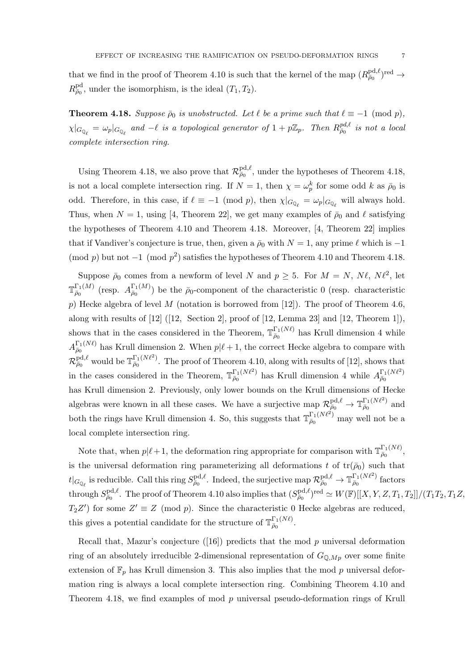that we find in the proof of Theorem 4.10 is such that the kernel of the map  $(R_{\bar{p}_0}^{\text{pd}, \ell})^{\text{red}} \to$  $R_{\bar{\rho}_0}^{\text{pd}}$ , under the isomorphism, is the ideal  $(T_1, T_2)$ .

**Theorem 4.18.** Suppose  $\bar{\rho}_0$  is unobstructed. Let  $\ell$  be a prime such that  $\ell \equiv -1 \pmod{p}$ ,  $\chi|_{G_{\mathbb{Q}_\ell}} = \omega_p|_{G_{\mathbb{Q}_\ell}}$  and  $-\ell$  is a topological generator of  $1 + p\mathbb{Z}_p$ . Then  $R_{\bar{\rho}_0}^{pd,\ell}$  is not a local complete intersection ring.

Using Theorem 4.18, we also prove that  $\mathcal{R}^{\text{pd},\ell}_{\bar{\rho}_0}$ , under the hypotheses of Theorem 4.18, is not a local complete intersection ring. If  $N=1$ , then  $\chi=\omega_p^k$  for some odd k as  $\bar{\rho}_0$  is odd. Therefore, in this case, if  $\ell \equiv -1 \pmod{p}$ , then  $\chi|_{G_{\mathbb{Q}_\ell}} = \omega_p|_{G_{\mathbb{Q}_\ell}}$  will always hold. Thus, when  $N = 1$ , using [4, Theorem 22], we get many examples of  $\bar{\rho}_0$  and  $\ell$  satisfying the hypotheses of Theorem 4.10 and Theorem 4.18. Moreover, [4, Theorem 22] implies that if Vandiver's conjecture is true, then, given a  $\bar{\rho}_0$  with  $N = 1$ , any prime  $\ell$  which is -1 (mod p) but not  $-1 \pmod{p^2}$  satisfies the hypotheses of Theorem 4.10 and Theorem 4.18.

Suppose  $\bar{\rho}_0$  comes from a newform of level N and  $p \ge 5$ . For  $M = N$ ,  $N \ell$ ,  $N \ell^2$ , let  $\mathbb{T}^{\Gamma_1(M)}$  $\frac{\Gamma_1(M)}{\bar{\rho}_0}$  (resp.  $A^{\Gamma_1(M)}_{\bar{\rho}_0}$  $\bar{\rho}_0$ <sup>1(M)</sup>) be the  $\bar{\rho}_0$ -component of the characteristic 0 (resp. characteristic p) Hecke algebra of level M (notation is borrowed from [12]). The proof of Theorem 4.6, along with results of [12] ([12, Section 2], proof of [12, Lemma 23] and [12, Theorem 1]), shows that in the cases considered in the Theorem,  $\mathbb{T}_{\bar{p}_0}^{\Gamma_1(N\ell)}$  $\bar{\rho}_0^{\text{I}_1(N\ell)}$  has Krull dimension 4 while  $A_{\bar o_0}^{\Gamma_1(N\ell)}$  $\bar{p}_0^{1,(N\ell)}$  has Krull dimension 2. When  $p|\ell + 1$ , the correct Hecke algebra to compare with  $\mathcal{R}^{\text{pd},\ell}_{\bar\rho_0}$  would be  $\mathbb{T}^{\Gamma_1(N\ell^2)}_{\bar\rho_0}$  $\bar{\rho}_0^{1,(N\ell)}$ . The proof of Theorem 4.10, along with results of [12], shows that in the cases considered in the Theorem,  $\mathbb{T}_{\bar{p}_0}^{\Gamma_1(N\ell^2)}$  $_{\bar{\rho}_0}^{\Gamma_1(N\ell^2)}$  has Krull dimension 4 while  $A_{\bar{\rho}_0}^{\Gamma_1(N\ell^2)}$  $\bar{\rho}_0$ has Krull dimension 2. Previously, only lower bounds on the Krull dimensions of Hecke algebras were known in all these cases. We have a surjective map  $\mathcal{R}^{\text{pd},\ell}_{\bar{\rho}_0} \to \mathbb{T}^{\Gamma_1(N\ell^2)}_{\bar{\rho}_0}$  $\frac{1}{\bar{\rho}_0}$  and both the rings have Krull dimension 4. So, this suggests that  $\mathbb{T}_{\bar{\rho}_0}^{\Gamma_1(N\ell^2)}$  may well not be a local complete intersection ring.

Note that, when  $p|\ell + 1$ , the deformation ring appropriate for comparison with  $\mathbb{T}_{\bar{p}_0}^{\Gamma_1(N\ell)}$  $\frac{\mu}{\bar{\rho}_0}$   $\frac{1}{\sqrt{N}}$ , is the universal deformation ring parameterizing all deformations t of  $tr(\bar{\rho}_0)$  such that  $t|_{G_{\mathbb{Q}_\ell}}$  is reducible. Call this ring  $S_{\bar{\rho}_0}^{\text{pd},\ell}$ . Indeed, the surjective map  $\mathcal{R}^{\text{pd},\ell}_{\bar{\rho}_0} \to \mathbb{T}^{\Gamma_1(N\ell^2)}_{\bar{\rho}_0}$  $\frac{\bar{\rho}_0}{\bar{\rho}_0}$  factors  ${\rm through\ } S^{{\rm pd},\ell}_{\bar\rho_0}. \hbox{ The proof of Theorem 4.10 also implies that } (S^{{\rm pd},\ell}_{\bar\rho_0})^{\rm red}\simeq W(\mathbb F)[[X,Y,Z,T_1,T_2]]/(T_1T_2,T_1Z,$  $T_2Z'$  for some  $Z' \equiv Z \pmod{p}$ . Since the characteristic 0 Hecke algebras are reduced, this gives a potential candidate for the structure of  $\mathbb{T}_{\bar{p}_0}^{\Gamma_1(N\ell)}$  $\frac{1}{\bar{\rho}_0}$ .

Recall that, Mazur's conjecture  $(16)$  predicts that the mod p universal deformation ring of an absolutely irreducible 2-dimensional representation of  $G_{\mathbb{Q},Mp}$  over some finite extension of  $\mathbb{F}_p$  has Krull dimension 3. This also implies that the mod p universal deformation ring is always a local complete intersection ring. Combining Theorem 4.10 and Theorem 4.18, we find examples of mod p universal pseudo-deformation rings of Krull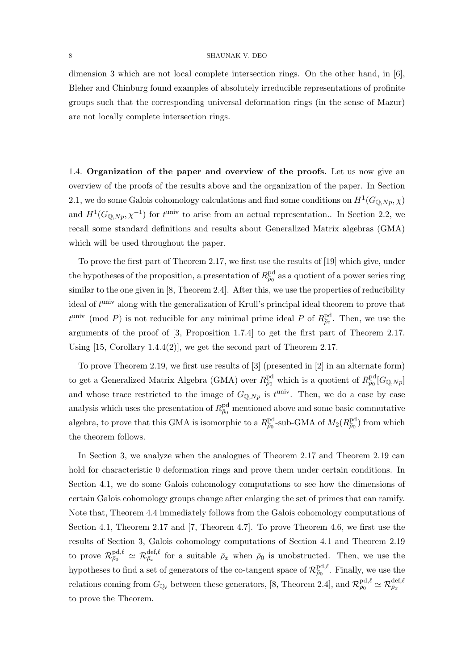#### 8 SHAUNAK V. DEO

dimension 3 which are not local complete intersection rings. On the other hand, in [6], Bleher and Chinburg found examples of absolutely irreducible representations of profinite groups such that the corresponding universal deformation rings (in the sense of Mazur) are not locally complete intersection rings.

1.4. Organization of the paper and overview of the proofs. Let us now give an overview of the proofs of the results above and the organization of the paper. In Section 2.1, we do some Galois cohomology calculations and find some conditions on  $H^1(G_{\mathbb{Q},N_p}, \chi)$ and  $H^1(G_{\mathbb{Q},N_p},\chi^{-1})$  for  $t^{\text{univ}}$  to arise from an actual representation.. In Section 2.2, we recall some standard definitions and results about Generalized Matrix algebras (GMA) which will be used throughout the paper.

To prove the first part of Theorem 2.17, we first use the results of [19] which give, under the hypotheses of the proposition, a presentation of  $R_{\bar{\rho}_0}^{\text{pd}}$  as a quotient of a power series ring similar to the one given in [8, Theorem 2.4]. After this, we use the properties of reducibility ideal of  $t^{\text{univ}}$  along with the generalization of Krull's principal ideal theorem to prove that  $t^{\text{univ}} \pmod{P}$  is not reducible for any minimal prime ideal P of  $R_{\bar{\rho}_0}^{\text{pd}}$ . Then, we use the arguments of the proof of [3, Proposition 1.7.4] to get the first part of Theorem 2.17. Using  $[15, Corollary 1.4.4(2)],$  we get the second part of Theorem 2.17.

To prove Theorem 2.19, we first use results of [3] (presented in [2] in an alternate form) to get a Generalized Matrix Algebra (GMA) over  $R^{\text{pd}}_{\bar{\rho}_0}$  which is a quotient of  $R^{\text{pd}}_{\bar{\rho}_0} [G_{\mathbb{Q},Np}]$ and whose trace restricted to the image of  $G_{\mathbb{Q},Np}$  is  $t^{\text{univ}}$ . Then, we do a case by case analysis which uses the presentation of  $R_{\bar{\rho}_0}^{\text{pd}}$  mentioned above and some basic commutative algebra, to prove that this GMA is isomorphic to a  $R^{\text{pd}}_{\bar{\rho}_0}$ -sub-GMA of  $M_2(R^{\text{pd}}_{\bar{\rho}_0})$  from which the theorem follows.

In Section 3, we analyze when the analogues of Theorem 2.17 and Theorem 2.19 can hold for characteristic 0 deformation rings and prove them under certain conditions. In Section 4.1, we do some Galois cohomology computations to see how the dimensions of certain Galois cohomology groups change after enlarging the set of primes that can ramify. Note that, Theorem 4.4 immediately follows from the Galois cohomology computations of Section 4.1, Theorem 2.17 and [7, Theorem 4.7]. To prove Theorem 4.6, we first use the results of Section 3, Galois cohomology computations of Section 4.1 and Theorem 2.19 to prove  $\mathcal{R}^{\text{pd},\ell}_{\bar{\rho}_0} \simeq \mathcal{R}^{\text{def},\ell}_{\bar{\rho}_x}$  for a suitable  $\bar{\rho}_x$  when  $\bar{\rho}_0$  is unobstructed. Then, we use the hypotheses to find a set of generators of the co-tangent space of  $\mathcal{R}_{\bar{\rho}_0}^{\text{pd},\ell}$ . Finally, we use the relations coming from  $G_{\mathbb{Q}_\ell}$  between these generators, [8, Theorem 2.4], and  $\mathcal{R}^{\text{pd},\ell}_{\bar{\rho}_0} \simeq \mathcal{R}^{\text{def},\ell}_{\bar{\rho}_x}$ to prove the Theorem.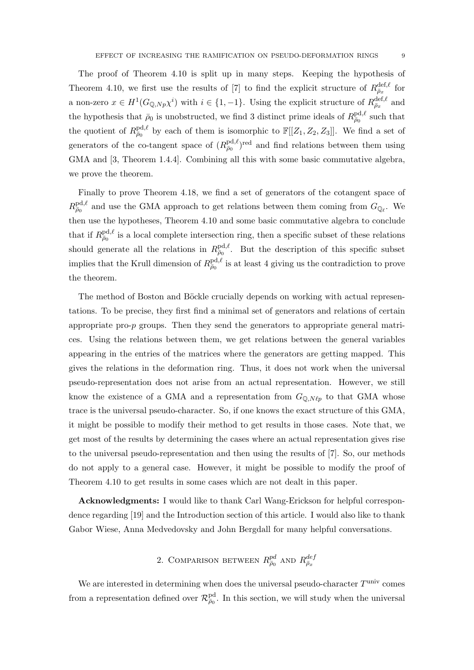The proof of Theorem 4.10 is split up in many steps. Keeping the hypothesis of Theorem 4.10, we first use the results of [7] to find the explicit structure of  $R_{\bar{\rho}_x}^{\text{def},\ell}$  for a non-zero  $x \in H^1(G_{\mathbb{Q},Np}\chi^i)$  with  $i \in \{1,-1\}$ . Using the explicit structure of  $R_{\bar{\rho}_x}^{\text{def},\ell}$  and the hypothesis that  $\bar{\rho}_0$  is unobstructed, we find 3 distinct prime ideals of  $R_{\bar{\rho}_0}^{\text{pd},\ell}$  such that the quotient of  $R_{\bar{\rho}_0}^{\text{pd},\ell}$  by each of them is isomorphic to  $\mathbb{F}[[Z_1, Z_2, Z_3]]$ . We find a set of generators of the co-tangent space of  $(R_{\bar{\rho}_0}^{\text{pd},\ell})^{\text{red}}$  and find relations between them using GMA and [3, Theorem 1.4.4]. Combining all this with some basic commutative algebra, we prove the theorem.

Finally to prove Theorem 4.18, we find a set of generators of the cotangent space of  $R^{\text{pd},\ell}_{\bar{\rho}_0}$  and use the GMA approach to get relations between them coming from  $G_{\mathbb{Q}_\ell}$ . We then use the hypotheses, Theorem 4.10 and some basic commutative algebra to conclude that if  $R_{\bar{\rho}_0}^{\text{pd},\ell}$  is a local complete intersection ring, then a specific subset of these relations should generate all the relations in  $R_{\bar{\rho}_0}^{\text{pd},\ell}$ . But the description of this specific subset implies that the Krull dimension of  $R_{\bar{\rho}_0}^{\text{pd},\ell}$  is at least 4 giving us the contradiction to prove the theorem.

The method of Boston and Böckle crucially depends on working with actual representations. To be precise, they first find a minimal set of generators and relations of certain appropriate pro-p groups. Then they send the generators to appropriate general matrices. Using the relations between them, we get relations between the general variables appearing in the entries of the matrices where the generators are getting mapped. This gives the relations in the deformation ring. Thus, it does not work when the universal pseudo-representation does not arise from an actual representation. However, we still know the existence of a GMA and a representation from  $G_{\mathbb{Q},N\ell p}$  to that GMA whose trace is the universal pseudo-character. So, if one knows the exact structure of this GMA, it might be possible to modify their method to get results in those cases. Note that, we get most of the results by determining the cases where an actual representation gives rise to the universal pseudo-representation and then using the results of [7]. So, our methods do not apply to a general case. However, it might be possible to modify the proof of Theorem 4.10 to get results in some cases which are not dealt in this paper.

Acknowledgments: I would like to thank Carl Wang-Erickson for helpful correspondence regarding [19] and the Introduction section of this article. I would also like to thank Gabor Wiese, Anna Medvedovsky and John Bergdall for many helpful conversations.

# 2. COMPARISON BETWEEN  $R^{pd}_{\bar{\rho}_0}$  and  $R^{def}_{\bar{\rho}_x}$

We are interested in determining when does the universal pseudo-character  $T^{\text{univ}}$  comes from a representation defined over  $\mathcal{R}^{\text{pd}}_{\bar{\rho}_0}$ . In this section, we will study when the universal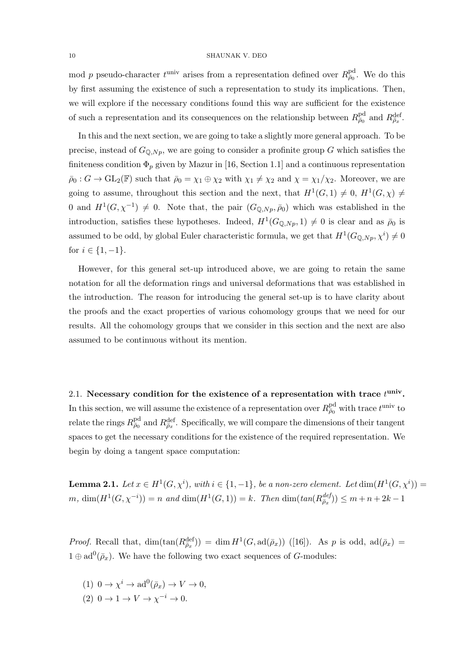mod p pseudo-character  $t^{\text{univ}}$  arises from a representation defined over  $R_{\bar{\rho}_0}^{\text{pd}}$ . We do this by first assuming the existence of such a representation to study its implications. Then, we will explore if the necessary conditions found this way are sufficient for the existence of such a representation and its consequences on the relationship between  $R_{\bar{\rho}_0}^{\text{pd}}$  and  $R_{\bar{\rho}_x}^{\text{def}}$ .

In this and the next section, we are going to take a slightly more general approach. To be precise, instead of  $G_{\mathbb{Q},Np}$ , we are going to consider a profinite group G which satisfies the finiteness condition  $\Phi_p$  given by Mazur in [16, Section 1.1] and a continuous representation  $\bar{\rho}_0$ :  $G \to GL_2(\mathbb{F})$  such that  $\bar{\rho}_0 = \chi_1 \oplus \chi_2$  with  $\chi_1 \neq \chi_2$  and  $\chi = \chi_1/\chi_2$ . Moreover, we are going to assume, throughout this section and the next, that  $H^1(G,1) \neq 0$ ,  $H^1(G,\chi) \neq 0$ 0 and  $H^1(G, \chi^{-1}) \neq 0$ . Note that, the pair  $(G_{\mathbb{Q},Np}, \bar{\rho}_0)$  which was established in the introduction, satisfies these hypotheses. Indeed,  $H^1(G_{\mathbb{Q},N_p},1) \neq 0$  is clear and as  $\bar{\rho}_0$  is assumed to be odd, by global Euler characteristic formula, we get that  $H^1(G_{\mathbb{Q},Np},\chi^i) \neq 0$ for  $i \in \{1, -1\}.$ 

However, for this general set-up introduced above, we are going to retain the same notation for all the deformation rings and universal deformations that was established in the introduction. The reason for introducing the general set-up is to have clarity about the proofs and the exact properties of various cohomology groups that we need for our results. All the cohomology groups that we consider in this section and the next are also assumed to be continuous without its mention.

2.1. Necessary condition for the existence of a representation with trace  $t^{\text{univ}}$ . In this section, we will assume the existence of a representation over  $R_{\bar{\rho}_0}^{\text{pd}}$  with trace  $t^{\text{univ}}$  to relate the rings  $R_{\bar{\rho}_0}^{\text{pd}}$  and  $R_{\bar{\rho}_x}^{\text{def}}$ . Specifically, we will compare the dimensions of their tangent spaces to get the necessary conditions for the existence of the required representation. We begin by doing a tangent space computation:

**Lemma 2.1.** Let  $x \in H^1(G, \chi^i)$ , with  $i \in \{1, -1\}$ , be a non-zero element. Let  $\dim(H^1(G, \chi^i))$  $m, \dim(H^1(G, \chi^{-i})) = n \text{ and } \dim(H^1(G, 1)) = k.$  Then  $\dim(\text{tan}(R_{\bar{\rho}_x}^{\text{def}})) \leq m + n + 2k - 1$ 

*Proof.* Recall that,  $\dim(\tan(R_{\bar{\rho}_x}^{\text{def}})) = \dim H^1(G, \text{ad}(\bar{\rho}_x))$  ([16]). As p is odd,  $\text{ad}(\bar{\rho}_x) =$  $1 \oplus \mathrm{ad}^0(\bar{\rho}_x)$ . We have the following two exact sequences of G-modules:

(1) 
$$
0 \to \chi^i \to \mathrm{ad}^0(\bar{\rho}_x) \to V \to 0
$$
,

 $(2)$  0  $\rightarrow$  1  $\rightarrow$   $V \rightarrow \chi^{-i} \rightarrow 0$ .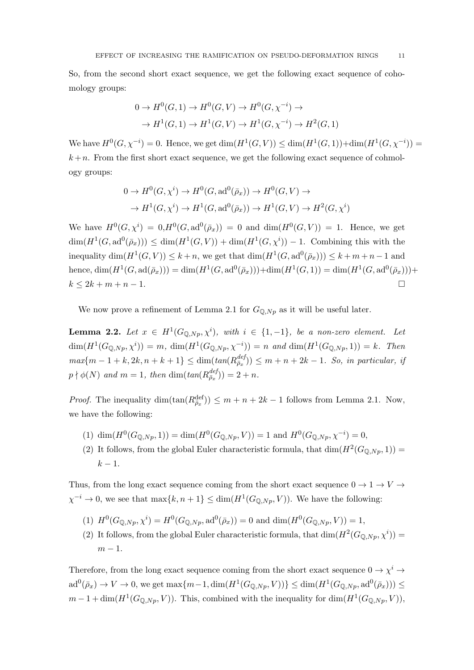So, from the second short exact sequence, we get the following exact sequence of cohomology groups:

$$
0 \to H^0(G, 1) \to H^0(G, V) \to H^0(G, \chi^{-i}) \to
$$
  

$$
\to H^1(G, 1) \to H^1(G, V) \to H^1(G, \chi^{-i}) \to H^2(G, 1)
$$

We have  $H^0(G, \chi^{-i}) = 0$ . Hence, we get  $\dim(H^1(G, V)) \leq \dim(H^1(G, 1)) + \dim(H^1(G, \chi^{-i})) =$  $k+n$ . From the first short exact sequence, we get the following exact sequence of cohmology groups:

$$
0 \to H^0(G, \chi^i) \to H^0(G, \text{ad}^0(\bar{\rho}_x)) \to H^0(G, V) \to
$$
  

$$
\to H^1(G, \chi^i) \to H^1(G, \text{ad}^0(\bar{\rho}_x)) \to H^1(G, V) \to H^2(G, \chi^i)
$$

We have  $H^0(G, \chi^i) = 0, H^0(G, \text{ad}^0(\bar{\rho}_x)) = 0$  and  $\dim(H^0(G, V)) = 1$ . Hence, we get  $\dim(H^1(G, \mathrm{ad}^0(\bar{\rho}_x))) \leq \dim(H^1(G, V)) + \dim(H^1(G, \chi^i)) - 1$ . Combining this with the inequality  $\dim(H^1(G, V)) \leq k+n$ , we get that  $\dim(H^1(G, \text{ad}^0(\bar{\rho}_x))) \leq k+m+n-1$  and hence,  $\dim(H^1(G, \text{ad}(\bar{\rho}_x))) = \dim(H^1(G, \text{ad}^0(\bar{\rho}_x))) + \dim(H^1(G, 1)) = \dim(H^1(G, \text{ad}^0(\bar{\rho}_x))) +$  $k < 2k + m + n - 1.$ 

We now prove a refinement of Lemma 2.1 for  $G_{\mathbb{Q},Np}$  as it will be useful later.

**Lemma 2.2.** Let  $x \in H^1(G_{\mathbb{Q},N_p}, \chi^i)$ , with  $i \in \{1,-1\}$ , be a non-zero element. Let  $\dim(H^1(G_{\mathbb{Q},Np},\chi^i)) = m, \dim(H^1(G_{\mathbb{Q},Np},\chi^{-i})) = n \text{ and } \dim(H^1(G_{\mathbb{Q},Np},1)) = k.$  Then  $max\{m-1+k, 2k, n+k+1\} \leq \dim(tan(R_{\bar{\rho}_x}^{def})) \leq m+n+2k-1$ . So, in particular, if  $p \nmid \phi(N)$  and  $m = 1$ , then  $\dim(tan(R_{\bar{\rho}_x}^{def})) = 2 + n$ .

*Proof.* The inequality  $\dim(\tan(R_{\bar{\rho}_x}^{\text{def}})) \leq m + n + 2k - 1$  follows from Lemma 2.1. Now, we have the following:

- (1)  $\dim(H^0(G_{\mathbb{Q},Np},1)) = \dim(H^0(G_{\mathbb{Q},Np},V)) = 1$  and  $H^0(G_{\mathbb{Q},Np},\chi^{-i}) = 0$ ,
- (2) It follows, from the global Euler characteristic formula, that  $\dim(H^2(G_{\mathbb{Q},N_P},1)) =$  $k-1$ .

Thus, from the long exact sequence coming from the short exact sequence  $0 \to 1 \to V \to$  $\chi^{-i} \to 0$ , we see that  $\max\{k, n+1\} \leq \dim(H^1(G_{\mathbb{Q},Np}, V))$ . We have the following:

- (1)  $H^0(G_{\mathbb{Q},Np},\chi^i) = H^0(G_{\mathbb{Q},Np},\mathrm{ad}^0(\bar{\rho}_x)) = 0$  and  $\dim(H^0(G_{\mathbb{Q},Np},V)) = 1$ ,
- (2) It follows, from the global Euler characteristic formula, that  $\dim(H^2(G_{\mathbb{Q},Np},\chi^i))$  $m-1$ .

Therefore, from the long exact sequence coming from the short exact sequence  $0 \to \chi^i \to$  $\text{ad}^0(\bar{\rho}_x) \to V \to 0$ , we get  $\max\{m-1, \dim(H^1(G_{\mathbb{Q},Np}, V))\} \leq \dim(H^1(G_{\mathbb{Q},Np}, \text{ad}^0(\bar{\rho}_x))) \leq$  $m-1+\dim(H^1(G_{\mathbb{Q},Np},V)).$  This, combined with the inequality for  $\dim(H^1(G_{\mathbb{Q},Np},V)),$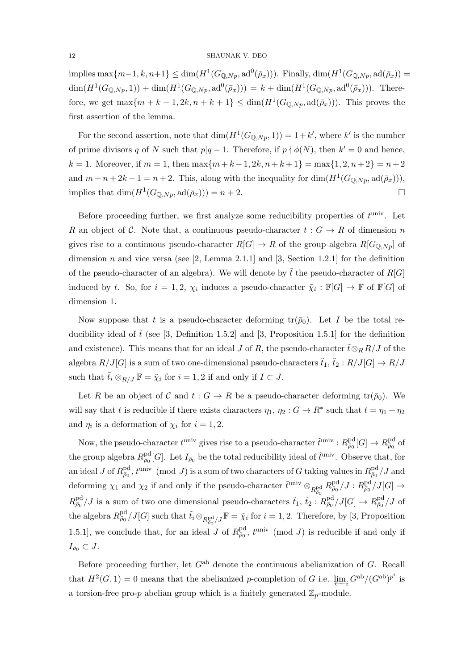#### 12 SHAUNAK V. DEO

implies  $\max\{m-1, k, n+1\} \leq \dim(H^1(G_{\mathbb{Q},Np}, \mathrm{ad}^0(\bar{\rho}_x)))$ . Finally,  $\dim(H^1(G_{\mathbb{Q},Np}, \mathrm{ad}(\bar{\rho}_x)) =$  $\dim(H^1(G_{\mathbb{Q},Np},1)) + \dim(H^1(G_{\mathbb{Q},Np},\mathrm{ad}^0(\bar{\rho}_x))) = k + \dim(H^1(G_{\mathbb{Q},Np},\mathrm{ad}^0(\bar{\rho}_x))).$  Therefore, we get  $\max\{m+k-1, 2k, n+k+1\} \leq \dim(H^1(G_{\mathbb{Q},N_p}, \mathrm{ad}(\bar{\rho}_x)))$ . This proves the first assertion of the lemma.

For the second assertion, note that  $\dim(H^1(G_{\mathbb{Q},Np},1)) = 1+k'$ , where k' is the number of prime divisors q of N such that  $p|q-1$ . Therefore, if  $p \nmid \phi(N)$ , then  $k' = 0$  and hence, k = 1. Moreover, if  $m = 1$ , then  $\max\{m + k - 1, 2k, n + k + 1\} = \max\{1, 2, n + 2\} = n + 2$ and  $m + n + 2k - 1 = n + 2$ . This, along with the inequality for  $\dim(H^1(G_{\mathbb{Q},Np}, \text{ad}(\bar{\rho}_x)))$ , implies that  $\dim(H^1(G_{\mathbb{Q},Np}, \mathrm{ad}(\bar{\rho}_x))) = n+2.$ 

Before proceeding further, we first analyze some reducibility properties of  $t^{\text{univ}}$ . Let R an object of C. Note that, a continuous pseudo-character  $t: G \to R$  of dimension n gives rise to a continuous pseudo-character  $R[G] \to R$  of the group algebra  $R[G_{\mathbb{Q},Np}]$  of dimension n and vice versa (see  $[2, \text{Lemma } 2.1.1]$  and  $[3, \text{Section } 1.2.1]$  for the definition of the pseudo-character of an algebra). We will denote by  $\tilde{t}$  the pseudo-character of R[G] induced by t. So, for  $i = 1, 2, \chi_i$  induces a pseudo-character  $\tilde{\chi}_i : \mathbb{F}[G] \to \mathbb{F}$  of  $\mathbb{F}[G]$  of dimension 1.

Now suppose that t is a pseudo-character deforming  $tr(\bar{\rho}_0)$ . Let I be the total reducibility ideal of  $\tilde{t}$  (see [3, Definition 1.5.2] and [3, Proposition 1.5.1] for the definition and existence). This means that for an ideal J of R, the pseudo-character  $\tilde{t} \otimes_R R/J$  of the algebra  $R/J[G]$  is a sum of two one-dimensional pseudo-characters  $\tilde{t}_1, \tilde{t}_2 : R/J[G] \rightarrow R/J$ such that  $\tilde{t}_i \otimes_{R/J} \mathbb{F} = \tilde{\chi}_i$  for  $i = 1, 2$  if and only if  $I \subset J$ .

Let R be an object of C and  $t : G \to R$  be a pseudo-character deforming  $tr(\bar{\rho}_0)$ . We will say that t is reducible if there exists characters  $\eta_1, \eta_2 : G \to \mathbb{R}^*$  such that  $t = \eta_1 + \eta_2$ and  $\eta_i$  is a deformation of  $\chi_i$  for  $i = 1, 2$ .

Now, the pseudo-character  $t^{\text{univ}}$  gives rise to a pseudo-character  $\tilde{t}^{\text{univ}}: R^{\text{pd}}_{\bar{\rho}_0}[G] \to R^{\text{pd}}_{\bar{\rho}_0}$  of the group algebra  $R_{\bar{\rho}_0}^{\text{pd}}[G]$ . Let  $I_{\bar{\rho}_0}$  be the total reducibility ideal of  $\tilde{t}^{\text{univ}}$ . Observe that, for an ideal J of  $R^{\text{pd}}_{\bar{\rho}_0}$ ,  $t^{\text{univ}} \pmod{J}$  is a sum of two characters of G taking values in  $R^{\text{pd}}_{\bar{\rho}_0}/J$  and deforming  $\chi_1$  and  $\chi_2$  if and only if the pseudo-character  $\tilde{t}^{\text{univ}} \otimes_{R_{\bar{\rho}_0}^{\text{pd}}} R_{\bar{\rho}_0}^{\text{pd}}/J : R_{\bar{\rho}_0}^{\text{pd}}/J[G] \rightarrow$  $R_{\bar{\rho}_0}^{\text{pd}}/J$  is a sum of two one dimensional pseudo-characters  $\tilde{t}_1$ ,  $\tilde{t}_2$  :  $R_{\bar{\rho}_0}^{\text{pd}}/J[G] \to R_{\bar{\rho}_0}^{\text{pd}}/J$  of the algebra  $R_{\bar{\rho}_0}^{\text{pd}}/J[G]$  such that  $\tilde{t}_i \otimes_{R_{\bar{\rho}_0}^{\text{pd}}/J} \mathbb{F} = \tilde{\chi}_i$  for  $i = 1, 2$ . Therefore, by [3, Proposition 1.5.1], we conclude that, for an ideal J of  $R_{\bar{\rho}_0}^{\text{pd}}, t^{\text{univ}} \pmod{J}$  is reducible if and only if  $I_{\bar{\rho}_0} \subset J$ .

Before proceeding further, let  $G^{ab}$  denote the continuous abelianization of G. Recall that  $H^2(G, 1) = 0$  means that the abelianized p-completion of G i.e.  $\varprojlim_i G^{ab}/(G^{ab})^{p^i}$  is a torsion-free pro-p abelian group which is a finitely generated  $\mathbb{Z}_p$ -module.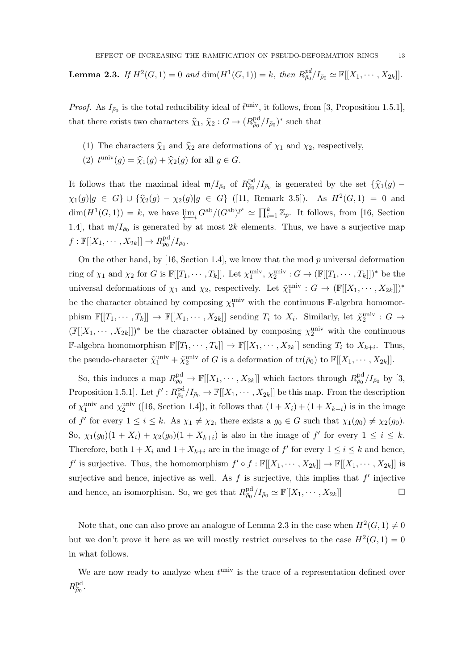**Lemma 2.3.** If  $H^2(G, 1) = 0$  and  $dim(H^1(G, 1)) = k$ , then  $R_{\bar{\rho}_0}^{pd}/I_{\bar{\rho}_0} \simeq \mathbb{F}[[X_1, \cdots, X_{2k}]]$ .

*Proof.* As  $I_{\bar{\rho}_0}$  is the total reducibility ideal of  $\tilde{t}^{\text{univ}}$ , it follows, from [3, Proposition 1.5.1], that there exists two characters  $\hat{\chi}_1, \hat{\chi}_2 : G \to (R_{\bar{\rho}_0}^{\text{pd}}/I_{\bar{\rho}_0})^*$  such that

- (1) The characters  $\hat{\chi}_1$  and  $\hat{\chi}_2$  are deformations of  $\chi_1$  and  $\chi_2$ , respectively,
- (2)  $t^{\text{univ}}(g) = \hat{\chi}_1(g) + \hat{\chi}_2(g)$  for all  $g \in G$ .

It follows that the maximal ideal  $\mathfrak{m}/I_{\bar{\rho}_0}$  of  $R_{\bar{\rho}_0}^{\text{pd}}/I_{\bar{\rho}_0}$  is generated by the set  $\{\hat{\chi}_1(g)$  –  $\chi_1(g)|g \in G$   $\cup$   $\{\hat{\chi}_2(g) - \chi_2(g)|g \in G\}$  ([11, Remark 3.5]). As  $H^2(G, 1) = 0$  and  $\dim(H^1(G,1)) = k$ , we have  $\varprojlim_i G^{ab}/(G^{ab})^{p^i} \simeq \prod_{i=1}^k \mathbb{Z}_p$ . It follows, from [16, Section 1.4], that  $\mathfrak{m}/I_{\bar{\rho}_0}$  is generated by at most 2k elements. Thus, we have a surjective map  $f: \mathbb{F}[[X_1, \cdots, X_{2k}]] \to R^{\text{pd}}_{\bar{\rho}_0}/I_{\bar{\rho}_0}.$ 

On the other hand, by [16, Section 1.4], we know that the mod  $p$  universal deformation ring of  $\chi_1$  and  $\chi_2$  for G is  $\mathbb{F}[[T_1, \cdots, T_k]]$ . Let  $\chi_1^{\text{univ}}, \chi_2^{\text{univ}} : G \to (\mathbb{F}[[T_1, \cdots, T_k]])^*$  be the universal deformations of  $\chi_1$  and  $\chi_2$ , respectively. Let  $\tilde{\chi}_1^{\text{univ}} : G \to (\mathbb{F}[[X_1, \cdots, X_{2k}]])^*$ be the character obtained by composing  $\chi_1^{\text{univ}}$  with the continuous F-algebra homomorphism  $\mathbb{F}[[T_1,\dots,T_k]] \to \mathbb{F}[[X_1,\dots,X_{2k}]]$  sending  $T_i$  to  $X_i$ . Similarly, let  $\tilde{\chi}_2^{\text{univ}}$  :  $G \to$  $(\mathbb{F}[[X_1,\dots,X_{2k}]])^*$  be the character obtained by composing  $\chi_2^{\text{univ}}$  with the continuous **F**-algebra homomorphism  $\mathbb{F}[[T_1, \cdots, T_k]] \to \mathbb{F}[[X_1, \cdots, X_{2k}]]$  sending  $T_i$  to  $X_{k+i}$ . Thus, the pseudo-character  $\tilde{\chi}_1^{\text{univ}} + \tilde{\chi}_2^{\text{univ}}$  of G is a deformation of  $\text{tr}(\bar{\rho}_0)$  to  $\mathbb{F}[[X_1, \cdots, X_{2k}]]$ .

So, this induces a map  $R_{\bar{\rho}_0}^{\text{pd}} \to \mathbb{F}[[X_1, \cdots, X_{2k}]]$  which factors through  $R_{\bar{\rho}_0}^{\text{pd}}/I_{\bar{\rho}_0}$  by [3, Proposition 1.5.1]. Let  $f': R^{\text{pd}}_{\bar{\rho}_0}/I_{\bar{\rho}_0} \to \mathbb{F}[[X_1, \cdots, X_{2k}]]$  be this map. From the description of  $\chi_1^{\text{univ}}$  and  $\chi_2^{\text{univ}}$  ([16, Section 1.4]), it follows that  $(1+X_i) + (1+X_{k+i})$  is in the image of f' for every  $1 \leq i \leq k$ . As  $\chi_1 \neq \chi_2$ , there exists a  $g_0 \in G$  such that  $\chi_1(g_0) \neq \chi_2(g_0)$ . So,  $\chi_1(g_0)(1+X_i)+\chi_2(g_0)(1+X_{k+i})$  is also in the image of  $f'$  for every  $1 \leq i \leq k$ . Therefore, both  $1 + X_i$  and  $1 + X_{k+i}$  are in the image of  $f'$  for every  $1 \le i \le k$  and hence,  $f'$  is surjective. Thus, the homomorphism  $f' \circ f : \mathbb{F}[[X_1, \cdots, X_{2k}]] \to \mathbb{F}[[X_1, \cdots, X_{2k}]]$  is surjective and hence, injective as well. As  $f$  is surjective, this implies that  $f'$  injective and hence, an isomorphism. So, we get that  $R_{\bar{\rho}_0}^{\text{pd}}/I_{\bar{\rho}_0} \simeq \mathbb{F}[[X_1, \cdots, X_{2k}]]$ 

Note that, one can also prove an analogue of Lemma 2.3 in the case when  $H^2(G, 1) \neq 0$ but we don't prove it here as we will mostly restrict ourselves to the case  $H^2(G, 1) = 0$ in what follows.

We are now ready to analyze when  $t^{\text{univ}}$  is the trace of a representation defined over  $R^{\rm pd}_{\bar\rho_0}.$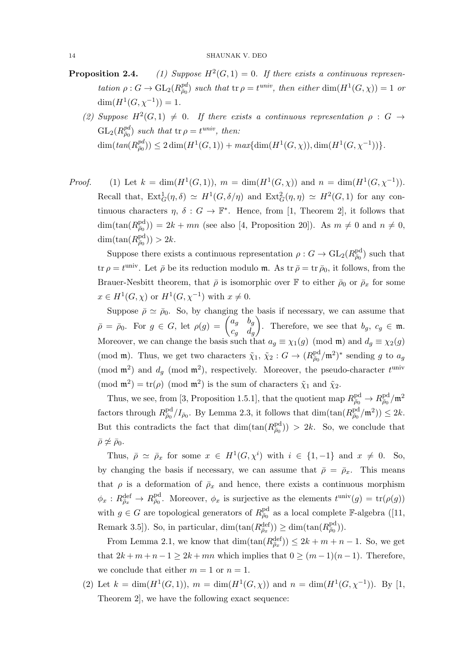#### 14 SHAUNAK V. DEO

- Proposition 2.4. (1) Suppose  $H^2(G, 1) = 0$ . If there exists a continuous representation  $\rho: G \to \mathrm{GL}_2(R_{\bar{\rho}_0}^{\text{pd}})$  such that  $\operatorname{tr} \rho = t^{\text{univ}}$ , then either  $\dim(H^1(G,\chi)) = 1$  or  $\dim(H^1(G,\chi^{-1})) = 1.$ 
	- (2) Suppose  $H^2(G,1) \neq 0$ . If there exists a continuous representation  $\rho : G \rightarrow$  $\mathrm{GL}_2(R_{\bar{\rho}_0}^{pd})$  such that  $\operatorname{tr} \rho = t^{univ}$ , then:  $\dim(tan(R_{\bar{p}_0}^{\bar{p}_0})) \leq 2 \dim(H^1(G,1)) + max\{\dim(H^1(G,\chi)), \dim(H^1(G,\chi^{-1}))\}.$
- *Proof.* (1) Let  $k = \dim(H^1(G, 1)), m = \dim(H^1(G, \chi))$  and  $n = \dim(H^1(G, \chi^{-1})).$ Recall that,  $Ext_G^1(\eta, \delta) \simeq H^1(G, \delta/\eta)$  and  $Ext_G^2(\eta, \eta) \simeq H^2(G, 1)$  for any continuous characters  $\eta$ ,  $\delta: G \to \mathbb{F}^*$ . Hence, from [1, Theorem 2], it follows that  $\dim(\tan(R_{\bar{p}_0}^{\text{pd}})) = 2k + mn$  (see also [4, Proposition 20]). As  $m \neq 0$  and  $n \neq 0$ ,  $\dim(\tan(R_{\bar{\rho}_0}^{\text{pd}})) > 2k.$

Suppose there exists a continuous representation  $\rho: G \to \text{GL}_2(R_{\bar{\rho}_0}^{\text{pd}})$  such that tr  $\rho = t^{\text{univ}}$ . Let  $\bar{\rho}$  be its reduction modulo m. As tr  $\bar{\rho} = \text{tr } \bar{\rho}_0$ , it follows, from the Brauer-Nesbitt theorem, that  $\bar{\rho}$  is isomorphic over  $\mathbb F$  to either  $\bar{\rho}_0$  or  $\bar{\rho}_x$  for some  $x \in H^1(G, \chi)$  or  $H^1(G, \chi^{-1})$  with  $x \neq 0$ .

Suppose  $\bar{\rho} \simeq \bar{\rho}_0$ . So, by changing the basis if necessary, we can assume that  $\bar{\rho} = \bar{\rho}_0$ . For  $g \in G$ , let  $\rho(g) = \begin{pmatrix} a_g & b_g \ g & d \end{pmatrix}$  $c_g$   $d_g$ ). Therefore, we see that  $b_g, c_g \in \mathfrak{m}$ . Moreover, we can change the basis such that  $a_g \equiv \chi_1(g) \pmod{m}$  and  $d_g \equiv \chi_2(g)$ (mod m). Thus, we get two characters  $\tilde{\chi}_1$ ,  $\tilde{\chi}_2$  :  $G \to (R_{\bar{\rho}_0}^{\text{pd}}/\mathfrak{m}^2)^*$  sending g to  $a_g$ (mod  $\mathfrak{m}^2$ ) and  $d_g$  (mod  $\mathfrak{m}^2$ ), respectively. Moreover, the pseudo-character  $t^{\text{univ}}$ (mod  $\mathfrak{m}^2$ ) = tr( $\rho$ ) (mod  $\mathfrak{m}^2$ ) is the sum of characters  $\tilde{\chi}_1$  and  $\tilde{\chi}_2$ .

Thus, we see, from [3, Proposition 1.5.1], that the quotient map  $R_{\bar{\rho}_0}^{\text{pd}} \to R_{\bar{\rho}_0}^{\text{pd}}/\mathfrak{m}^2$ factors through  $R_{\bar{\rho}_0}^{\text{pd}}/I_{\bar{\rho}_0}$ . By Lemma 2.3, it follows that  $\dim(\tan(R_{\bar{\rho}_0}^{\text{pd}}/\mathfrak{m}^2)) \leq 2k$ . But this contradicts the fact that  $\dim(\tan(R_{\bar{\rho}_0}^{\text{pd}})) > 2k$ . So, we conclude that  $\bar{\rho}\not\simeq \bar{\rho}_0.$ 

Thus,  $\bar{\rho} \simeq \bar{\rho}_x$  for some  $x \in H^1(G, \chi^i)$  with  $i \in \{1, -1\}$  and  $x \neq 0$ . So, by changing the basis if necessary, we can assume that  $\bar{\rho} = \bar{\rho}_x$ . This means that  $\rho$  is a deformation of  $\bar{\rho}_x$  and hence, there exists a continuous morphism  $\phi_x: R^{\text{def}}_{\bar{\rho}_x} \to R^{\text{pd}}_{\bar{\rho}_0}$ . Moreover,  $\phi_x$  is surjective as the elements  $t^{\text{univ}}(g) = \text{tr}(\rho(g))$ with  $g \in G$  are topological generators of  $R_{\bar{\rho}_0}^{\text{pd}}$  as a local complete F-algebra ([11, Remark 3.5]). So, in particular,  $\dim(\tan(R_{\bar{\rho}_x}^{\text{def}})) \ge \dim(\tan(R_{\bar{\rho}_0}^{\text{pd}})).$ 

From Lemma 2.1, we know that  $\dim(\tan(R_{\bar{\rho}_x}^{\text{def}})) \leq 2k + m + n - 1$ . So, we get that  $2k + m + n - 1 \geq 2k + mn$  which implies that  $0 \geq (m - 1)(n - 1)$ . Therefore, we conclude that either  $m = 1$  or  $n = 1$ .

(2) Let  $k = \dim(H^1(G, 1)), m = \dim(H^1(G, \chi))$  and  $n = \dim(H^1(G, \chi^{-1})).$  By [1, Theorem 2], we have the following exact sequence: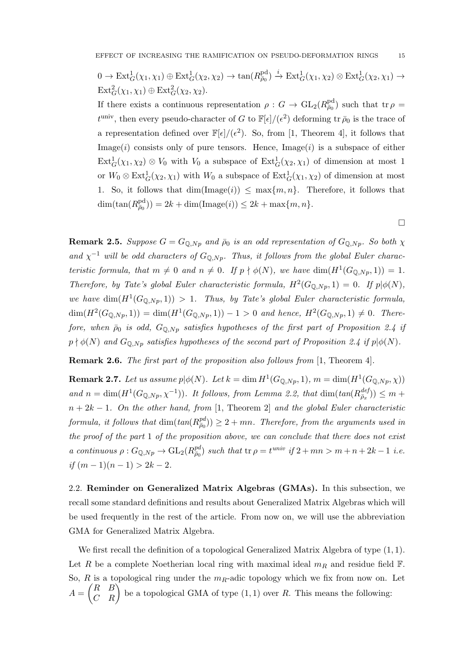$$
0 \to \text{Ext}^1_G(\chi_1, \chi_1) \oplus \text{Ext}^1_G(\chi_2, \chi_2) \to \tan(R_{\bar{\rho}_0}^{\text{pd}}) \xrightarrow{i} \text{Ext}^1_G(\chi_1, \chi_2) \otimes \text{Ext}^1_G(\chi_2, \chi_1) \to
$$
  

$$
\text{Ext}^2_G(\chi_1, \chi_1) \oplus \text{Ext}^2_G(\chi_2, \chi_2).
$$

If there exists a continuous representation  $\rho: G \to \text{GL}_2(R_{\bar{\rho}_0}^{\text{pd}})$  such that tr $\rho =$  $t^{\text{univ}}$ , then every pseudo-character of G to  $\mathbb{F}[\epsilon]/(\epsilon^2)$  deforming tr  $\bar{\rho}_0$  is the trace of a representation defined over  $\mathbb{F}[\epsilon]/(\epsilon^2)$ . So, from [1, Theorem 4], it follows that Image $(i)$  consists only of pure tensors. Hence, Image $(i)$  is a subspace of either  $\text{Ext}_G^1(\chi_1, \chi_2) \otimes V_0$  with  $V_0$  a subspace of  $\text{Ext}_G^1(\chi_2, \chi_1)$  of dimension at most 1 or  $W_0 \otimes \text{Ext}^1_G(\chi_2, \chi_1)$  with  $W_0$  a subspace of  $\text{Ext}^1_G(\chi_1, \chi_2)$  of dimension at most 1. So, it follows that  $\dim(\text{Image}(i)) \leq \max\{m, n\}$ . Therefore, it follows that dim(tan( $R_{\bar{p}_0}^{\text{pd}}$ )) = 2k + dim(Image(i))  $\leq 2k + \max\{m, n\}.$ 

**Remark 2.5.** Suppose  $G = G_{\mathbb{Q},Np}$  and  $\bar{\rho}_0$  is an odd representation of  $G_{\mathbb{Q},Np}$ . So both  $\chi$ and  $\chi^{-1}$  will be odd characters of  $G_{\mathbb{Q},Np}$ . Thus, it follows from the global Euler characteristic formula, that  $m \neq 0$  and  $n \neq 0$ . If  $p \nmid \phi(N)$ , we have  $\dim(H^1(G_{\mathbb{Q},Np},1)) = 1$ . Therefore, by Tate's global Euler characteristic formula,  $H^2(G_{\mathbb{Q},Np},1) = 0$ . If  $p | \phi(N)$ , we have  $\dim(H^1(G_{\mathbb{Q},Np},1)) > 1$ . Thus, by Tate's global Euler characteristic formula,  $\dim(H^2(G_{\mathbb{Q},Np},1)) = \dim(H^1(G_{\mathbb{Q},Np},1)) - 1 > 0$  and hence,  $H^2(G_{\mathbb{Q},Np},1) \neq 0$ . Therefore, when  $\bar{\rho}_0$  is odd,  $G_{\mathbb{Q},Np}$  satisfies hypotheses of the first part of Proposition 2.4 if  $p \nmid \phi(N)$  and  $G_{\mathbb{Q},Np}$  satisfies hypotheses of the second part of Proposition 2.4 if  $p | \phi(N)$ .

Remark 2.6. The first part of the proposition also follows from [1, Theorem 4].

**Remark 2.7.** Let us assume  $p | \phi(N)$ . Let  $k = \dim H^1(G_{\mathbb{Q},Np}, 1), m = \dim(H^1(G_{\mathbb{Q},Np}, \chi))$ and  $n = \dim(H^1(G_{\mathbb{Q},Np},\chi^{-1}))$ . It follows, from Lemma 2.2, that  $\dim(tan(R_{\bar{\rho}_x}^{def})) \leq m +$  $n + 2k - 1$ . On the other hand, from [1, Theorem 2] and the global Euler characteristic formula, it follows that  $\dim(tan(R_{\bar{p}_0}^{pd})) \geq 2 + mn$ . Therefore, from the arguments used in the proof of the part 1 of the proposition above, we can conclude that there does not exist a continuous  $\rho: G_{\mathbb{Q},Np} \to GL_2(R_{\overline{\rho}_0}^{pd})$  such that  $\text{tr } \rho = t^{univ}$  if  $2 + mn > m + n + 2k - 1$  i.e. if  $(m-1)(n-1) > 2k - 2$ .

2.2. Reminder on Generalized Matrix Algebras (GMAs). In this subsection, we recall some standard definitions and results about Generalized Matrix Algebras which will be used frequently in the rest of the article. From now on, we will use the abbreviation GMA for Generalized Matrix Algebra.

We first recall the definition of a topological Generalized Matrix Algebra of type  $(1, 1)$ . Let R be a complete Noetherian local ring with maximal ideal  $m_R$  and residue field F. So, R is a topological ring under the  $m_R$ -adic topology which we fix from now on. Let  $A = \begin{pmatrix} R & B \\ C & R \end{pmatrix}$  be a topological GMA of type  $(1, 1)$  over R. This means the following:

 $\Box$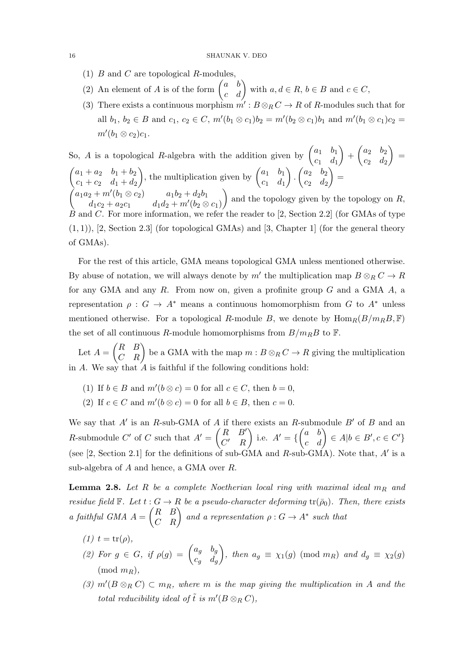- (1)  $B$  and  $C$  are topological  $R$ -modules,
- (2) An element of A is of the form  $\begin{pmatrix} a & b \\ c & d \end{pmatrix}$  with  $a, d \in R$ ,  $b \in B$  and  $c \in C$ ,
- (3) There exists a continuous morphism  $m': B \otimes_R C \to R$  of R-modules such that for all  $b_1, b_2 \in B$  and  $c_1, c_2 \in C$ ,  $m'(b_1 \otimes c_1)b_2 = m'(b_2 \otimes c_1)b_1$  and  $m'(b_1 \otimes c_1)c_2 =$  $m'(b_1\otimes c_2)c_1.$

So, A is a topological R-algebra with the addition given by  $\begin{pmatrix} a_1 & b_1 \\ a & d \end{pmatrix}$  $c_1$   $d_1$  $\bigg) + \begin{pmatrix} a_2 & b_2 \\ a & d \end{pmatrix}$  $c_2$   $d_2$  $=$  $\begin{pmatrix} a_1 + a_2 & b_1 + b_2 \end{pmatrix}$  $c_1 + c_2 \quad d_1 + d_2$ ), the multiplication given by  $\begin{pmatrix} a_1 & b_1 \\ a & d \end{pmatrix}$  $c_1$   $d_1$ ).  $\begin{pmatrix} a_2 & b_2 \\ a & d \end{pmatrix}$  $c_2$   $d_2$  $=$  $\begin{array}{ccc} a_1a_2 + m'(b_1 \otimes c_2) & & a_1b_2 + d_2b_1 \end{array}$  $d_1c_2 + a_2c_1$   $d_1d_2 + m'(b_2 \otimes c_1)$ ) and the topology given by the topology on  $R$ , For more information, we refer the reader to  $[2, Section 2.2]$  (for GMAs of type

 $(1, 1)$ ), [2, Section 2.3] (for topological GMAs) and [3, Chapter 1] (for the general theory of GMAs).

For the rest of this article, GMA means topological GMA unless mentioned otherwise. By abuse of notation, we will always denote by  $m'$  the multiplication map  $B \otimes_R C \to R$ for any GMA and any  $R$ . From now on, given a profinite group  $G$  and a GMA  $A$ , a representation  $\rho : G \to A^*$  means a continuous homomorphism from G to  $A^*$  unless mentioned otherwise. For a topological R-module B, we denote by  $\text{Hom}_{R}(B/m_{R}B, \mathbb{F})$ the set of all continuous R-module homomorphisms from  $B/m<sub>R</sub>B$  to F.

Let  $A = \begin{pmatrix} R & B \ C & R \end{pmatrix}$  be a GMA with the map  $m : B \otimes_R C \to R$  giving the multiplication in A. We say that  $\hat{A}$  is faithful if the following conditions hold:

- (1) If  $b \in B$  and  $m'(b \otimes c) = 0$  for all  $c \in C$ , then  $b = 0$ ,
- (2) If  $c \in C$  and  $m'(b \otimes c) = 0$  for all  $b \in B$ , then  $c = 0$ .

We say that  $A'$  is an R-sub-GMA of A if there exists an R-submodule  $B'$  of B and an R-submodule C' of C such that  $A' = \begin{pmatrix} R & B' \\ C' & D \end{pmatrix}$  $C'$  R i.e.  $A' = \{ \begin{pmatrix} a & b \\ c & d \end{pmatrix} \in A | b \in B', c \in C' \}$ (see  $[2, Section 2.1]$  for the definitions of sub-GMA and  $R$ -sub-GMA). Note that, is a sub-algebra of A and hence, a GMA over R.

**Lemma 2.8.** Let R be a complete Noetherian local ring with maximal ideal  $m_R$  and residue field  $\mathbb{F}$ . Let  $t : G \to R$  be a pseudo-character deforming  $tr(\bar{\rho}_0)$ . Then, there exists a faithful GMA  $A = \begin{pmatrix} R & B \\ C & R \end{pmatrix}$  and a representation  $\rho : G \to A^*$  such that

- (1)  $t = \text{tr}(\rho)$ ,
- (2) For  $g \in G$ , if  $\rho(g) = \begin{pmatrix} a_g & b_g \ & d \end{pmatrix}$  $c_g$   $d_g$ ), then  $a_g \equiv \chi_1(g) \pmod{m_R}$  and  $d_g \equiv \chi_2(g)$  $(mod m_B),$
- (3)  $m'(B \otimes_R C) \subset m_R$ , where m is the map giving the multiplication in A and the total reducibility ideal of  $\tilde{t}$  is  $m'(B \otimes_R C)$ ,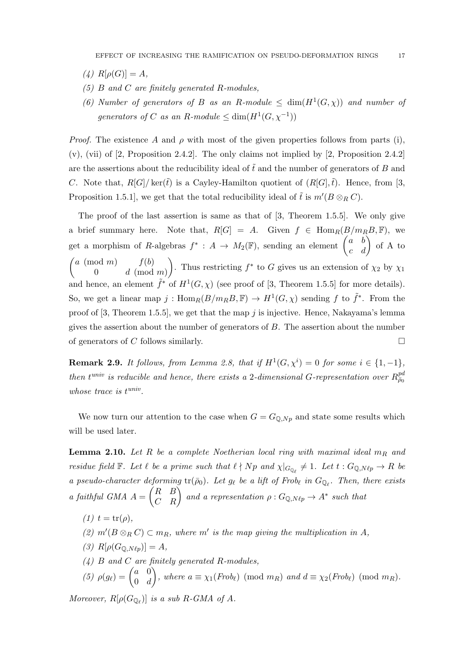- (4)  $R[\rho(G)] = A$ ,
- $(5)$  B and C are finitely generated R-modules,
- (6) Number of generators of B as an R-module  $\leq \dim(H^1(G,\chi))$  and number of generators of C as an R-module  $\leq \dim(H^1(G, \chi^{-1}))$

*Proof.* The existence A and  $\rho$  with most of the given properties follows from parts (i),  $(v)$ ,  $(vii)$  of [2, Proposition 2.4.2]. The only claims not implied by [2, Proposition 2.4.2] are the assertions about the reducibility ideal of  $\tilde{t}$  and the number of generators of B and C. Note that,  $R[G]/\text{ker}(\tilde{t})$  is a Cayley-Hamilton quotient of  $(R[G],\tilde{t})$ . Hence, from [3, Proposition 1.5.1], we get that the total reducibility ideal of  $\tilde{t}$  is  $m'(B \otimes_R C)$ .

The proof of the last assertion is same as that of [3, Theorem 1.5.5]. We only give a brief summary here. Note that,  $R[G] = A$ . Given  $f \in \text{Hom}_{R}(B/m_{R}B, \mathbb{F})$ , we get a morphism of R-algebras  $f^* : A \to M_2(\mathbb{F})$ , sending an element  $\begin{pmatrix} a & b \\ c & d \end{pmatrix}$  of A to  $\int a \pmod{m}$   $f(b)$ 0  $d \pmod{m}$ ). Thus restricting  $f^*$  to G gives us an extension of  $\chi_2$  by  $\chi_1$ and hence, an element  $\tilde{f}^*$  of  $H^1(G,\chi)$  (see proof of [3, Theorem 1.5.5] for more details). So, we get a linear map  $j: \text{Hom}_{R}(B/m_{R}B, \mathbb{F}) \to H^{1}(G, \chi)$  sending f to  $\tilde{f}^{*}$ . From the proof of  $[3,$  Theorem 1.5.5], we get that the map j is injective. Hence, Nakayama's lemma gives the assertion about the number of generators of  $B$ . The assertion about the number of generators of C follows similarly.

**Remark 2.9.** It follows, from Lemma 2.8, that if  $H^1(G, \chi^i) = 0$  for some  $i \in \{1, -1\}$ , then  $t^{univ}$  is reducible and hence, there exists a 2-dimensional G-representation over  $R_{\bar{\rho}_0}^{pa}$ whose trace is  $t^{univ}$ .

We now turn our attention to the case when  $G = G_{\mathbb{Q},Np}$  and state some results which will be used later.

**Lemma 2.10.** Let R be a complete Noetherian local ring with maximal ideal  $m_R$  and residue field  $\mathbb F$ . Let  $\ell$  be a prime such that  $\ell \nmid Np$  and  $\chi|_{G_{\mathbb{Q}_{\ell}}} \neq 1$ . Let  $t : G_{\mathbb{Q},N\ell p} \to R$  be a pseudo-character deforming  $tr(\bar{\rho}_0)$ . Let  $g_\ell$  be a lift of Frob<sub>l</sub> in  $G_{\mathbb{Q}_\ell}$ . Then, there exists a faithful GMA  $A = \begin{pmatrix} R & B \\ C & R \end{pmatrix}$  and a representation  $\rho : G_{\mathbb{Q},N\ell p} \to A^*$  such that

- $(1)$   $t = \text{tr}(\rho),$
- (2)  $m'(B \otimes_R C) \subset m_R$ , where m' is the map giving the multiplication in A,
- (3)  $R[\rho(G_{\mathbb{Q},N\ell p})] = A$ ,
- $(4)$  B and C are finitely generated R-modules,
- (5)  $\rho(g_{\ell}) = \begin{pmatrix} a & 0 \\ 0 & d \end{pmatrix}$  $0 \quad d$ ), where  $a \equiv \chi_1(Frob_\ell) \pmod{m_R}$  and  $d \equiv \chi_2(Frob_\ell) \pmod{m_R}$ .

Moreover,  $R[\rho(G_{\mathbb{Q}_\ell})]$  is a sub R-GMA of A.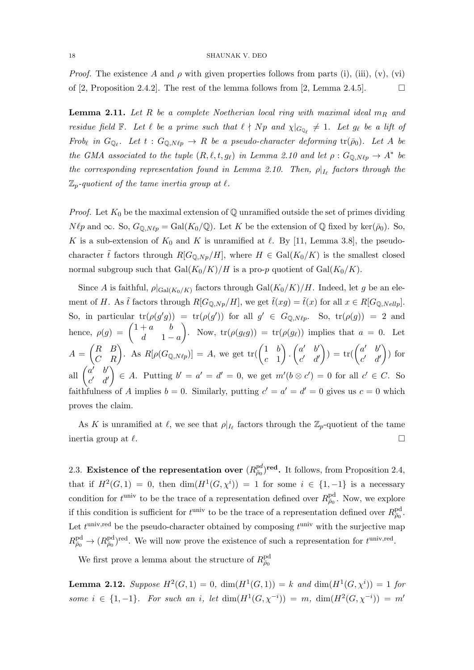*Proof.* The existence A and  $\rho$  with given properties follows from parts (i), (iii), (v), (vi) of [2, Proposition 2.4.2]. The rest of the lemma follows from [2, Lemma 2.4.5].

**Lemma 2.11.** Let R be a complete Noetherian local ring with maximal ideal  $m_R$  and residue field  $\mathbb F$ . Let  $\ell$  be a prime such that  $\ell \nmid Np$  and  $\chi|_{G_{\mathbb{Q}_{\ell}}} \neq 1$ . Let  $g_{\ell}$  be a lift of Frob<sub>l</sub> in  $G_{\mathbb{Q}_\ell}$ . Let  $t : G_{\mathbb{Q},N\ell p} \to R$  be a pseudo-character deforming  $tr(\bar{\rho}_0)$ . Let A be the GMA associated to the tuple  $(R, \ell, t, g_{\ell})$  in Lemma 2.10 and let  $\rho : G_{\mathbb{Q},N\ell p} \to A^*$  be the corresponding representation found in Lemma 2.10. Then,  $\rho|_{I_{\ell}}$  factors through the  $\mathbb{Z}_p$ -quotient of the tame inertia group at  $\ell$ .

*Proof.* Let  $K_0$  be the maximal extension of  $\mathbb Q$  unramified outside the set of primes dividing  $N \ell p$  and  $\infty$ . So,  $G_{\mathbb{Q},N\ell p} = \text{Gal}(K_0/\mathbb{Q})$ . Let K be the extension of  $\mathbb{Q}$  fixed by ker( $\bar{\rho}_0$ ). So, K is a sub-extension of  $K_0$  and K is unramified at  $\ell$ . By [11, Lemma 3.8], the pseudocharacter  $\tilde{t}$  factors through  $R[G_{\mathbb{Q},N_p}/H]$ , where  $H \in \text{Gal}(K_0/K)$  is the smallest closed normal subgroup such that  $Gal(K_0/K)/H$  is a pro-p quotient of  $Gal(K_0/K)$ .

Since A is faithful,  $\rho|_{Gal(K_0/K)}$  factors through  $Gal(K_0/K)/H$ . Indeed, let g be an element of H. As  $\tilde{t}$  factors through  $R[G_{\mathbb{Q},Np}/H]$ , we get  $\tilde{t}(xg) = \tilde{t}(x)$  for all  $x \in R[G_{\mathbb{Q},Nellp}]$ . So, in particular  $tr(\rho(g'g)) = tr(\rho(g'))$  for all  $g' \in G_{\mathbb{Q},N\ell p}$ . So,  $tr(\rho(g)) = 2$  and hence,  $\rho(g) = \begin{pmatrix} 1+a & b \\ d & 1 \end{pmatrix}$  $d \quad 1-a$ ). Now,  $tr(\rho(g_{\ell}g)) = tr(\rho(g_{\ell}))$  implies that  $a = 0$ . Let  $A = \begin{pmatrix} R & B \\ C & R \end{pmatrix}$ . As  $R[\rho(G_{\mathbb{Q},N\ell p})] = A$ , we get  $\text{tr}(\begin{pmatrix} 1 & b \\ c & 1 \end{pmatrix})$  $c<sub>-1</sub>$  $\bigg) \cdot \left( \begin{matrix} a' & b' \\ c' & d \end{matrix} \right)$  $c'$  d'  $\bigg) = \text{tr}(\begin{pmatrix} a' & b' \\ c' & d \end{pmatrix})$  $c'$  d'  $\big)$  for all  $\begin{pmatrix} a' & b' \\ c' & d' \end{pmatrix}$  $c'$  d'  $\Big\} \in A$ . Putting  $b' = a' = d' = 0$ , we get  $m'(b \otimes c') = 0$  for all  $c' \in C$ . So faithfulness of A implies  $b = 0$ . Similarly, putting  $c' = a' = d' = 0$  gives us  $c = 0$  which proves the claim.

As K is unramified at  $\ell$ , we see that  $\rho|_{I_{\ell}}$  factors through the  $\mathbb{Z}_p$ -quotient of the tame inertia group at  $\ell$ .

2.3. Existence of the representation over  $(R_{\bar{p}_0}^{\text{pd}})^{\text{red}}$ . It follows, from Proposition 2.4, that if  $H^2(G,1) = 0$ , then  $\dim(H^1(G,\chi^i)) = 1$  for some  $i \in \{1,-1\}$  is a necessary condition for  $t^{\text{univ}}$  to be the trace of a representation defined over  $R_{\bar{\rho}_0}^{\text{pd}}$ . Now, we explore if this condition is sufficient for  $t^{\text{univ}}$  to be the trace of a representation defined over  $R_{\bar{\rho}_0}^{\text{pd}}$ . Let  $t^{\text{univ,red}}$  be the pseudo-character obtained by composing  $t^{\text{univ}}$  with the surjective map  $R^{\text{pd}}_{\bar{\rho}_0} \to (R^{\text{pd}}_{\bar{\rho}_0})^{\text{red}}$ . We will now prove the existence of such a representation for  $t^{\text{univ,red}}$ .

We first prove a lemma about the structure of  $R^{\text{pd}}_{\bar{\rho}_0}$ 

**Lemma 2.12.** Suppose  $H^2(G, 1) = 0$ ,  $dim(H^1(G, 1)) = k$  and  $dim(H^1(G, \chi^i)) = 1$  for some  $i \in \{1, -1\}$ . For such an i, let  $\dim(H^1(G, \chi^{-i})) = m$ ,  $\dim(H^2(G, \chi^{-i})) = m'$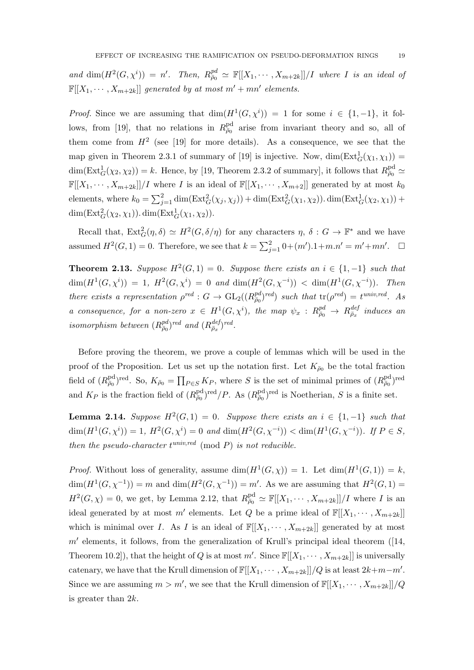and  $\dim(H^2(G,\chi^i)) = n'$ . Then,  $R_{\bar{\rho}_0}^{pd} \simeq \mathbb{F}[[X_1,\cdots,X_{m+2k}]]/I$  where I is an ideal of  $\mathbb{F}[[X_1,\dots,X_{m+2k}]]$  generated by at most  $m'+mn'$  elements.

*Proof.* Since we are assuming that  $\dim(H^1(G, \chi^i)) = 1$  for some  $i \in \{1, -1\}$ , it follows, from [19], that no relations in  $R_{\bar{\rho}_0}^{\text{pd}}$  arise from invariant theory and so, all of them come from  $H^2$  (see [19] for more details). As a consequence, we see that the map given in Theorem 2.3.1 of summary of [19] is injective. Now,  $\dim(\text{Ext}^1_G(\chi_1,\chi_1))$  =  $\dim(\text{Ext}_G^1(\chi_2, \chi_2)) = k$ . Hence, by [19, Theorem 2.3.2 of summary], it follows that  $R_{\bar{\rho}_0}^{\text{pd}} \simeq$  $\mathbb{F}[[X_1,\dots,X_{m+2k}]]/I$  where I is an ideal of  $\mathbb{F}[[X_1,\dots,X_{m+2}]]$  generated by at most  $k_0$ elements, where  $k_0 = \sum_{j=1}^2 \dim(\text{Ext}^2_G(\chi_j, \chi_j)) + \dim(\text{Ext}^2_G(\chi_1, \chi_2)) \cdot \dim(\text{Ext}^1_G(\chi_2, \chi_1)) +$  $\dim(\operatorname{Ext}^2_G(\chi_2,\chi_1))$ .  $\dim(\operatorname{Ext}^1_G(\chi_1,\chi_2))$ .

Recall that,  $\text{Ext}_G^2(\eta, \delta) \simeq H^2(G, \delta/\eta)$  for any characters  $\eta$ ,  $\delta: G \to \mathbb{F}^*$  and we have assumed  $H^2(G, 1) = 0$ . Therefore, we see that  $k = \sum_{j=1}^{2} 0 + (m') \cdot 1 + m \cdot n' = m' + mn'$ .  $\Box$ 

**Theorem 2.13.** Suppose  $H^2(G, 1) = 0$ . Suppose there exists an  $i \in \{1, -1\}$  such that  $\dim(H^1(G,\chi^i)) = 1$ ,  $H^2(G,\chi^i) = 0$  and  $\dim(H^2(G,\chi^{-i})) < \dim(H^1(G,\chi^{-i}))$ . Then there exists a representation  $\rho^{red}: G \to GL_2((R_{\bar{\rho}_0}^{pd})^{red})$  such that  $tr(\rho^{red}) = t^{univ, red}$ . As a consequence, for a non-zero  $x \in H^1(G, \chi^i)$ , the map  $\psi_x : R_{\bar{\rho}_0}^{pd} \to R_{\bar{\rho}_x}^{def}$  induces an isomorphism between  $(R^{pd}_{\bar{\rho}_0})^{red}$  and  $(R^{def}_{\bar{\rho}_x})^{red}$ .

Before proving the theorem, we prove a couple of lemmas which will be used in the proof of the Proposition. Let us set up the notation first. Let  $K_{\bar{\rho}_0}$  be the total fraction field of  $(R_{\bar{p}_0}^{\text{pd}})^{\text{red}}$ . So,  $K_{\bar{p}_0} = \prod_{P \in S} K_P$ , where S is the set of minimal primes of  $(R_{\bar{p}_0}^{\text{pd}})^{\text{red}}$ and  $K_P$  is the fraction field of  $(R_{\bar{p}_0}^{\text{pd}})^{\text{red}}/P$ . As  $(R_{\bar{p}_0}^{\text{pd}})^{\text{red}}$  is Noetherian, S is a finite set.

**Lemma 2.14.** Suppose  $H^2(G,1) = 0$ . Suppose there exists an  $i \in \{1,-1\}$  such that  $\dim(H^1(G, \chi^i)) = 1, H^2(G, \chi^i) = 0$  and  $\dim(H^2(G, \chi^{-i})) < \dim(H^1(G, \chi^{-i}))$ . If  $P \in S$ , then the pseudo-character  $t^{univ, red} \pmod{P}$  is not reducible.

*Proof.* Without loss of generality, assume  $\dim(H^1(G,\chi)) = 1$ . Let  $\dim(H^1(G,1)) = k$ ,  $\dim(H^1(G,\chi^{-1})) = m$  and  $\dim(H^2(G,\chi^{-1})) = m'$ . As we are assuming that  $H^2(G,1) =$  $H^2(G,\chi)=0$ , we get, by Lemma 2.12, that  $R_{\overline{\rho}_0}^{\text{pd}} \simeq \mathbb{F}[[X_1,\cdots,X_{m+2k}]]/I$  where I is an ideal generated by at most m' elements. Let Q be a prime ideal of  $\mathbb{F}[[X_1, \cdots, X_{m+2k}]]$ which is minimal over I. As I is an ideal of  $\mathbb{F}[[X_1, \cdots, X_{m+2k}]]$  generated by at most  $m'$  elements, it follows, from the generalization of Krull's principal ideal theorem ([14, Theorem 10.2]), that the height of Q is at most  $m'$ . Since  $\mathbb{F}[[X_1, \cdots, X_{m+2k}]]$  is universally catenary, we have that the Krull dimension of  $\mathbb{F}[[X_1, \cdots, X_{m+2k}]]/Q$  is at least  $2k+m-m'.$ Since we are assuming  $m > m'$ , we see that the Krull dimension of  $\mathbb{F}[[X_1, \dots, X_{m+2k}]]/Q$ is greater than 2k.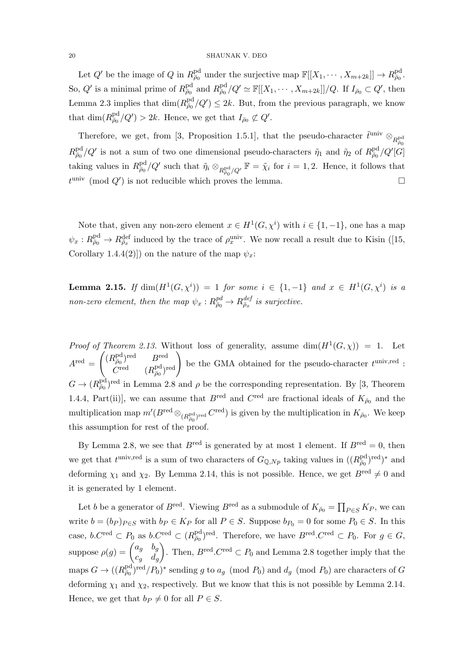Let  $Q'$  be the image of  $Q$  in  $R_{\bar{\rho}_0}^{\text{pd}}$  under the surjective map  $\mathbb{F}[[X_1, \cdots, X_{m+2k}]] \to R_{\bar{\rho}_0}^{\text{pd}}$ . So, Q' is a minimal prime of  $R_{\bar{\rho}_0}^{\text{pd}}$  and  $R_{\bar{\rho}_0}^{\text{pd}}/Q' \simeq \mathbb{F}[[X_1, \cdots, X_{m+2k}]]/Q$ . If  $I_{\bar{\rho}_0} \subset Q'$ , then Lemma 2.3 implies that  $\dim(R_{\bar{p}_0}^{\text{pd}}/Q') \leq 2k$ . But, from the previous paragraph, we know that  $\dim(R_{\bar{\rho}_0}^{\text{pd}}/Q') > 2k$ . Hence, we get that  $I_{\bar{\rho}_0} \not\subset Q'$ .

Therefore, we get, from [3, Proposition 1.5.1], that the pseudo-character  $\tilde{t}^{\text{univ}} \otimes_{R_{\tilde{a}0}^{\text{pd}}}$  $\bar{\rho}_0$  $R_{\bar{\rho}_0}^{\text{pd}}/Q'$  is not a sum of two one dimensional pseudo-characters  $\tilde{\eta}_1$  and  $\tilde{\eta}_2$  of  $R_{\bar{\rho}_0}^{\text{pd}}/Q'[G]$ taking values in  $R^{\text{pd}}_{\bar{\rho}_0}/Q'$  such that  $\tilde{\eta}_i \otimes_{R^{\text{pd}}_{\bar{\rho}_0}/Q'} \mathbb{F} = \tilde{\chi}_i$  for  $i = 1, 2$ . Hence, it follows that  $t^{\text{univ}} \pmod{Q'}$  is not reducible which proves the lemma.

Note that, given any non-zero element  $x \in H^1(G, \chi^i)$  with  $i \in \{1, -1\}$ , one has a map  $\psi_x: R^{\text{pd}}_{\bar{\rho}_0} \to R^{\text{def}}_{\bar{\rho}_x}$  induced by the trace of  $\rho_x^{\text{univ}}$ . We now recall a result due to Kisin ([15, Corollary 1.4.4(2)]) on the nature of the map  $\psi_x$ :

**Lemma 2.15.** If  $\dim(H^1(G, \chi^i)) = 1$  for some  $i \in \{1, -1\}$  and  $x \in H^1(G, \chi^i)$  is a non-zero element, then the map  $\psi_x : R_{\bar{\rho}_0}^{pd} \to R_{\bar{\rho}_x}^{def}$  is surjective.

Proof of Theorem 2.13. Without loss of generality, assume  $\dim(H^1(G,\chi)) = 1$ . Let  $A^{\text{red}} =$  $\left( (R^{\text{pd}}_{\bar{\rho}_0})^{\text{red}} \qquad B^{\text{red}} \right)$  $\begin{pmatrix} P_{\bar{\rho}_0}^{\text{pd}} & B^{\text{red}} \ (R^{\text{pd}}_{\bar{\rho}_0})^{\text{red}} \end{pmatrix}$  be the GMA obtained for the pseudo-character  $t^{\text{univ,red}}$ :  $G \to (R_{\bar{\rho}_0}^{\text{pd}})^{\text{red}}$  in Lemma 2.8 and  $\rho$  be the corresponding representation. By [3, Theorem 1.4.4, Part(ii)], we can assume that  $B^{\text{red}}$  and  $C^{\text{red}}$  are fractional ideals of  $K_{\bar{\rho}_0}$  and the multiplication map  $m'(B^{\text{red}} \otimes_{(R_{\bar{\rho}_0}^{\text{pd}})^{\text{red}}}} C^{\text{red}})$  is given by the multiplication in  $K_{\bar{\rho}_0}$ . We keep this assumption for rest of the proof.

By Lemma 2.8, we see that  $B^{\text{red}}$  is generated by at most 1 element. If  $B^{\text{red}} = 0$ , then we get that  $t^{\text{univ,red}}$  is a sum of two characters of  $G_{\mathbb{Q},Np}$  taking values in  $((R_{\bar{p}_0}^{\text{pd}})^{\text{red}})^*$  and deforming  $\chi_1$  and  $\chi_2$ . By Lemma 2.14, this is not possible. Hence, we get  $B^{\text{red}} \neq 0$  and it is generated by 1 element.

Let b be a generator of  $B^{\text{red}}$ . Viewing  $B^{\text{red}}$  as a submodule of  $K_{\bar{\rho}_0} = \prod_{P \in S} K_P$ , we can write  $b = (b_P)_{P \in S}$  with  $b_P \in K_P$  for all  $P \in S$ . Suppose  $b_{P_0} = 0$  for some  $P_0 \in S$ . In this case,  $b.C^{\text{red}} \subset P_0$  as  $b.C^{\text{red}} \subset (R_{\overline{\rho}_0}^{\text{pd}})^{\text{red}}$ . Therefore, we have  $B^{\text{red}}.C^{\text{red}} \subset P_0$ . For  $g \in G$ , suppose  $\rho(g) = \begin{pmatrix} a_g & b_g \end{pmatrix}$  $c_g$   $d_g$ . Then,  $B^{\text{red}}$ . C<sup>red</sup>  $\subset P_0$  and Lemma 2.8 together imply that the maps  $G \to ((R_{\bar{p}_0}^{\text{pd}})^{\text{red}}/P_0)^*$  sending g to  $a_g \pmod{P_0}$  and  $d_g \pmod{P_0}$  are characters of G deforming  $\chi_1$  and  $\chi_2$ , respectively. But we know that this is not possible by Lemma 2.14. Hence, we get that  $b_P \neq 0$  for all  $P \in S$ .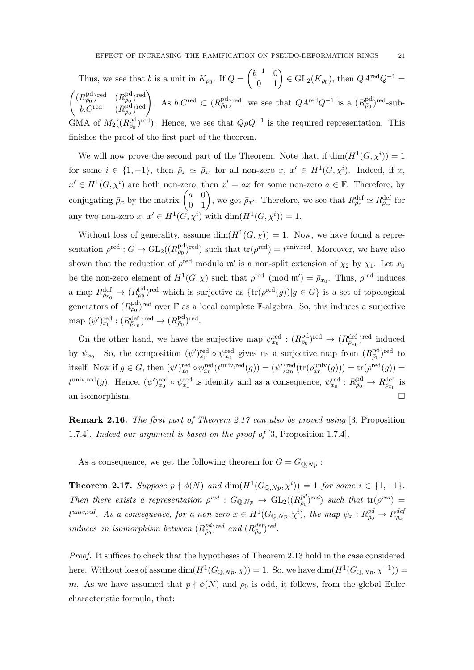Thus, we see that b is a unit in  $K_{\bar{\rho}_0}$ . If  $Q = \begin{pmatrix} b^{-1} & 0 \\ 0 & 1 \end{pmatrix} \in GL_2(K_{\bar{\rho}_0})$ , then  $QA^{\text{red}}Q^{-1} =$  $\left( (R^{\text{pd}}_{\bar{\rho}_0})^{\text{red}} \quad (R^{\text{pd}}_{\bar{\rho}_0})^{\text{red}} \right)$  $\begin{pmatrix} R^{\text{pd}}_{\bar{\rho}_0} & R^{\text{pd}}_{\bar{\rho}_0} \end{pmatrix}$  and  $\begin{pmatrix} R^{\text{pd}}_{\bar{\rho}_0} & R^{\text{pd}}_{\bar{\rho}_0} \end{pmatrix}$ . As  $b.C^{\text{red}} \subset (R^{\text{pd}}_{\bar{\rho}_0})^{\text{red}}$ , we see that  $QA^{\text{red}}Q^{-1}$  is a  $(R^{\text{pd}}_{\bar{\rho}_0})^{\text{red}}$ -sub-GMA of  $M_2((R_{\bar{p}_0}^{\text{pd}})^{\text{red}})$ . Hence, we see that  $Q\rho Q^{-1}$  is the required representation. This finishes the proof of the first part of the theorem.

We will now prove the second part of the Theorem. Note that, if  $\dim(H^1(G, \chi^i)) = 1$ for some  $i \in \{1, -1\}$ , then  $\bar{\rho}_x \simeq \bar{\rho}_{x'}$  for all non-zero  $x, x' \in H^1(G, \chi^i)$ . Indeed, if x,  $x' \in H^1(G, \chi^i)$  are both non-zero, then  $x' = ax$  for some non-zero  $a \in \mathbb{F}$ . Therefore, by conjugating  $\bar{\rho}_x$  by the matrix  $\begin{pmatrix} a & 0 \\ 0 & 1 \end{pmatrix}$ , we get  $\bar{\rho}_{x'}$ . Therefore, we see that  $R_{\bar{\rho}_x}^{\text{def}} \simeq R_{\bar{\rho}_{x'}}^{\text{def}}$  for any two non-zero  $x, x' \in H^1(G, \chi^i)$  with  $\dim(H^1(G, \chi^i)) = 1$ .

Without loss of generality, assume  $\dim(H^1(G,\chi)) = 1$ . Now, we have found a representation  $\rho^{\text{red}} : G \to \text{GL}_2((R_{\bar{\rho}_0}^{\text{pd}})^{\text{red}})$  such that  $\text{tr}(\rho^{\text{red}}) = t^{\text{univ,red}}$ . Moreover, we have also shown that the reduction of  $\rho^{\text{red}}$  modulo  $\mathfrak{m}'$  is a non-split extension of  $\chi_2$  by  $\chi_1$ . Let  $x_0$ be the non-zero element of  $H^1(G,\chi)$  such that  $\rho^{\text{red}}$  (mod  $\mathfrak{m}'=\bar{\rho}_{x_0}$ . Thus,  $\rho^{\text{red}}$  induces a map  $R_{\bar{\rho}_{x_0}}^{\text{def}} \to (R_{\bar{\rho}_0}^{\text{pd}})^{\text{red}}$  which is surjective as  $\{\text{tr}(\rho^{\text{red}}(g))|g \in G\}$  is a set of topological generators of  $(R^{\text{pd}}_{\bar{\rho}_0})^{\text{red}}$  over  $\mathbb F$  as a local complete F-algebra. So, this induces a surjective map  $(\psi')_{x_0}^{\text{red}} : (R_{\bar{\rho}_{x_0}}^{\text{def}})^{\text{red}} \to (R_{\bar{\rho}_0}^{\text{pd}})^{\text{red}}.$ 

On the other hand, we have the surjective map  $\psi_{x_0}^{\text{red}} : (R_{\bar{\rho}_0}^{\text{pd}})^{\text{red}} \to (R_{\bar{\rho}_{x_0}}^{\text{def}})^{\text{red}}$  induced by  $\psi_{x_0}$ . So, the composition  $(\psi')_{x_0}^{\text{red}} \circ \psi_{x_0}^{\text{red}}$  gives us a surjective map from  $(R_{\bar{\rho}_0}^{\text{pd}})^{\text{red}}$  to itself. Now if  $g \in G$ , then  $(\psi')_{x_0}^{\text{red}} \circ \psi_{x_0}^{\text{red}}(t^{\text{univ,red}}(g)) = (\psi')_{x_0}^{\text{red}}(\text{tr}(\rho_{x_0}^{\text{univ}}(g))) = \text{tr}(\rho^{\text{red}}(g)) =$  $t^{\text{univ,red}}(g)$ . Hence,  $(\psi')_{x_0}^{\text{red}} \circ \psi_{x_0}^{\text{red}}$  is identity and as a consequence,  $\psi_{x_0}^{\text{red}} : R_{\bar{\rho}_0}^{\text{pd}} \to R_{\bar{\rho}_{x_0}}^{\text{def}}$  is an isomorphism.

Remark 2.16. The first part of Theorem 2.17 can also be proved using [3, Proposition 1.7.4]. Indeed our argument is based on the proof of [3, Proposition 1.7.4].

As a consequence, we get the following theorem for  $G = G_{\mathbb{Q},Np}$ :

**Theorem 2.17.** Suppose  $p \nmid \phi(N)$  and  $\dim(H^1(G_{\mathbb{Q},Np},\chi^i)) = 1$  for some  $i \in \{1,-1\}$ . Then there exists a representation  $\rho^{red}$  :  $G_{\mathbb{Q},Np} \to GL_2((R_{\overline{\rho}_0}^{pd})^{red})$  such that  $tr(\rho^{red}) =$  $t^{univ,red}$ . As a consequence, for a non-zero  $x \in H^1(G_{\mathbb{Q},Np},\chi^i)$ , the map  $\psi_x: R^{pd}_{\bar{\rho}_0} \to R^{dej}_{\bar{\rho}_x}$ induces an isomorphism between  $(R_{\bar{\rho}_0}^{pd})^{red}$  and  $(R_{\bar{\rho}_x}^{def})^{red}$ .

Proof. It suffices to check that the hypotheses of Theorem 2.13 hold in the case considered here. Without loss of assume  $\dim(H^1(G_{\mathbb{Q},Np},\chi)) = 1$ . So, we have  $\dim(H^1(G_{\mathbb{Q},Np},\chi^{-1})) =$ m. As we have assumed that  $p \nmid \phi(N)$  and  $\bar{\rho}_0$  is odd, it follows, from the global Euler characteristic formula, that: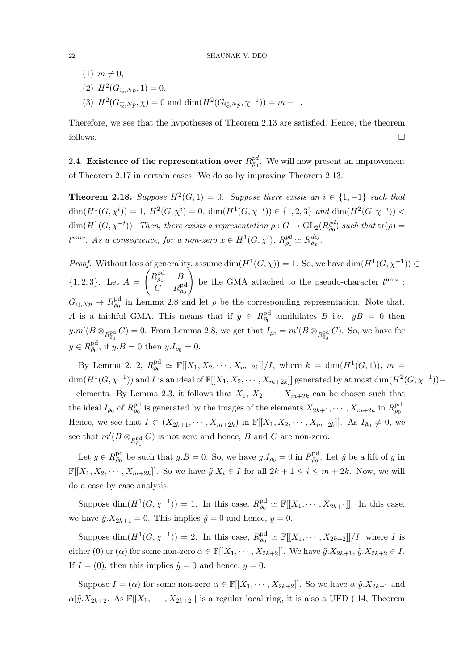- $(1)$   $m \neq 0$ ,
- (2)  $H^2(G_{\mathbb{Q},Np},1)=0,$
- (3)  $H^2(G_{\mathbb{Q},Np}, \chi) = 0$  and  $\dim(H^2(G_{\mathbb{Q},Np}, \chi^{-1})) = m 1$ .

Therefore, we see that the hypotheses of Theorem 2.13 are satisfied. Hence, the theorem follows.  $\Box$ 

2.4. Existence of the representation over  $R_{\bar{\rho}_0}^{pd}$ . We will now present an improvement of Theorem 2.17 in certain cases. We do so by improving Theorem 2.13.

**Theorem 2.18.** Suppose  $H^2(G,1) = 0$ . Suppose there exists an  $i \in \{1,-1\}$  such that  $\dim(H^1(G, \chi^i)) = 1, H^2(G, \chi^i) = 0, \, \dim(H^1(G, \chi^{-i})) \in \{1, 2, 3\} \text{ and } \dim(H^2(G, \chi^{-i})) <$  $\dim(H^1(G,\chi^{-i}))$ . Then, there exists a representation  $\rho: G \to \text{GL}_2(R_{\overline{\rho}_0}^{pd})$  such that  $\text{tr}(\rho)$  =  $t^{univ}$ . As a consequence, for a non-zero  $x \in H^1(G, \chi^i)$ ,  $R^{pd}_{\bar{\rho}_0} \simeq R^{def}_{\bar{\rho}_x}$ .

*Proof.* Without loss of generality, assume  $\dim(H^1(G,\chi)) = 1$ . So, we have  $\dim(H^1(G,\chi^{-1})) \in$  ${1, 2, 3}.$  Let  $A =$  $\left(R_{\bar{\rho}_0}^{\rm pd} \quad B\right)$  $\stackrel{\cdot \cdot }{C}$   $\stackrel{\cdot \cdot }{R}^{\mathrm{pd}}_{\bar{\rho}_0}$  $\setminus$ be the GMA attached to the pseudo-character  $t^{\text{univ}}$ :  $G_{\mathbb{Q},Np} \to R^{\text{pd}}_{\bar{\rho}_0}$  in Lemma 2.8 and let  $\rho$  be the corresponding representation. Note that, A is a faithful GMA. This means that if  $y \in R^{\text{pd}}_{\overline{\rho}_0}$  annihilates B i.e.  $yB = 0$  then  $y.m'(B\otimes_{R_{\bar{\rho}_0}^{\text{pd}}} C) = 0$ . From Lemma 2.8, we get that  $I_{\bar{\rho}_0} = m'(B\otimes_{R_{\bar{\rho}_0}^{\text{pd}}} C)$ . So, we have for  $y \in R^{\text{pd}}_{\bar{\rho}_0}$ , if  $y.B = 0$  then  $y.I_{\bar{\rho}_0} = 0$ .

By Lemma 2.12,  $R_{\bar{\rho}_0}^{\text{pd}} \simeq \mathbb{F}[[X_1, X_2, \cdots, X_{m+2k}]]/I$ , where  $k = \dim(H^1(G, 1)), m =$  $\dim(H^1(G,\chi^{-1}))$  and I is an ideal of  $\mathbb{F}[[X_1,X_2,\cdots,X_{m+2k}]]$  generated by at most  $\dim(H^2(G,\chi^{-1}))$  – 1 elements. By Lemma 2.3, it follows that  $X_1, X_2, \cdots, X_{m+2k}$  can be chosen such that the ideal  $I_{\bar{\rho}_0}$  of  $R^{\text{pd}}_{\bar{\rho}_0}$  is generated by the images of the elements  $X_{2k+1}, \cdots, X_{m+2k}$  in  $R^{\text{pd}}_{\bar{\rho}_0}$ . Hence, we see that  $I \subset (X_{2k+1}, \cdots, X_{m+2k})$  in  $\mathbb{F}[[X_1, X_2, \cdots, X_{m+2k}]]$ . As  $I_{\bar{\rho}_0} \neq 0$ , we see that  $m'(B \otimes_{R_{\bar{\rho}_0}^{\text{pd}}} C)$  is not zero and hence, B and C are non-zero.

Let  $y \in R^{\text{pd}}_{\bar{\rho}_0}$  be such that  $y.B = 0$ . So, we have  $y.I_{\bar{\rho}_0} = 0$  in  $R^{\text{pd}}_{\bar{\rho}_0}$ . Let  $\tilde{y}$  be a lift of y in  $\mathbb{F}[X_1, X_2, \cdots, X_{m+2k}].$  So we have  $\tilde{y}.X_i \in I$  for all  $2k+1 \leq i \leq m+2k$ . Now, we will do a case by case analysis.

Suppose  $\dim(H^1(G,\chi^{-1})) = 1$ . In this case,  $R_{\overline{\rho}_0}^{\text{pd}} \simeq \mathbb{F}[[X_1,\cdots,X_{2k+1}]]$ . In this case, we have  $\tilde{y}.X_{2k+1} = 0$ . This implies  $\tilde{y} = 0$  and hence,  $y = 0$ .

Suppose  $\dim(H^1(G,\chi^{-1})) = 2$ . In this case,  $R_{\bar{\rho}_0}^{\text{pd}} \simeq \mathbb{F}[[X_1,\cdots,X_{2k+2}]]/I$ , where I is either (0) or ( $\alpha$ ) for some non-zero  $\alpha \in \mathbb{F}[[X_1, \cdots, X_{2k+2}]]$ . We have  $\tilde{y}.X_{2k+1}, \tilde{y}.X_{2k+2} \in I$ . If  $I = (0)$ , then this implies  $\tilde{y} = 0$  and hence,  $y = 0$ .

Suppose  $I = (\alpha)$  for some non-zero  $\alpha \in \mathbb{F}[[X_1, \cdots, X_{2k+2}]]$ . So we have  $\alpha | \tilde{y}.X_{2k+1}$  and  $\alpha|\tilde{y}.X_{2k+2}$ . As  $\mathbb{F}[[X_1,\cdots,X_{2k+2}]]$  is a regular local ring, it is also a UFD ([14, Theorem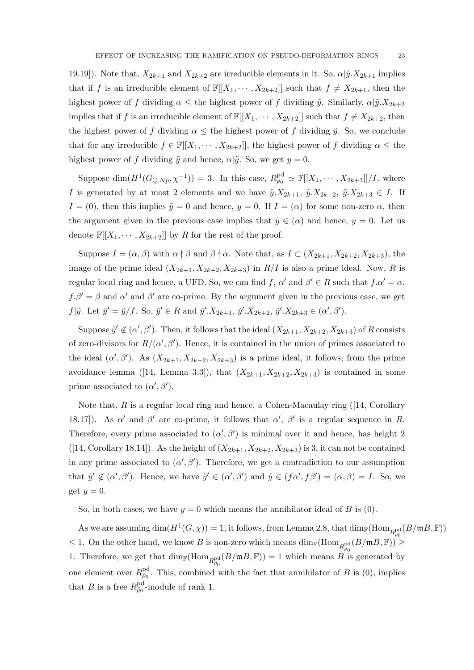19.19]). Note that,  $X_{2k+1}$  and  $X_{2k+2}$  are irreducible elements in it. So,  $\alpha|\tilde{y}.X_{2k+1}$  implies that if f is an irreducible element of  $\mathbb{F}[[X_1, \cdots, X_{2k+2}]]$  such that  $f \neq X_{2k+1}$ , then the highest power of f dividing  $\alpha \leq$  the highest power of f dividing  $\tilde{y}$ . Similarly,  $\alpha|\tilde{y}.X_{2k+2}$ implies that if f is an irreducible element of  $\mathbb{F}[X_1, \dots, X_{2k+2}]$  such that  $f \neq X_{2k+2}$ , then the highest power of f dividing  $\alpha \leq$  the highest power of f dividing  $\tilde{y}$ . So, we conclude that for any irreducible  $f \in \mathbb{F}[[X_1, \cdots, X_{2k+2}]]$ , the highest power of f dividing  $\alpha \leq$  the highest power of f dividing  $\tilde{y}$  and hence,  $\alpha|\tilde{y}$ . So, we get  $y = 0$ .

Suppose  $\dim(H^1(G_{\mathbb{Q},Np},\chi^{-1})) = 3$ . In this case,  $R^{\text{pd}}_{\bar{\rho}_0} \simeq \mathbb{F}[[X_1,\cdots,X_{2k+3}]]/I$ , where I is generated by at most 2 elements and we have  $\tilde{y}.X_{2k+1}, \tilde{y}.X_{2k+2}, \tilde{y}.X_{2k+3} \in I$ . If  $I = (0)$ , then this implies  $\tilde{y} = 0$  and hence,  $y = 0$ . If  $I = (\alpha)$  for some non-zero  $\alpha$ , then the argument given in the previous case implies that  $\tilde{y} \in (\alpha)$  and hence,  $y = 0$ . Let us denote  $\mathbb{F}[X_1, \cdots, X_{2k+2}]$  by R for the rest of the proof.

Suppose  $I = (\alpha, \beta)$  with  $\alpha \nmid \beta$  and  $\beta \nmid \alpha$ . Note that, as  $I \subset (X_{2k+1}, X_{2k+2}, X_{2k+3})$ , the image of the prime ideal  $(X_{2k+1}, X_{2k+2}, X_{2k+3})$  in  $R/I$  is also a prime ideal. Now, R is regular local ring and hence, a UFD. So, we can find f,  $\alpha'$  and  $\beta' \in R$  such that  $f \cdot \alpha' = \alpha$ ,  $f \cdot \beta' = \beta$  and  $\alpha'$  and  $\beta'$  are co-prime. By the argument given in the previous case, we get  $f|\tilde{y}$ . Let  $\tilde{y}' = \tilde{y}/f$ . So,  $\tilde{y}' \in R$  and  $\tilde{y}'.X_{2k+1}$ ,  $\tilde{y}'.X_{2k+2}$ ,  $\tilde{y}'.X_{2k+3} \in (\alpha', \beta')$ .

Suppose  $\tilde{y}' \notin (\alpha', \beta')$ . Then, it follows that the ideal  $(X_{2k+1}, X_{2k+2}, X_{2k+3})$  of R consists of zero-divisors for  $R/(\alpha', \beta')$ . Hence, it is contained in the union of primes associated to the ideal  $(\alpha', \beta')$ . As  $(X_{2k+1}, X_{2k+2}, X_{2k+3})$  is a prime ideal, it follows, from the prime avoidance lemma ([14, Lemma 3.3]), that  $(X_{2k+1}, X_{2k+2}, X_{2k+3})$  is contained in some prime associated to  $(\alpha', \beta')$ .

Note that,  $R$  is a regular local ring and hence, a Cohen-Macaulay ring ([14, Corollary 18.17). As  $\alpha'$  and  $\beta'$  are co-prime, it follows that  $\alpha'$ ,  $\beta'$  is a regular sequence in R. Therefore, every prime associated to  $(\alpha', \beta')$  is minimal over it and hence, has height 2 ([14, Corollary 18.14]). As the height of  $(X_{2k+1}, X_{2k+2}, X_{2k+3})$  is 3, it can not be contained in any prime associated to  $(\alpha', \beta')$ . Therefore, we get a contradiction to our assumption that  $\tilde{y}' \notin (\alpha', \beta')$ . Hence, we have  $\tilde{y}' \in (\alpha', \beta')$  and  $\tilde{y} \in (f\alpha', f\beta') = (\alpha, \beta) = I$ . So, we get  $y=0$ .

So, in both cases, we have  $y = 0$  which means the annihilator ideal of B is (0).

As we are assuming  $\dim(H^1(G,\chi)) = 1$ , it follows, from Lemma 2.8, that  $\dim_{\mathbb{F}}(\text{Hom}_{R^{\text{pd}}_{\overline{a}\alpha}}(B/\mathfrak{m}B,\mathbb{F}))$  $\leq 1$ . On the other hand, we know B is non-zero which means  $\dim_{\mathbb{F}}(\text{Hom}_{R_{\overline{\rho}_0}^{\text{pd}}}(B/\mathfrak{m}B, \mathbb{F})) \geq$ 1. Therefore, we get that  $\dim_{\mathbb{F}}(\text{Hom}_{R_{\rho_0}^{\text{pd}}}(B/\mathfrak{m}B,\mathbb{F}))=1$  which means B is generated by one element over  $R_{\bar{\rho}_0}^{\text{pd}}$ . This, combined with the fact that annihilator of B is (0), implies that B is a free  $R_{\bar{\rho}_0}^{\text{pd}}$ -module of rank 1.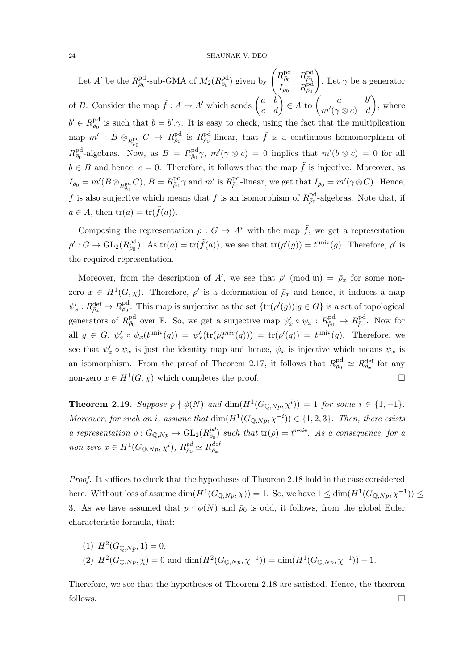Let A' be the  $R^{\text{pd}}_{\bar{\rho}_0}$ -sub-GMA of  $M_2(R^{\text{pd}}_{\bar{\rho}_0})$  given by  $\begin{pmatrix} R^{\text{pd}}_{\bar{\rho}_0} & R^{\text{pd}}_{\bar{\rho}_0} \\ I & P^{\text{pd}}_{\bar{\rho}_0} \end{pmatrix}$  $I_{\bar\rho_0}$   $R^{\rm pd}_{\bar\rho_0}$  $\setminus$ . Let  $\gamma$  be a generator of B. Consider the map  $\tilde{f}: A \to A'$  which sends  $\begin{pmatrix} a & b \\ c & d \end{pmatrix} \in A$  to  $\begin{pmatrix} a & b' \\ m'(\gamma \otimes c) & d \end{pmatrix}$  $m'(\gamma \otimes c)$  d ), where  $b' \in R^{\text{pd}}_{\bar{\rho}_0}$  is such that  $b = b'.\gamma$ . It is easy to check, using the fact that the multiplication  $\text{map } m' : B \otimes_{R^{\text{pd}}_{\rho_0}} C \to R^{\text{pd}}_{\bar{\rho}_0}$  is  $R^{\text{pd}}_{\bar{\rho}_0}$ -linear, that  $\tilde{f}$  is a continuous homomorphism of  $R^{\text{pd}}_{\bar{\rho}_0}$ -algebras. Now, as  $B = R^{\text{pd}}_{\bar{\rho}_0} \gamma$ ,  $m'(\gamma \otimes c) = 0$  implies that  $m'(b \otimes c) = 0$  for all  $b \in B$  and hence,  $c = 0$ . Therefore, it follows that the map  $\tilde{f}$  is injective. Moreover, as  $I_{\bar{\rho}_0} = m'(B \otimes_{R^{\text{pd}}_{\bar{\rho}_0}} C), B = R^{\text{pd}}_{\bar{\rho}_0} \gamma$  and  $m'$  is  $R^{\text{pd}}_{\bar{\rho}_0}$ -linear, we get that  $I_{\bar{\rho}_0} = m'(\gamma \otimes C)$ . Hence,  $\tilde{f}$  is also surjective which means that  $\tilde{f}$  is an isomorphism of  $R_{\bar{p}_0}^{\text{pd}}$ -algebras. Note that, if  $a \in A$ , then  $\text{tr}(a) = \text{tr}(\tilde{f}(a)).$ 

Composing the representation  $\rho: G \to A^*$  with the map  $\tilde{f}$ , we get a representation  $\rho': G \to GL_2(R_{\bar{\rho}_0}^{\text{pd}})$ . As  $\text{tr}(a) = \text{tr}(\tilde{f}(a))$ , we see that  $\text{tr}(\rho'(g)) = t^{\text{univ}}(g)$ . Therefore,  $\rho'$  is the required representation.

Moreover, from the description of A', we see that  $\rho'$  (mod m) =  $\bar{\rho}_x$  for some nonzero  $x \in H^1(G, \chi)$ . Therefore,  $\rho'$  is a deformation of  $\overline{\rho}_x$  and hence, it induces a map  $\psi'_x: R^{\text{def}}_{\bar{\rho}_x} \to R^{\text{pd}}_{\bar{\rho}_0}$ . This map is surjective as the set  $\{\text{tr}(\rho'(g)) | g \in G\}$  is a set of topological generators of  $R^{\text{pd}}_{\bar{\rho}_0}$  over F. So, we get a surjective map  $\psi'_x \circ \psi_x : R^{\text{pd}}_{\bar{\rho}_0} \to R^{\text{pd}}_{\bar{\rho}_0}$ . Now for all  $g \in G$ ,  $\psi'_x \circ \psi_x(t^{\text{univ}}(g)) = \psi'_x(\text{tr}(\rho_x^{\text{univ}}(g))) = \text{tr}(\rho'(g)) = t^{\text{univ}}(g)$ . Therefore, we see that  $\psi'_x \circ \psi_x$  is just the identity map and hence,  $\psi_x$  is injective which means  $\psi_x$  is an isomorphism. From the proof of Theorem 2.17, it follows that  $R_{\bar{\rho}_0}^{\text{pd}} \simeq R_{\bar{\rho}_x}^{\text{def}}$  for any non-zero  $x \in H^1(G, \chi)$  which completes the proof.

**Theorem 2.19.** Suppose  $p \nmid \phi(N)$  and  $\dim(H^1(G_{\mathbb{Q},Np},\chi^i)) = 1$  for some  $i \in \{1,-1\}$ . Moreover, for such an i, assume that  $\dim(H^1(G_{\mathbb{Q},Np}, \chi^{-i})) \in \{1,2,3\}$ . Then, there exists a representation  $\rho: G_{\mathbb{Q},Np} \to GL_2(R_{\bar{\rho}_0}^{pd})$  such that  $tr(\rho) = t^{univ}$ . As a consequence, for a non-zero  $x \in H^1(G_{\mathbb{Q},Np}, \chi^i)$ ,  $R_{\bar{\rho}_0}^{pd} \simeq R_{\bar{\rho}_x}^{def}$ .

Proof. It suffices to check that the hypotheses of Theorem 2.18 hold in the case considered here. Without loss of assume  $\dim(H^1(G_{\mathbb{Q},Np},\chi)) = 1$ . So, we have  $1 \leq \dim(H^1(G_{\mathbb{Q},Np},\chi^{-1})) \leq$ 3. As we have assumed that  $p \nmid \phi(N)$  and  $\bar{\rho}_0$  is odd, it follows, from the global Euler characteristic formula, that:

(1) 
$$
H^2(G_{\mathbb{Q},Np}, 1) = 0
$$
,  
(2)  $H^2(G_{\mathbb{Q},Np}, \chi) = 0$  and  $\dim(H^2(G_{\mathbb{Q},Np}, \chi^{-1})) = \dim(H^1(G_{\mathbb{Q},Np}, \chi^{-1})) - 1$ .

Therefore, we see that the hypotheses of Theorem 2.18 are satisfied. Hence, the theorem follows.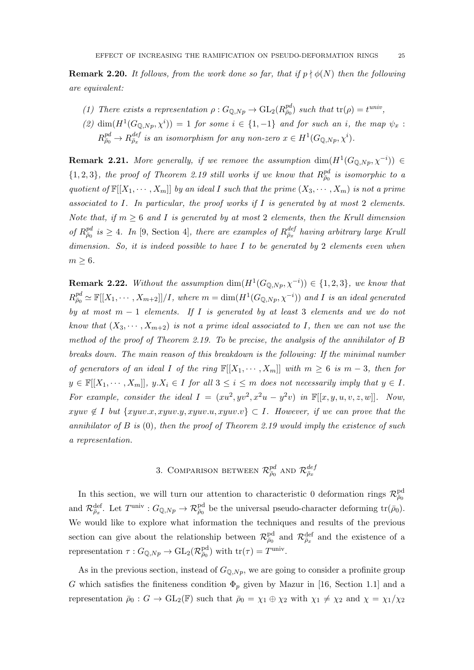**Remark 2.20.** It follows, from the work done so far, that if  $p \nmid \phi(N)$  then the following are equivalent:

- (1) There exists a representation  $\rho: G_{\mathbb{Q},Np} \to GL_2(R_{\overline{\rho}_0}^{pd})$  such that  $tr(\rho) = t^{univ}$ ,
- (2)  $\dim(H^1(G_{\mathbb{Q},Np},\chi^i)) = 1$  for some  $i \in \{1,-1\}$  and for such an i, the map  $\psi_x$ :  $R_{\bar{\rho}_0}^{pd} \to R_{\bar{\rho}_x}^{def}$  is an isomorphism for any non-zero  $x \in H^1(G_{\mathbb{Q},Np},\chi^i)$ .

**Remark 2.21.** More generally, if we remove the assumption  $\dim(H^1(G_{\mathbb{Q},Np},\chi^{-i})) \in$  $\{1,2,3\}$ , the proof of Theorem 2.19 still works if we know that  $R_{\bar{\rho}_0}^{pd}$  is isomorphic to a quotient of  $\mathbb{F}[X_1, \dots, X_m]$  by an ideal I such that the prime  $(X_3, \dots, X_m)$  is not a prime associated to I. In particular, the proof works if I is generated by at most 2 elements. Note that, if  $m \geq 6$  and I is generated by at most 2 elements, then the Krull dimension of  $R_{\bar{\rho}_0}^{pd}$  is  $\geq 4$ . In [9, Section 4], there are examples of  $R_{\bar{\rho}_x}^{def}$  having arbitrary large Kruli dimension. So, it is indeed possible to have  $I$  to be generated by 2 elements even when  $m \geq 6$ .

**Remark 2.22.** Without the assumption  $\dim(H^1(G_{\mathbb{Q},Np}, \chi^{-i})) \in \{1,2,3\}$ , we know that  $R_{\bar{\rho}_0}^{pd}\simeq \mathbb{F}[[X_1,\cdots,X_{m+2}]]/I$ , where  $m=\dim(H^1(G_{\mathbb{Q},Np},\chi^{-i}))$  and I is an ideal generated by at most  $m - 1$  elements. If I is generated by at least 3 elements and we do not know that  $(X_3, \dots, X_{m+2})$  is not a prime ideal associated to I, then we can not use the method of the proof of Theorem 2.19. To be precise, the analysis of the annihilator of B breaks down. The main reason of this breakdown is the following: If the minimal number of generators of an ideal I of the ring  $\mathbb{F}[[X_1, \cdots, X_m]]$  with  $m \geq 6$  is  $m-3$ , then for  $y \in \mathbb{F}[[X_1, \cdots, X_m]], y.X_i \in I$  for all  $3 \leq i \leq m$  does not necessarily imply that  $y \in I$ . For example, consider the ideal  $I = (xu^2, yv^2, x^2u - y^2v)$  in  $\mathbb{F}[[x, y, u, v, z, w]]$ . Now, xyuv  $\notin I$  but  $\{xyuv.x, xyuv.y, xyuv.u, xyuv.v\} \subset I$ . However, if we can prove that the annihilator of B is  $(0)$ , then the proof of Theorem 2.19 would imply the existence of such a representation.

# 3. COMPARISON BETWEEN  $\mathcal{R}^{pd}_{\bar{\rho}_0}$  and  $\mathcal{R}^{def}_{\bar{\rho}_x}$

In this section, we will turn our attention to characteristic 0 deformation rings  $\mathcal{R}^{\text{pd}}_{\bar{\rho}_0}$ and  $\mathcal{R}_{\bar{\rho}_x}^{\text{def}}$ . Let  $T^{\text{univ}}: G_{\mathbb{Q},Np} \to \mathcal{R}_{\bar{\rho}_0}^{\text{pd}}$  be the universal pseudo-character deforming  $\text{tr}(\bar{\rho}_0)$ . We would like to explore what information the techniques and results of the previous section can give about the relationship between  $\mathcal{R}^{\text{pd}}_{\bar{\rho}_0}$  and  $\mathcal{R}^{\text{def}}_{\bar{\rho}_x}$  and the existence of a representation  $\tau: G_{\mathbb{Q},Np} \to \mathrm{GL}_2(\mathcal{R}^{\text{pd}}_{\overline{\rho}_0})$  with  $\mathrm{tr}(\tau) = T^{\text{univ}}$ .

As in the previous section, instead of  $G_{\mathbb{Q},Np}$ , we are going to consider a profinite group G which satisfies the finiteness condition  $\Phi_p$  given by Mazur in [16, Section 1.1] and a representation  $\bar{\rho}_0$  :  $G \to GL_2(\mathbb{F})$  such that  $\bar{\rho}_0 = \chi_1 \oplus \chi_2$  with  $\chi_1 \neq \chi_2$  and  $\chi = \chi_1/\chi_2$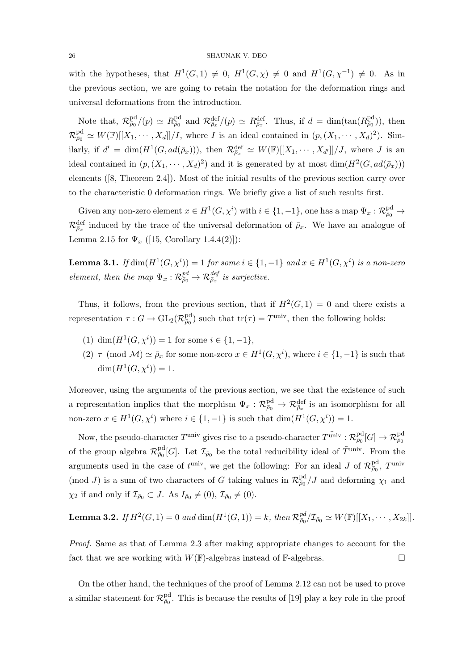#### 26 SHAUNAK V. DEO

with the hypotheses, that  $H^1(G,1) \neq 0$ ,  $H^1(G,\chi) \neq 0$  and  $H^1(G,\chi^{-1}) \neq 0$ . As in the previous section, we are going to retain the notation for the deformation rings and universal deformations from the introduction.

Note that,  $\mathcal{R}_{\bar{\rho}_0}^{\text{pd}}(p) \simeq R_{\bar{\rho}_0}^{\text{pd}}$  and  $\mathcal{R}_{\bar{\rho}_x}^{\text{def}}(p) \simeq R_{\bar{\rho}_x}^{\text{def}}$ . Thus, if  $d = \dim(\tan(R_{\bar{\rho}_0}^{\text{pd}}))$ , then  $\mathcal{R}^{\text{pd}}_{\bar{\rho}_0} \simeq W(\mathbb{F})[[X_1,\cdots,X_d]]/I$ , where I is an ideal contained in  $(p,(X_1,\cdots,X_d)^2)$ . Similarly, if  $d' = \dim(H^1(G, ad(\bar{\rho}_x)))$ , then  $\mathcal{R}_{\bar{\rho}_x}^{\text{def}} \simeq W(\mathbb{F})[[X_1, \cdots, X_{d'}]]/J$ , where J is an ideal contained in  $(p, (X_1, \dots, X_d)^2)$  and it is generated by at most  $\dim(H^2(G, ad(\bar{\rho}_x)))$ elements ([8, Theorem 2.4]). Most of the initial results of the previous section carry over to the characteristic 0 deformation rings. We briefly give a list of such results first.

Given any non-zero element  $x \in H^1(G, \chi^i)$  with  $i \in \{1, -1\}$ , one has a map  $\Psi_x : \mathcal{R}^{\text{pd}}_{\bar{p}_0} \to$  $\mathcal{R}^{\text{def}}_{\bar{\rho}_x}$  induced by the trace of the universal deformation of  $\bar{\rho}_x$ . We have an analogue of Lemma 2.15 for  $\Psi_x$  ([15, Corollary 1.4.4(2)]):

**Lemma 3.1.** If  $\dim(H^1(G,\chi^i)) = 1$  for some  $i \in \{1,-1\}$  and  $x \in H^1(G,\chi^i)$  is a non-zero element, then the map  $\Psi_x : \mathcal{R}^{pd}_{\bar{\rho}_0} \to \mathcal{R}^{def}_{\bar{\rho}_x}$  is surjective.

Thus, it follows, from the previous section, that if  $H^2(G,1) = 0$  and there exists a representation  $\tau: G \to \text{GL}_2(\mathcal{R}^{\text{pd}}_{\bar{\rho}_0})$  such that  $\text{tr}(\tau) = T^{\text{univ}}$ , then the following holds:

- (1)  $\dim(H^1(G, \chi^i)) = 1$  for some  $i \in \{1, -1\},$
- (2)  $\tau \pmod{\mathcal{M}} \simeq \bar{\rho}_x$  for some non-zero  $x \in H^1(G, \chi^i)$ , where  $i \in \{1, -1\}$  is such that  $\dim(H^1(G, \chi^i)) = 1.$

Moreover, using the arguments of the previous section, we see that the existence of such a representation implies that the morphism  $\Psi_x$ :  $\mathcal{R}^{\text{pd}}_{\bar{\rho}_0} \to \mathcal{R}^{\text{def}}_{\bar{\rho}_x}$  is an isomorphism for all non-zero  $x \in H^1(G, \chi^i)$  where  $i \in \{1, -1\}$  is such that  $\dim(H^1(G, \chi^i)) = 1$ .

Now, the pseudo-character  $T^{\rm univ}$  gives rise to a pseudo-character  $T^{\rm univ} : \mathcal{R}^{\rm pd}_{\bar\rho_0}[G] \to \mathcal{R}^{\rm pd}_{\bar\rho_0}$ of the group algebra  $\mathcal{R}^{\text{pd}}_{\bar{p}_0}[G]$ . Let  $\mathcal{I}_{\bar{p}_0}$  be the total reducibility ideal of  $\tilde{T}^{\text{univ}}$ . From the arguments used in the case of  $t^{\text{univ}}$ , we get the following: For an ideal J of  $\mathcal{R}^{\text{pd}}_{\bar{\rho}_0}$ ,  $T^{\text{univ}}$ (mod J) is a sum of two characters of G taking values in  $\mathcal{R}^{pd}_{\bar{\rho}_0}/J$  and deforming  $\chi_1$  and  $\chi_2$  if and only if  $\mathcal{I}_{\bar{\rho}_0} \subset J$ . As  $I_{\bar{\rho}_0} \neq (0)$ ,  $\mathcal{I}_{\bar{\rho}_0} \neq (0)$ .

**Lemma 3.2.** If  $H^2(G, 1) = 0$  and  $\dim(H^1(G, 1)) = k$ , then  $\mathcal{R}^{pd}_{\bar{\rho}_0}/\mathcal{I}_{\bar{\rho}_0} \simeq W(\mathbb{F})[[X_1, \cdots, X_{2k}]]$ .

Proof. Same as that of Lemma 2.3 after making appropriate changes to account for the fact that we are working with  $W(\mathbb{F})$ -algebras instead of  $\mathbb{F}$ -algebras.

On the other hand, the techniques of the proof of Lemma 2.12 can not be used to prove a similar statement for  $\mathcal{R}^{pd}_{\bar{\rho}_0}$ . This is because the results of [19] play a key role in the proof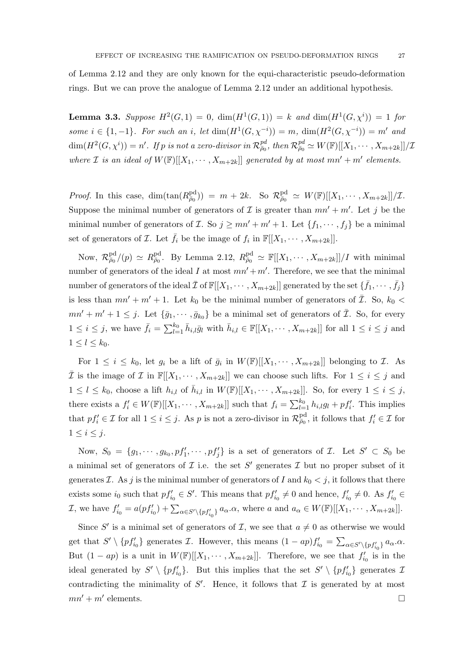of Lemma 2.12 and they are only known for the equi-characteristic pseudo-deformation rings. But we can prove the analogue of Lemma 2.12 under an additional hypothesis.

**Lemma 3.3.** Suppose  $H^2(G, 1) = 0$ ,  $dim(H^1(G, 1)) = k$  and  $dim(H^1(G, \chi^i)) = 1$  for some  $i \in \{1, -1\}$ . For such an i, let  $\dim(H^1(G, \chi^{-i})) = m$ ,  $\dim(H^2(G, \chi^{-i})) = m'$  and  $\dim(H^2(G,\chi^i))=n'.$  If  $p$  is not a zero-divisor in  $\mathcal{R}^{pd}_{\bar{\rho}_0},$  then  $\mathcal{R}^{pd}_{\bar{\rho}_0}\simeq W(\mathbb{F})[[X_1,\cdots,X_{m+2k}]]/\mathcal{I}$ where *I* is an ideal of  $W(\mathbb{F})[[X_1, \cdots, X_{m+2k}]]$  generated by at most  $mn' + m'$  elements.

*Proof.* In this case,  $\dim(\tan(R_{\bar{\rho}_0}^{\text{pd}})) = m + 2k$ . So  $\mathcal{R}_{\bar{\rho}_0}^{\text{pd}} \simeq W(\mathbb{F})[[X_1, \cdots, X_{m+2k}]]/\mathcal{I}$ . Suppose the minimal number of generators of  $\mathcal I$  is greater than  $mn' + m'$ . Let j be the minimal number of generators of *I*. So  $j \ge mn' + m' + 1$ . Let  $\{f_1, \dots, f_j\}$  be a minimal set of generators of Z. Let  $\bar{f}_i$  be the image of  $f_i$  in  $\mathbb{F}[[X_1, \cdots, X_{m+2k}]]$ .

Now,  $\mathcal{R}^{\text{pd}}_{\bar{\rho}_0}/(p) \simeq R^{\text{pd}}_{\bar{\rho}_0}$ . By Lemma 2.12,  $R^{\text{pd}}_{\bar{\rho}_0} \simeq \mathbb{F}[[X_1, \cdots, X_{m+2k}]]/I$  with minimal number of generators of the ideal I at most  $mn' + m'$ . Therefore, we see that the minimal number of generators of the ideal  $\bar{\mathcal{I}}$  of  $\mathbb{F}[[X_1,\cdots,X_{m+2k}]]$  generated by the set  $\{\bar{f}_1,\cdots,\bar{f}_j\}$ is less than  $mn' + m' + 1$ . Let  $k_0$  be the minimal number of generators of  $\overline{\mathcal{I}}$ . So,  $k_0$  <  $mn' + m' + 1 \leq j$ . Let  $\{\bar{g}_1, \dots, \bar{g}_{k_0}\}\$ be a minimal set of generators of  $\bar{\mathcal{I}}$ . So, for every  $1 \leq i \leq j$ , we have  $\bar{f}_i = \sum_{l=1}^{k_0} \bar{h}_{i,l} \bar{g}_l$  with  $\bar{h}_{i,l} \in \mathbb{F}[[X_1, \cdots, X_{m+2k}]]$  for all  $1 \leq i \leq j$  and  $1 \leq l \leq k_0$ .

For  $1 \leq i \leq k_0$ , let  $g_i$  be a lift of  $\bar{g}_i$  in  $W(\mathbb{F})[[X_1, \cdots, X_{m+2k}]]$  belonging to  $\mathcal{I}$ . As  $\overline{\mathcal{I}}$  is the image of  $\mathcal{I}$  in  $\mathbb{F}[X_1, \dots, X_{m+2k}]$  we can choose such lifts. For  $1 \leq i \leq j$  and  $1 \leq l \leq k_0$ , choose a lift  $h_{i,l}$  of  $\bar{h}_{i,l}$  in  $W(\mathbb{F})[[X_1, \cdots, X_{m+2k}]]$ . So, for every  $1 \leq i \leq j$ , there exists a  $f'_i \in W(\mathbb{F})[[X_1, \cdots, X_{m+2k}]]$  such that  $f_i = \sum_{l=1}^{k_0} h_{i,l}g_l + pf'_i$ . This implies that  $pf'_i \in \mathcal{I}$  for all  $1 \leq i \leq j$ . As p is not a zero-divisor in  $\mathcal{R}^{\text{pd}}_{\bar{\rho}_0}$ , it follows that  $f'_i \in \mathcal{I}$  for  $1 \leq i \leq j$ .

Now,  $S_0 = \{g_1, \dots, g_{k_0}, pf'_1, \dots, pf'_j\}$  is a set of generators of  $\mathcal{I}$ . Let  $S' \subset S_0$  be a minimal set of generators of  $\mathcal I$  i.e. the set  $S'$  generates  $\mathcal I$  but no proper subset of it generates *I*. As *j* is the minimal number of generators of *I* and  $k_0 < j$ , it follows that there exists some  $i_0$  such that  $pf'_{i_0} \in S'$ . This means that  $pf'_{i_0} \neq 0$  and hence,  $f'_{i_0} \neq 0$ . As  $f'_{i_0} \in S'$ . I, we have  $f'_{i_0} = a(pf'_{i_0}) + \sum_{\alpha \in S' \setminus \{pf'_{i_0}\}} a_{\alpha}.\alpha$ , where a and  $a_{\alpha} \in W(\mathbb{F})[[X_1, \cdots, X_{m+2k}]]$ .

Since S' is a minimal set of generators of  $\mathcal{I}$ , we see that  $a \neq 0$  as otherwise we would get that  $S' \setminus \{pf'_{i_0}\}\$  generates  $\mathcal{I}$ . However, this means  $(1 - ap)f'_{i_0} = \sum_{\alpha \in S' \setminus \{pf'_{i_0}\}} a_{\alpha}.\alpha$ . But  $(1 - ap)$  is a unit in  $W(\mathbb{F})[[X_1, \cdots, X_{m+2k}]]$ . Therefore, we see that  $f'_{i_0}$  is in the ideal generated by  $S' \setminus \{pf'_{i_0}\}.$  But this implies that the set  $S' \setminus \{pf'_{i_0}\}\$  generates  $\mathcal{I}$ contradicting the minimality of  $S'$ . Hence, it follows that  $\mathcal I$  is generated by at most  $mn' + m'$  elements. elements.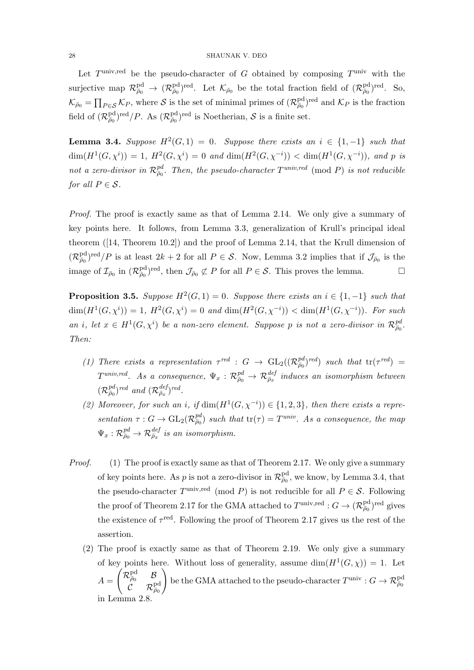#### 28 SHAUNAK V. DEO

Let  $T^{\text{univ,red}}$  be the pseudo-character of G obtained by composing  $T^{\text{univ}}$  with the surjective map  $\mathcal{R}^{\text{pd}}_{\bar{\rho}_0} \to (\mathcal{R}^{\text{pd}}_{\bar{\rho}_0})^{\text{red}}$ . Let  $\mathcal{K}_{\bar{\rho}_0}$  be the total fraction field of  $(\mathcal{R}^{\text{pd}}_{\bar{\rho}_0})^{\text{red}}$ . So,  $\mathcal{K}_{\bar{\rho}_0} = \prod_{P \in \mathcal{S}} \mathcal{K}_P$ , where  $\mathcal{S}$  is the set of minimal primes of  $(\mathcal{R}_{\bar{\rho}_0}^{\text{pd}})^{\text{red}}$  and  $\mathcal{K}_P$  is the fraction field of  $(\mathcal{R}_{\bar{\rho}_0}^{\text{pd}})^{\text{red}}/P$ . As  $(\mathcal{R}_{\bar{\rho}_0}^{\text{pd}})^{\text{red}}$  is Noetherian, S is a finite set.

**Lemma 3.4.** Suppose  $H^2(G,1) = 0$ . Suppose there exists an  $i \in \{1,-1\}$  such that  $\dim(H^1(G, \chi^i)) = 1$ ,  $H^2(G, \chi^i) = 0$  and  $\dim(H^2(G, \chi^{-i})) < \dim(H^1(G, \chi^{-i}))$ , and p is not a zero-divisor in  $\mathcal{R}^{pd}_{\bar{\rho}_0}$ . Then, the pseudo-character  $T^{univ,red}$  (mod P) is not reducible for all  $P \in \mathcal{S}$ .

Proof. The proof is exactly same as that of Lemma 2.14. We only give a summary of key points here. It follows, from Lemma 3.3, generalization of Krull's principal ideal theorem ([14, Theorem 10.2]) and the proof of Lemma 2.14, that the Krull dimension of  $(\mathcal{R}^{\text{pd}}_{\bar{\rho}_0})^{\text{red}}/P$  is at least  $2k+2$  for all  $P \in \mathcal{S}$ . Now, Lemma 3.2 implies that if  $\mathcal{J}_{\bar{\rho}_0}$  is the image of  $\mathcal{I}_{\bar{\rho}_0}$  in  $(\mathcal{R}_{\bar{\rho}_0}^{\text{pd}})$ <sup>red</sup>, then  $\mathcal{J}_{\bar{\rho}_0} \not\subset P$  for all  $P \in \mathcal{S}$ . This proves the lemma.

**Proposition 3.5.** Suppose  $H^2(G, 1) = 0$ . Suppose there exists an  $i \in \{1, -1\}$  such that  $\dim(H^1(G, \chi^i)) = 1, H^2(G, \chi^i) = 0$  and  $\dim(H^2(G, \chi^{-i})) < \dim(H^1(G, \chi^{-i}))$ . For such an i, let  $x \in H^1(G, \chi^i)$  be a non-zero element. Suppose p is not a zero-divisor in  $\mathcal{R}^{pd}_{\bar{p}_0}$ . Then:

- (1) There exists a representation  $\tau^{red}$  :  $G \to GL_2((\mathcal{R}_{\bar{\rho}_0}^{pd})^{red})$  such that  $tr(\tau^{red})$  =  $T^{univ,red}.$  As a consequence,  $\Psi_x: \mathcal{R}_{\bar{\rho}_0}^{pd} \to \mathcal{R}_{\bar{\rho}_x}^{def}$  induces an isomorphism between  $(\mathcal{R}_{\bar{\rho}_0}^{pd})^{red}$  and  $(\mathcal{R}_{\bar{\rho}_x}^{def})^{red}$ .
- (2) Moreover, for such an i, if  $\dim(H^1(G, \chi^{-i})) \in \{1, 2, 3\}$ , then there exists a representation  $\tau: G \to \text{GL}_2(\mathcal{R}_{\bar{\rho}_0}^{pd})$  such that  $\text{tr}(\tau) = T^{univ}$ . As a consequence, the map  $\Psi_x: \mathcal{R}_{\bar{\rho}_0}^{pd} \rightarrow \mathcal{R}_{\bar{\rho}_x}^{def}$  is an isomorphism.
- Proof. (1) The proof is exactly same as that of Theorem 2.17. We only give a summary of key points here. As p is not a zero-divisor in  $\mathcal{R}^{\text{pd}}_{\bar{\rho}_0}$ , we know, by Lemma 3.4, that the pseudo-character  $T^{\text{univ,red}}$  (mod P) is not reducible for all  $P \in \mathcal{S}$ . Following the proof of Theorem 2.17 for the GMA attached to  $T^{\text{univ,red}}: G \to (\mathcal{R}^{\text{pd}}_{\bar{\rho}_0})^{\text{red}}$  gives the existence of  $\tau^{\text{red}}$ . Following the proof of Theorem 2.17 gives us the rest of the assertion.
	- (2) The proof is exactly same as that of Theorem 2.19. We only give a summary of key points here. Without loss of generality, assume  $\dim(H^1(G,\chi)) = 1$ . Let  $A =$  $\begin{pmatrix} \mathcal{R}^{\text{pd}}_{\bar\rho_0} & \mathcal{B} \end{pmatrix}$  $\overset{\cdot }{\mathcal{C}}\quad\mathcal{R}_{\bar{\rho}_0}^{\mathrm{pd}}% (\varepsilon)$  $\setminus$ be the GMA attached to the pseudo-character  $T^{\text{univ}}: G \to \mathcal{R}^{\text{pd}}_{\bar{\rho}_0}$ in Lemma 2.8.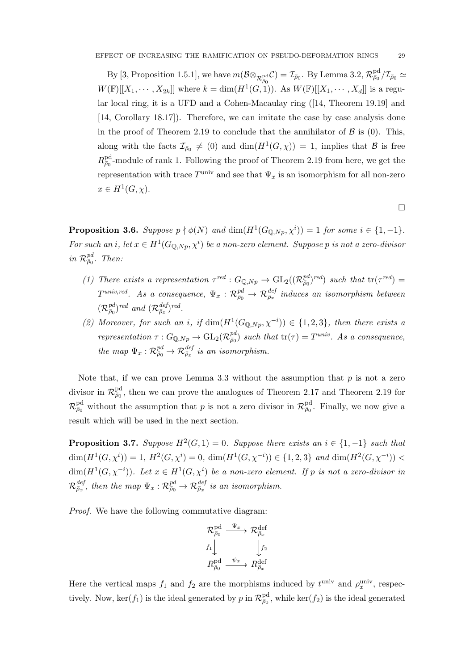By [3, Proposition 1.5.1], we have  $m(\mathcal{B} \otimes_{\mathcal{R}^{\text{pd}}_{\bar{\rho}_0}} \mathcal{C}) = \mathcal{I}_{\bar{\rho}_0}$ . By Lemma 3.2,  $\mathcal{R}^{\text{pd}}_{\bar{\rho}_0}/\mathcal{I}_{\bar{\rho}_0} \simeq$  $W(\mathbb{F})[[X_1, \cdots, X_{2k}]]$  where  $k = \dim(H^1(G, 1))$ . As  $W(\mathbb{F})[[X_1, \cdots, X_d]]$  is a regular local ring, it is a UFD and a Cohen-Macaulay ring ([14, Theorem 19.19] and [14, Corollary 18.17]). Therefore, we can imitate the case by case analysis done in the proof of Theorem 2.19 to conclude that the annihilator of  $\beta$  is (0). This, along with the facts  $\mathcal{I}_{\bar{\rho}_{0}} \neq (0)$  and  $\dim(H^{1}(G, \chi)) = 1$ , implies that  $\mathcal{B}$  is free  $R_{\bar{\rho}_0}^{\text{pd}}$ -module of rank 1. Following the proof of Theorem 2.19 from here, we get the representation with trace  $T^{\text{univ}}$  and see that  $\Psi_x$  is an isomorphism for all non-zero  $x \in H^1(G, \chi)$ .

 $\Box$ 

**Proposition 3.6.** Suppose  $p \nmid \phi(N)$  and  $\dim(H^1(G_{\mathbb{Q},Np}, \chi^i)) = 1$  for some  $i \in \{1, -1\}$ . For such an i, let  $x \in H^1(G_{\mathbb{Q},Np},\chi^i)$  be a non-zero element. Suppose p is not a zero-divisor in  $\mathcal{R}^{pd}_{\bar{\rho}_0}$ . Then:

- (1) There exists a representation  $\tau^{red}$ :  $G_{\mathbb{Q},Np} \to GL_2((\mathcal{R}_{\bar{\rho}_0}^{pd})^{red})$  such that  $tr(\tau^{red})$  =  $T^{univ,red}.$  As a consequence,  $\Psi_x: \mathcal{R}_{\bar{\rho}_0}^{pd} \to \mathcal{R}_{\bar{\rho}_x}^{def}$  induces an isomorphism between  $(\mathcal{R}_{\bar{\rho}_0}^{pd})^{red}$  and  $(\mathcal{R}_{\bar{\rho}_x}^{def})^{red}$ .
- (2) Moreover, for such an i, if  $\dim(H^1(G_{\mathbb{Q},Np},\chi^{-i})) \in \{1,2,3\}$ , then there exists a representation  $\tau: G_{\mathbb{Q},Np} \to GL_2(\mathcal{R}_{\bar{p}_0}^{pd})$  such that  $\text{tr}(\tau) = T^{univ}$ . As a consequence, the map  $\Psi_x : \mathcal{R}_{\bar{\rho}_0}^{pd} \to \mathcal{R}_{\bar{\rho}_x}^{def}$  is an isomorphism.

Note that, if we can prove Lemma 3.3 without the assumption that  $p$  is not a zero divisor in  $\mathcal{R}^{\text{pd}}_{\bar{\rho}_0}$ , then we can prove the analogues of Theorem 2.17 and Theorem 2.19 for  $\mathcal{R}^{\text{pd}}_{\bar{\rho}_0}$  without the assumption that p is not a zero divisor in  $\mathcal{R}^{\text{pd}}_{\bar{\rho}_0}$ . Finally, we now give a result which will be used in the next section.

**Proposition 3.7.** Suppose  $H^2(G, 1) = 0$ . Suppose there exists an  $i \in \{1, -1\}$  such that  $\dim(H^1(G, \chi^i)) = 1, H^2(G, \chi^i) = 0, \, \dim(H^1(G, \chi^{-i})) \in \{1, 2, 3\} \text{ and } \dim(H^2(G, \chi^{-i})) <$  $\dim(H^1(G,\chi^{-i}))$ . Let  $x \in H^1(G,\chi^i)$  be a non-zero element. If p is not a zero-divisor in  $\mathcal{R}^{def}_{\bar{\rho}_x},$  then the map  $\Psi_x: \mathcal{R}^{pd}_{\bar{\rho}_0} \to \mathcal{R}^{def}_{\bar{\rho}_x}$  is an isomorphism.

Proof. We have the following commutative diagram:

$$
\mathcal{R}^{\text{pd}}_{\bar{\rho}_0} \xrightarrow{\Psi_x} \mathcal{R}^{\text{def}}_{\bar{\rho}_x}
$$
\n
$$
f_1 \downarrow \qquad \qquad f_2
$$
\n
$$
R^{\text{pd}}_{\bar{\rho}_0} \xrightarrow{\psi_x} R^{\text{def}}_{\bar{\rho}_x}
$$

Here the vertical maps  $f_1$  and  $f_2$  are the morphisms induced by  $t^{\text{univ}}$  and  $\rho_x^{\text{univ}}$ , respectively. Now,  $\ker(f_1)$  is the ideal generated by p in  $\mathcal{R}^{\text{pd}}_{\bar{\rho}_0}$ , while  $\ker(f_2)$  is the ideal generated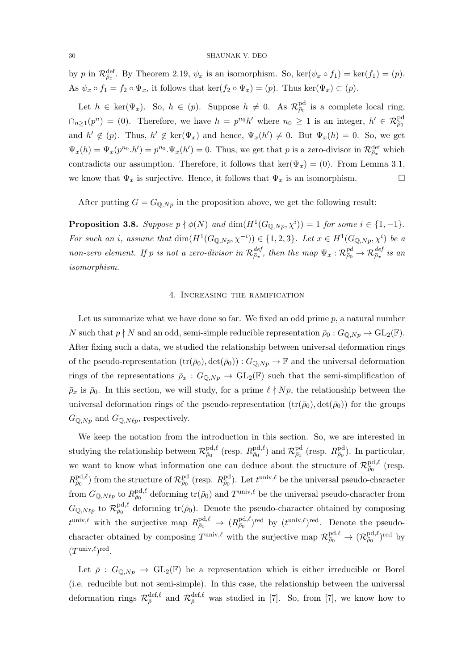by p in  $\mathcal{R}_{\bar{\rho}_x}^{\text{def}}$ . By Theorem 2.19,  $\psi_x$  is an isomorphism. So,  $\ker(\psi_x \circ f_1) = \ker(f_1) = (p)$ . As  $\psi_x \circ f_1 = f_2 \circ \Psi_x$ , it follows that  $\ker(f_2 \circ \Psi_x) = (p)$ . Thus  $\ker(\Psi_x) \subset (p)$ .

Let  $h \in \text{ker}(\Psi_x)$ . So,  $h \in (p)$ . Suppose  $h \neq 0$ . As  $\mathcal{R}^{\text{pd}}_{\bar{\rho}_0}$  is a complete local ring,  $\cap_{n\geq 1}(p^n) = (0)$ . Therefore, we have  $h = p^{n_0}h'$  where  $n_0 \geq 1$  is an integer,  $h' \in \mathcal{R}^{pd}_{\bar{\rho}_0}$ and  $h' \notin (p)$ . Thus,  $h' \notin \text{ker}(\Psi_x)$  and hence,  $\Psi_x(h') \neq 0$ . But  $\Psi_x(h) = 0$ . So, we get  $\Psi_x(h) = \Psi_x(p^{n_0} \cdot h') = p^{n_0} \cdot \Psi_x(h') = 0$ . Thus, we get that p is a zero-divisor in  $\mathcal{R}^{\text{def}}_{\bar{\rho}_x}$  which contradicts our assumption. Therefore, it follows that ker( $\Psi_x$ ) = (0). From Lemma 3.1, we know that  $\Psi_x$  is surjective. Hence, it follows that  $\Psi_x$  is an isomorphism.

After putting  $G = G_{\mathbb{Q},Np}$  in the proposition above, we get the following result:

**Proposition 3.8.** Suppose  $p \nmid \phi(N)$  and  $\dim(H^1(G_{\mathbb{Q},Np}, \chi^i)) = 1$  for some  $i \in \{1, -1\}$ . For such an i, assume that  $\dim(H^1(G_{\mathbb{Q},Np},\chi^{-i})) \in \{1,2,3\}$ . Let  $x \in H^1(G_{\mathbb{Q},Np},\chi^i)$  be a non-zero element. If p is not a zero-divisor in  $\mathcal{R}^{def}_{\bar{\rho}_x}$ , then the map  $\Psi_x$  :  $\mathcal{R}^{pd}_{\bar{\rho}_0} \to \mathcal{R}^{def}_{\bar{\rho}_x}$  is an isomorphism.

### 4. Increasing the ramification

Let us summarize what we have done so far. We fixed an odd prime  $p$ , a natural number N such that  $p \nmid N$  and an odd, semi-simple reducible representation  $\bar{\rho}_0 : G_{\mathbb{Q},Np} \to GL_2(\mathbb{F})$ . After fixing such a data, we studied the relationship between universal deformation rings of the pseudo-representation  $(tr(\bar{\rho}_0), det(\bar{\rho}_0)) : G_{\mathbb{Q},N_p} \to \mathbb{F}$  and the universal deformation rings of the representations  $\bar{\rho}_x : G_{\mathbb{Q},N_p} \to GL_2(\mathbb{F})$  such that the semi-simplification of  $\bar{\rho}_x$  is  $\bar{\rho}_0$ . In this section, we will study, for a prime  $\ell \nmid Np$ , the relationship between the universal deformation rings of the pseudo-representation  $(tr(\bar{\rho}_0), det(\bar{\rho}_0))$  for the groups  $G_{\mathbb{Q},Np}$  and  $G_{\mathbb{Q},N\ell p}$ , respectively.

We keep the notation from the introduction in this section. So, we are interested in studying the relationship between  $\mathcal{R}^{\text{pd},\ell}_{\bar{\rho}_0}$  (resp.  $R^{\text{pd},\ell}_{\bar{\rho}_0}$ ) and  $\mathcal{R}^{\text{pd}}_{\bar{\rho}_0}$  (resp.  $R^{\text{pd}}_{\bar{\rho}_0}$ ). In particular, we want to know what information one can deduce about the structure of  $\mathcal{R}_{\bar{p}_0}^{\text{pd},\ell}$  (resp.  $R^{\text{pd},\ell}_{\bar{\rho}_0}$  from the structure of  $\mathcal{R}^{\text{pd}}_{\bar{\rho}_0}$  (resp.  $R^{\text{pd}}_{\bar{\rho}_0}$ ). Let  $t^{\text{univ},\ell}$  be the universal pseudo-character from  $G_{\mathbb{Q},N\ell p}$  to  $R^{\text{pd},\ell}_{\bar{\rho}_0}$  deforming  $\text{tr}(\bar{\rho}_0)$  and  $T^{\text{univ},\ell}$  be the universal pseudo-character from  $G_{\mathbb{Q},N\ell p}$  to  $\mathcal{R}^{\text{pd},\ell}_{\bar{\rho}_0}$  deforming tr( $\bar{\rho}_0$ ). Denote the pseudo-character obtained by composing  $t^{\text{univ},\ell}$  with the surjective map  $R_{\bar{\rho}_0}^{\text{pd},\ell} \to (R_{\bar{\rho}_0}^{\text{pd},\ell})^{\text{red}}$  by  $(t^{\text{univ},\ell})^{\text{red}}$ . Denote the pseudocharacter obtained by composing  $T^{\text{univ},\ell}$  with the surjective map  $\mathcal{R}^{\text{pd},\ell}_{\bar{\rho}_0} \to (\mathcal{R}^{\text{pd},\ell}_{\bar{\rho}_0})^{\text{red}}$  by  $(T^{\text{univ}, \ell})^{\text{red}}$ .

Let  $\bar{\rho}$  :  $G_{\mathbb{Q},Np} \to GL_2(\mathbb{F})$  be a representation which is either irreducible or Borel (i.e. reducible but not semi-simple). In this case, the relationship between the universal deformation rings  $\mathcal{R}_{\bar{\rho}}^{\text{def},\ell}$  and  $\mathcal{R}_{\bar{\rho}}^{\text{def},\ell}$  was studied in [7]. So, from [7], we know how to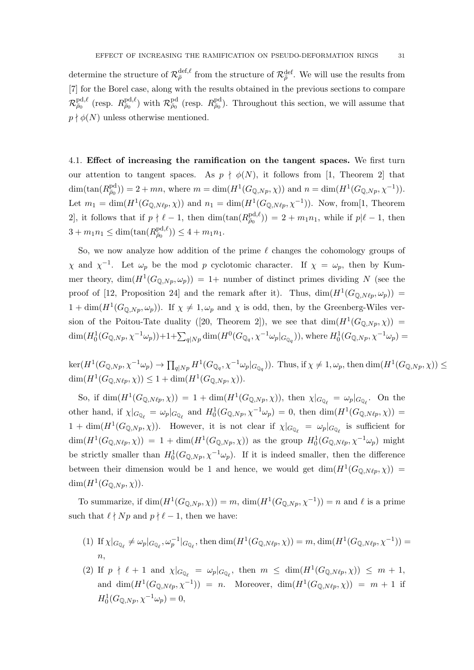determine the structure of  $\mathcal{R}_{\bar{\rho}}^{\text{def},\ell}$  from the structure of  $\mathcal{R}_{\bar{\rho}}^{\text{def}}$ . We will use the results from [7] for the Borel case, along with the results obtained in the previous sections to compare  $\mathcal{R}^{\text{pd},\ell}_{\bar{\rho}_0}$  (resp.  $R^{\text{pd}}_{\bar{\rho}_0}$  (resp.  $R^{\text{pd}}_{\bar{\rho}_0}$ ). Throughout this section, we will assume that  $p \nmid \phi(N)$  unless otherwise mentioned.

4.1. Effect of increasing the ramification on the tangent spaces. We first turn our attention to tangent spaces. As  $p \nmid \phi(N)$ , it follows from [1, Theorem 2] that  $\dim(\tan(R_{\bar{\rho}_0}^{\text{pd}})) = 2 + mn$ , where  $m = \dim(H^1(G_{\mathbb{Q},Np}, \chi))$  and  $n = \dim(H^1(G_{\mathbb{Q},Np}, \chi^{-1}))$ . Let  $m_1 = \dim(H^1(G_{\mathbb{Q},N\ell p}, \chi))$  and  $n_1 = \dim(H^1(G_{\mathbb{Q},N\ell p}, \chi^{-1}))$ . Now, from[1, Theorem 2], it follows that if  $p \nmid \ell - 1$ , then  $\dim(\tan(R_{\bar{\rho}_0}^{\text{pd}, \ell})) = 2 + m_1 n_1$ , while if  $p | \ell - 1$ , then  $3 + m_1 n_1 \leq \dim(\tan(R_{\bar{\rho}_0}^{\text{pd}, \ell})) \leq 4 + m_1 n_1.$ 

So, we now analyze how addition of the prime  $\ell$  changes the cohomology groups of  $\chi$  and  $\chi^{-1}$ . Let  $\omega_p$  be the mod p cyclotomic character. If  $\chi = \omega_p$ , then by Kummer theory,  $\dim(H^1(G_{\mathbb{Q},Np},\omega_p)) = 1$  number of distinct primes dividing N (see the proof of [12, Proposition 24] and the remark after it). Thus,  $\dim(H^1(G_{\mathbb{Q},N\ell_p},\omega_p))$  =  $1 + \dim(H^1(G_{\mathbb{Q},Np}, \omega_p)).$  If  $\chi \neq 1, \omega_p$  and  $\chi$  is odd, then, by the Greenberg-Wiles version of the Poitou-Tate duality ([20, Theorem 2]), we see that  $\dim(H^1(G_{\mathbb{Q},Np},\chi))$  =  $\dim(H_0^1(G_{\mathbb{Q},Np},\chi^{-1}\omega_p))+1+\sum_{q|Np}\dim(H^0(G_{\mathbb{Q}_q},\chi^{-1}\omega_p|_{G_{\mathbb{Q}_q}})),$  where  $H_0^1(G_{\mathbb{Q},Np},\chi^{-1}\omega_p)=$ 

 $\ker(H^1(G_{\mathbb{Q},Np},\chi^{-1}\omega_p)\to \prod_{q|Np} H^1(G_{\mathbb{Q}_q},\chi^{-1}\omega_p|_{G_{\mathbb{Q}_q}}))$ . Thus, if  $\chi\neq 1, \omega_p$ , then  $\dim(H^1(G_{\mathbb{Q},Np},\chi))\leq$  $\dim(H^1(G_{\mathbb{Q},N\ell p}, \chi)) \leq 1 + \dim(H^1(G_{\mathbb{Q},Np}, \chi)).$ 

So, if  $\dim(H^1(G_{\mathbb{Q},N\ell p},\chi)) = 1 + \dim(H^1(G_{\mathbb{Q},Np},\chi))$ , then  $\chi|_{G_{\mathbb{Q}_\ell}} = \omega_p|_{G_{\mathbb{Q}_\ell}}$ . On the other hand, if  $\chi|_{G_{\mathbb{Q}_\ell}} = \omega_p|_{G_{\mathbb{Q}_\ell}}$  and  $H_0^1(G_{\mathbb{Q},Np}, \chi^{-1}\omega_p) = 0$ , then  $\dim(H^1(G_{\mathbb{Q},N\ell p}, \chi)) =$  $1 + \dim(H^1(G_{\mathbb{Q},Np}, \chi))$ . However, it is not clear if  $\chi|_{G_{\mathbb{Q}_\ell}} = \omega_p|_{G_{\mathbb{Q}_\ell}}$  is sufficient for  $\dim(H^1(G_{\mathbb{Q},N\ell p},\chi)) = 1 + \dim(H^1(G_{\mathbb{Q},Np},\chi))$  as the group  $H_0^1(G_{\mathbb{Q},N\ell p},\chi^{-1}\omega_p)$  might be strictly smaller than  $H_0^1(G_{\mathbb{Q},N_p}, \chi^{-1}\omega_p)$ . If it is indeed smaller, then the difference between their dimension would be 1 and hence, we would get  $\dim(H^1(G_{\mathbb{Q},N\ell p}, \chi))$  $\dim(H^1(G_{\mathbb{Q},Np},\chi)).$ 

To summarize, if  $\dim(H^1(G_{\mathbb{Q},Np},\chi)) = m$ ,  $\dim(H^1(G_{\mathbb{Q},Np},\chi^{-1})) = n$  and  $\ell$  is a prime such that  $\ell \nmid Np$  and  $p \nmid \ell - 1$ , then we have:

- (1) If  $\chi|_{G_{\mathbb{Q}_\ell}} \neq \omega_p|_{G_{\mathbb{Q}_\ell}}, \omega_p^{-1}|_{G_{\mathbb{Q}_\ell}}$ , then  $\dim(H^1(G_{\mathbb{Q},N\ell p}, \chi)) = m$ ,  $\dim(H^1(G_{\mathbb{Q},N\ell p}, \chi^{-1})) =$  $\overline{n}$ ,
- (2) If  $p \nmid \ell + 1$  and  $\chi|_{G_{\mathbb{Q}_{\ell}}} = \omega_p|_{G_{\mathbb{Q}_{\ell}}}$ , then  $m \leq \dim(H^1(G_{\mathbb{Q},N\ell p}, \chi)) \leq m + 1$ , and  $\dim(H^1(G_{\mathbb{Q},N\ell p},\chi^{-1})) = n$ . Moreover,  $\dim(H^1(G_{\mathbb{Q},N\ell p},\chi)) = m + 1$  if  $H_0^1(G_{\mathbb{Q},Np}, \chi^{-1}\omega_p) = 0,$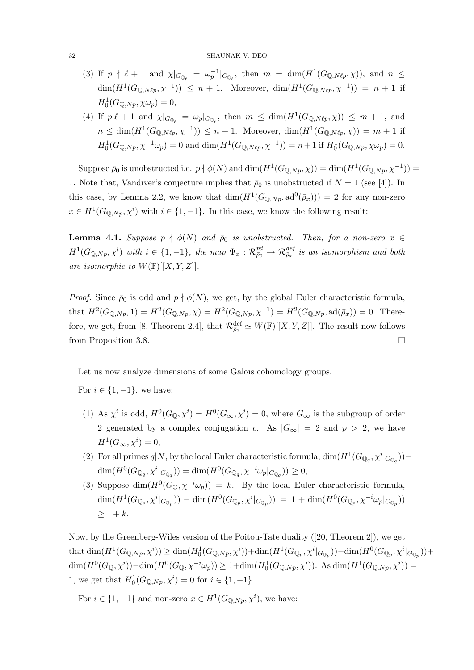#### 32 SHAUNAK V. DEO

- (3) If  $p \nmid \ell + 1$  and  $\chi|_{G_{\mathbb{Q}_{\ell}}} = \omega_p^{-1}|_{G_{\mathbb{Q}_{\ell}}}$ , then  $m = \dim(H^1(G_{\mathbb{Q},N\ell p}, \chi))$ , and  $n \leq$  $\dim(H^1(G_{\mathbb{Q},N\ell p},\chi^{-1})) \leq n+1$ . Moreover,  $\dim(H^1(G_{\mathbb{Q},N\ell p},\chi^{-1})) = n+1$  if  $H_0^1(G_{\mathbb{Q},Np}, \chi \omega_p) = 0,$
- (4) If  $p\nmid \ell + 1$  and  $\chi|_{G_{\mathbb{Q}_\ell}} = \omega_p|_{G_{\mathbb{Q}_\ell}}$ , then  $m \leq \dim(H^1(G_{\mathbb{Q},N\ell p}, \chi)) \leq m + 1$ , and  $n \leq \dim(H^1(G_{\mathbb{Q},N\ell p},\chi^{-1})) \leq n+1$ . Moreover,  $\dim(H^1(G_{\mathbb{Q},N\ell p},\chi)) = m+1$  if  $H_0^1(G_{\mathbb{Q},Np}, \chi^{-1}\omega_p) = 0$  and  $\dim(H^1(G_{\mathbb{Q},N\ell p}, \chi^{-1})) = n+1$  if  $H_0^1(G_{\mathbb{Q},Np}, \chi\omega_p) = 0$ .

Suppose  $\bar{\rho}_0$  is unobstructed i.e.  $p \nmid \phi(N)$  and  $\dim(H^1(G_{\mathbb{Q},Np},\chi)) = \dim(H^1(G_{\mathbb{Q},Np},\chi^{-1})) =$ 1. Note that, Vandiver's conjecture implies that  $\bar{\rho}_0$  is unobstructed if  $N = 1$  (see [4]). In this case, by Lemma 2.2, we know that  $\dim(H^1(G_{\mathbb{Q},N_p},\mathrm{ad}^0(\bar{\rho}_x))) = 2$  for any non-zero  $x \in H^1(G_{\mathbb{Q},N_p}, \chi^i)$  with  $i \in \{1, -1\}$ . In this case, we know the following result:

**Lemma 4.1.** Suppose  $p \nmid \phi(N)$  and  $\bar{\rho}_0$  is unobstructed. Then, for a non-zero  $x \in$  $H^1(G_{\mathbb{Q},Np},\chi^i)$  with  $i\in\{1,-1\}$ , the map  $\Psi_x:\mathcal{R}_{\bar{\rho}_0}^{pd}\to\mathcal{R}_{\bar{\rho}_x}^{def}$  is an isomorphism and both are isomorphic to  $W(\mathbb{F})[[X, Y, Z]].$ 

*Proof.* Since  $\bar{\rho}_0$  is odd and  $p \nmid \phi(N)$ , we get, by the global Euler characteristic formula, that  $H^2(G_{\mathbb{Q},Np}, 1) = H^2(G_{\mathbb{Q},Np}, \chi) = H^2(G_{\mathbb{Q},Np}, \chi^{-1}) = H^2(G_{\mathbb{Q},Np}, \text{ad}(\bar{\rho}_x)) = 0$ . Therefore, we get, from [8, Theorem 2.4], that  $\mathcal{R}_{\bar{\rho}_x}^{\text{def}} \simeq W(\mathbb{F})[[X, Y, Z]]$ . The result now follows from Proposition 3.8.

Let us now analyze dimensions of some Galois cohomology groups.

For  $i \in \{1, -1\}$ , we have:

- (1) As  $\chi^i$  is odd,  $H^0(G_{\mathbb{Q}}, \chi^i) = H^0(G_{\infty}, \chi^i) = 0$ , where  $G_{\infty}$  is the subgroup of order 2 generated by a complex conjugation c. As  $|G_{\infty}| = 2$  and  $p > 2$ , we have  $H^1(G_{\infty}, \chi^i) = 0,$
- (2) For all primes  $q|N$ , by the local Euler characteristic formula,  $\dim(H^1(G_{\mathbb{Q}_q}, \chi^i|_{G_{\mathbb{Q}_q}}))$   $\dim(H^0(G_{\mathbb{Q}_q}, \chi^i|_{G_{\mathbb{Q}_q}})) = \dim(H^0(G_{\mathbb{Q}_q}, \chi^{-i}\omega_p|_{G_{\mathbb{Q}_q}})) \geq 0,$
- (3) Suppose  $\dim(H^0(G_{\mathbb{Q}}, \chi^{-i}\omega_p)) = k$ . By the local Euler characteristic formula,  $\dim(H^1(G_{\mathbb{Q}_p}, \chi^i|_{G_{\mathbb{Q}_p}})) - \dim(H^0(G_{\mathbb{Q}_p}, \chi^i|_{G_{\mathbb{Q}_p}})) = 1 + \dim(H^0(G_{\mathbb{Q}_p}, \chi^{-i}\omega_p|_{G_{\mathbb{Q}_p}}))$  $\geq 1 + k$ .

Now, by the Greenberg-Wiles version of the Poitou-Tate duality ([20, Theorem 2]), we get  $\text{that } \dim(H^1(G_{\mathbb{Q},Np},\chi^i)) \geq \dim(H_0^1(G_{\mathbb{Q},Np},\chi^i)) + \dim(H^1(G_{\mathbb{Q}_p},\chi^i|_{G_{\mathbb{Q}_p}})) - \dim(H^0(G_{\mathbb{Q}_p},\chi^i|_{G_{\mathbb{Q}_p}})) +$  $\dim(H^0(G_{\mathbb{Q}}, \chi^i)) - \dim(H^0(G_{\mathbb{Q}}, \chi^{-i}\omega_p)) \geq 1 + \dim(H^1_0(G_{\mathbb{Q},Np}, \chi^i)).$  As  $\dim(H^1(G_{\mathbb{Q},Np}, \chi^i)) =$ 1, we get that  $H_0^1(G_{\mathbb{Q},N_p}, \chi^i) = 0$  for  $i \in \{1, -1\}$ .

For  $i \in \{1, -1\}$  and non-zero  $x \in H^1(G_{\mathbb{Q},Np}, \chi^i)$ , we have: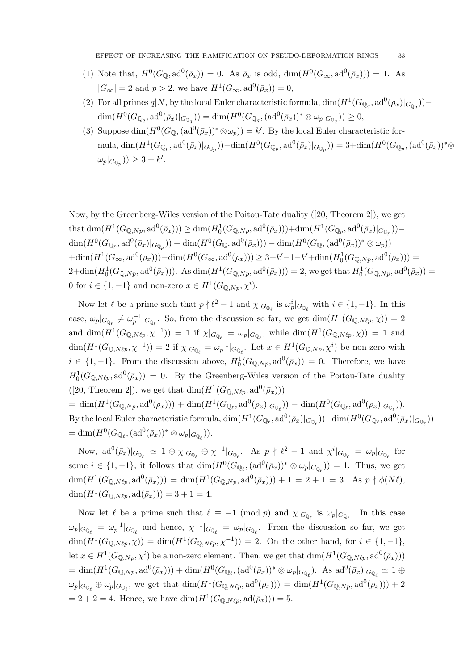- (1) Note that,  $H^0(G_{\mathbb{Q}}, \text{ad}^0(\bar{\rho}_x)) = 0$ . As  $\bar{\rho}_x$  is odd,  $\dim(H^0(G_{\infty}, \text{ad}^0(\bar{\rho}_x))) = 1$ . As  $|G_{\infty}| = 2$  and  $p > 2$ , we have  $H^1(G_{\infty}, \text{ad}^0(\bar{\rho}_x)) = 0$ ,
- (2) For all primes  $q|N$ , by the local Euler characteristic formula,  $\dim(H^1(G_{\mathbb{Q}_q}, \mathrm{ad}^0(\bar{\rho}_x)|_{G_{\mathbb{Q}_q}}))$  $\dim(H^0(G_{\mathbb{Q}_q}, \mathrm{ad}^0(\bar{\rho}_x)|_{G_{\mathbb{Q}_q}})) = \dim(H^0(G_{\mathbb{Q}_q}, (\mathrm{ad}^0(\bar{\rho}_x))^* \otimes \omega_p|_{G_{\mathbb{Q}_q}})) \geq 0,$
- (3) Suppose  $\dim(H^0(G_{\mathbb{Q}}, \{ad^0(\bar{\rho}_x)\})^* \otimes \omega_p)) = k'$ . By the local Euler characteristic formula,  $\dim(H^1(G_{\mathbb{Q}_p}, \text{ad}^0(\bar{\rho}_x)|_{G_{\mathbb{Q}_p}})) - \dim(H^0(G_{\mathbb{Q}_p}, \text{ad}^0(\bar{\rho}_x)|_{G_{\mathbb{Q}_p}})) = 3 + \dim(H^0(G_{\mathbb{Q}_p}, \text{ad}^0(\bar{\rho}_x))^* \otimes$  $\omega_p|_{G_{\mathbb{Q}_p}})\rangle \geq 3+k'.$

Now, by the Greenberg-Wiles version of the Poitou-Tate duality ([20, Theorem 2]), we get that  $\dim(H^1(G_{\mathbb{Q},Np},\mathrm{ad}^0(\bar{\rho}_x))) \geq \dim(H_0^1(G_{\mathbb{Q},Np},\mathrm{ad}^0(\bar{\rho}_x))) + \dim(H^1(G_{\mathbb{Q}_p},\mathrm{ad}^0(\bar{\rho}_x)|_{G_{\mathbb{Q}_p}})) \dim(H^0(G_{\mathbb{Q}_p},\mathrm{ad}^0(\bar{\rho}_x)|_{G_{\mathbb{Q}_p}})) + \dim(H^0(G_{\mathbb{Q}},\mathrm{ad}^0(\bar{\rho}_x))) - \dim(H^0(G_{\mathbb{Q}},(\mathrm{ad}^0(\bar{\rho}_x))^* \otimes \omega_p))$  $+\dim(H^1(G_\infty, \text{ad}^0(\bar{\rho}_x)))-\dim(H^0(G_\infty, \text{ad}^0(\bar{\rho}_x))) \geq 3+k'-1-k'+\dim(H_0^1(G_{\mathbb{Q},Np}, \text{ad}^0(\bar{\rho}_x))) =$  $2+\dim(H_0^1(G_{\mathbb{Q},Np},\mathrm{ad}^0(\bar{\rho}_x)))$ . As  $\dim(H^1(G_{\mathbb{Q},Np},\mathrm{ad}^0(\bar{\rho}_x)))=2$ , we get that  $H_0^1(G_{\mathbb{Q},Np},\mathrm{ad}^0(\bar{\rho}_x))=$ 0 for  $i \in \{1, -1\}$  and non-zero  $x \in H^1(G_{\mathbb{Q},Np}, \chi^i)$ .

Now let  $\ell$  be a prime such that  $p \nmid \ell^2 - 1$  and  $\chi|_{G_{\mathbb{Q}_{\ell}}}$  is  $\omega_p^i|_{G_{\mathbb{Q}_{\ell}}}$  with  $i \in \{1, -1\}$ . In this case,  $\omega_p|_{G_{\mathbb{Q}_\ell}} \neq \omega_p^{-1}|_{G_{\mathbb{Q}_\ell}}$ . So, from the discussion so far, we get  $\dim(H^1(G_{\mathbb{Q},N\ell p}, \chi)) = 2$ and  $\dim(H^1(G_{\mathbb{Q},N\ell p},\chi^{-1})) = 1$  if  $\chi|_{G_{\mathbb{Q}_\ell}} = \omega_p|_{G_{\mathbb{Q}_\ell}}$ , while  $\dim(H^1(G_{\mathbb{Q},N\ell p},\chi)) = 1$  and  $\dim(H^1(G_{\mathbb{Q},N\ell p},\chi^{-1})) = 2$  if  $\chi|_{G_{\mathbb{Q}_\ell}} = \omega_p^{-1}|_{G_{\mathbb{Q}_\ell}}$ . Let  $x \in H^1(G_{\mathbb{Q},Np},\chi^i)$  be non-zero with  $i \in \{1,-1\}$ . From the discussion above,  $H_0^1(G_{\mathbb{Q},N_p},\mathrm{ad}^0(\bar{\rho}_x)) = 0$ . Therefore, we have  $H_0^1(G_{\mathbb{Q},N\ell_p},\mathrm{ad}^0(\bar{\rho}_x)) = 0$ . By the Greenberg-Wiles version of the Poitou-Tate duality ([20, Theorem 2]), we get that  $\dim(H^1(G_{\mathbb{Q},N\ell p},\mathrm{ad}^0(\bar{\rho}_x)))$ 

 $= \dim(H^1(G_{\mathbb{Q},Np}, \mathrm{ad}^0(\bar{\rho}_x))) + \dim(H^1(G_{\mathbb{Q}_\ell}, \mathrm{ad}^0(\bar{\rho}_x)|_{G_{\mathbb{Q}_\ell}})) - \dim(H^0(G_{\mathbb{Q}_\ell}, \mathrm{ad}^0(\bar{\rho}_x)|_{G_{\mathbb{Q}_\ell}})).$ By the local Euler characteristic formula,  $\dim(H^1(G_{\mathbb{Q}_\ell}, \text{ad}^0(\bar{\rho}_x)|_{G_{\mathbb{Q}_\ell}})) - \dim(H^0(G_{\mathbb{Q}_\ell}, \text{ad}^0(\bar{\rho}_x)|_{G_{\mathbb{Q}_\ell}}))$  $= \dim(H^0(G_{\mathbb{Q}_\ell},(\text{ad}^0(\bar{\rho}_x))^* \otimes \omega_p|_{G_{\mathbb{Q}_\ell}})).$ 

Now,  $\text{ad}^0(\bar{\rho}_x)|_{G_{\mathbb{Q}_\ell}} \simeq 1 \oplus \chi|_{G_{\mathbb{Q}_\ell}} \oplus \chi^{-1}|_{G_{\mathbb{Q}_\ell}}$ . As  $p \nmid \ell^2 - 1$  and  $\chi^i|_{G_{\mathbb{Q}_\ell}} = \omega_p|_{G_{\mathbb{Q}_\ell}}$  for some  $i \in \{1, -1\}$ , it follows that  $\dim(H^0(G_{\mathbb{Q}_\ell}, (ad^0(\bar{\rho}_x))^* \otimes \omega_p|_{G_{\mathbb{Q}_\ell}})) = 1$ . Thus, we get  $\dim(H^1(G_{\mathbb{Q},N\ell p},\mathrm{ad}^0(\bar{\rho}_x))) = \dim(H^1(G_{\mathbb{Q},Np},\mathrm{ad}^0(\bar{\rho}_x))) + 1 = 2 + 1 = 3.$  As  $p \nmid \phi(N\ell),$  $\dim(H^1(G_{\mathbb{Q},N\ell p}, \mathrm{ad}(\bar{\rho}_x))) = 3 + 1 = 4.$ 

Now let  $\ell$  be a prime such that  $\ell \equiv -1 \pmod{p}$  and  $\chi|_{G_{\mathbb{Q}_\ell}}$  is  $\omega_p|_{G_{\mathbb{Q}_\ell}}$ . In this case  $\omega_p|_{G_{\mathbb{Q}_\ell}} = \omega_p^{-1}|_{G_{\mathbb{Q}_\ell}}$  and hence,  $\chi^{-1}|_{G_{\mathbb{Q}_\ell}} = \omega_p|_{G_{\mathbb{Q}_\ell}}$ . From the discussion so far, we get  $\dim(H^1(G_{\mathbb{Q},N\ell p},\chi)) = \dim(H^1(G_{\mathbb{Q},N\ell p},\chi^{-1})) = 2.$  On the other hand, for  $i \in \{1,-1\},$ let  $x \in H^1(G_{\mathbb{Q},Np}, \chi^i)$  be a non-zero element. Then, we get that  $\dim(H^1(G_{\mathbb{Q},N\ell p}, \mathrm{ad}^0(\bar{\rho}_x)))$ = dim $(H^1(G_{\mathbb{Q},Np},\mathrm{ad}^0(\bar{\rho}_x)))$  + dim $(H^0(G_{\mathbb{Q}_\ell},(\mathrm{ad}^0(\bar{\rho}_x))^* \otimes \omega_p|_{G_{\mathbb{Q}_\ell}})$ . As  $\mathrm{ad}^0(\bar{\rho}_x)|_{G_{\mathbb{Q}_\ell}} \simeq 1 \oplus$  $\omega_p|_{G_{\mathbb{Q}_\ell}} \oplus \omega_p|_{G_{\mathbb{Q}_\ell}}$ , we get that  $\dim(H^1(G_{\mathbb{Q},N\ell p},\mathrm{ad}^0(\bar{\rho}_x))) = \dim(H^1(G_{\mathbb{Q},Np},\mathrm{ad}^0(\bar{\rho}_x))) + 2$  $= 2 + 2 = 4$ . Hence, we have  $\dim(H^1(G_{\mathbb{Q},N\ell p}, \mathrm{ad}(\bar{\rho}_x))) = 5$ .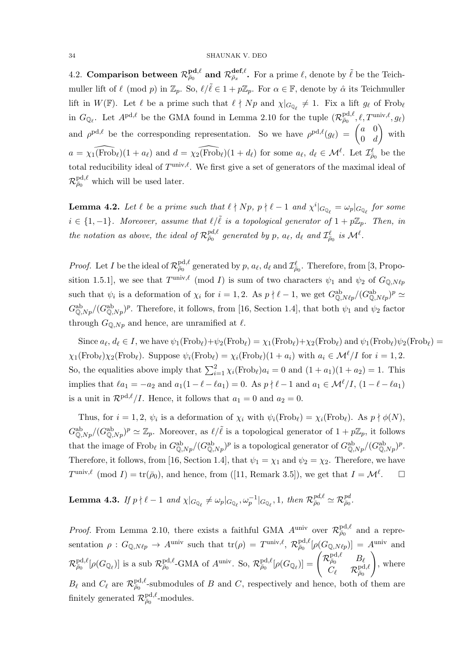4.2. Comparison between  $\mathcal{R}^{\textbf{pd},\ell}_{\bar{\rho}_0}$  and  $\mathcal{R}^{\textbf{def},\ell}_{\bar{\rho}_x}$ . For a prime  $\ell$ , denote by  $\tilde{\ell}$  be the Teichmuller lift of  $\ell \pmod{p}$  in  $\mathbb{Z}_p$ . So,  $\ell/\tilde{\ell} \in 1 + p\mathbb{Z}_p$ . For  $\alpha \in \mathbb{F}$ , denote by  $\hat{\alpha}$  its Teichmuller lift in  $W(\mathbb{F})$ . Let  $\ell$  be a prime such that  $\ell \nmid Np$  and  $\chi|_{G_{\mathbb{Q}_{\ell}}} \neq 1$ . Fix a lift  $g_{\ell}$  of Frob<sub> $\ell$ </sub> in  $G_{\mathbb{Q}_\ell}$ . Let  $A^{pd,\ell}$  be the GMA found in Lemma 2.10 for the tuple  $(\mathcal{R}_{\overline{\rho}_0}^{\text{pd},\ell}, \ell, T^{\text{univ},\ell}, g_\ell)$ and  $\rho^{pd,\ell}$  be the corresponding representation. So we have  $\rho^{pd,\ell}(g_{\ell}) = \begin{pmatrix} a & 0 \\ 0 & d \end{pmatrix}$  $0 \quad d$ ) with  $a = \widehat{\chi_1(\text{Frob}_\ell)}(1 + a_\ell)$  and  $d = \widehat{\chi_2(\text{Frob}_\ell)}(1 + d_\ell)$  for some  $a_\ell, d_\ell \in \mathcal{M}^\ell$ . Let  $\mathcal{I}_{\bar{\rho}_0}^\ell$  be the total reducibility ideal of  $T^{\text{univ},\ell}$ . We first give a set of generators of the maximal ideal of  $\mathcal{R}^{\text{pd},\ell}_{\bar{\rho}_0}$  which will be used later.

**Lemma 4.2.** Let  $\ell$  be a prime such that  $\ell \nmid Np$ ,  $p \nmid \ell - 1$  and  $\chi^i|_{G_{\mathbb{Q}_{\ell}}} = \omega_p|_{G_{\mathbb{Q}_{\ell}}}$  for some  $i \in \{1, -1\}$ . Moreover, assume that  $\ell/\ell$  is a topological generator of  $1 + p\mathbb{Z}_p$ . Then, in the notation as above, the ideal of  $\mathcal{R}_{\bar{\rho}_0}^{pd,\ell}$  generated by p,  $a_\ell$ ,  $d_\ell$  and  $\mathcal{I}_{\bar{\rho}_0}^\ell$  is  $\mathcal{M}^\ell$ .

*Proof.* Let I be the ideal of  $\mathcal{R}^{pd,\ell}_{\bar{\rho}_0}$  generated by p,  $a_\ell$ ,  $d_\ell$  and  $\mathcal{I}^{\ell}_{\bar{\rho}_0}$ . Therefore, from [3, Proposition 1.5.1], we see that  $T^{\text{univ},\ell} \pmod{I}$  is sum of two characters  $\psi_1$  and  $\psi_2$  of  $G_{\mathbb{Q},N\ell p}$ such that  $\psi_i$  is a deformation of  $\chi_i$  for  $i = 1, 2$ . As  $p \nmid \ell - 1$ , we get  $G_{\mathbb{Q},N\ell p}^{ab}/(G_{\mathbb{Q},N\ell p}^{ab})^p \simeq$  $G^{\text{ab}}_{\mathbb{Q},Np}/(G^{\text{ab}}_{\mathbb{Q},Np})^p$ . Therefore, it follows, from [16, Section 1.4], that both  $\psi_1$  and  $\psi_2$  factor through  $G_{\mathbb{Q},Np}$  and hence, are unramified at  $\ell$ .

Since  $a_\ell, d_\ell \in I$ , we have  $\psi_1(\text{Frob}_\ell)+\psi_2(\text{Frob}_\ell) = \chi_1(\text{Frob}_\ell)+\chi_2(\text{Frob}_\ell)$  and  $\psi_1(\text{Frob}_\ell)\psi_2(\text{Frob}_\ell) =$  $\chi_1(\text{Frob}_\ell)\chi_2(\text{Frob}_\ell)$ . Suppose  $\psi_i(\text{Frob}_\ell) = \chi_i(\text{Frob}_\ell)(1 + a_i)$  with  $a_i \in \mathcal{M}^\ell/I$  for  $i = 1, 2$ . So, the equalities above imply that  $\sum_{i=1}^{2} \chi_i(\text{Frob}_{\ell})a_i = 0$  and  $(1 + a_1)(1 + a_2) = 1$ . This implies that  $\ell a_1 = -a_2$  and  $a_1(1 - \ell - \ell a_1) = 0$ . As  $p \nmid \ell - 1$  and  $a_1 \in \mathcal{M}^{\ell}/I$ ,  $(1 - \ell - \ell a_1)$ is a unit in  $\mathcal{R}^{pd,\ell}/I$ . Hence, it follows that  $a_1 = 0$  and  $a_2 = 0$ .

Thus, for  $i = 1, 2, \psi_i$  is a deformation of  $\chi_i$  with  $\psi_i(\text{Frob}_\ell) = \chi_i(\text{Frob}_\ell)$ . As  $p \nmid \phi(N)$ ,  $G_{\mathbb{Q},Np}^{\text{ab}}/(G_{\mathbb{Q},Np}^{\text{ab}})^p \simeq \mathbb{Z}_p$ . Moreover, as  $\ell/\tilde{\ell}$  is a topological generator of  $1+p\mathbb{Z}_p$ , it follows that the image of Frob<sub>l</sub> in  $G_{\mathbb{Q},Np}^{ab}/(G_{\mathbb{Q},Np}^{ab})^p$  is a topological generator of  $G_{\mathbb{Q},Np}^{ab}/(G_{\mathbb{Q},Np}^{ab})^p$ . Therefore, it follows, from [16, Section 1.4], that  $\psi_1 = \chi_1$  and  $\psi_2 = \chi_2$ . Therefore, we have  $T^{\text{univ},\ell} \pmod{I} = \text{tr}(\bar{\rho}_0)$ , and hence, from ([11, Remark 3.5]), we get that  $I = \mathcal{M}^{\ell}$  $\Box$ 

Lemma 4.3. If  $p \nmid \ell - 1$  and  $\chi|_{G_{\mathbb{Q}_{\ell}}} \neq \omega_p|_{G_{\mathbb{Q}_{\ell}}}, \omega_p^{-1}|_{G_{\mathbb{Q}_{\ell}}}, 1$ , then  $\mathcal{R}_{\bar{\rho}_0}^{pd, \ell} \simeq \mathcal{R}_{\bar{\rho}_0}^{pd}.$ 

*Proof.* From Lemma 2.10, there exists a faithful GMA  $A^{\text{univ}}$  over  $\mathcal{R}^{\text{pd},\ell}_{\bar{\rho}_0}$  and a representation  $\rho: G_{\mathbb{Q},N\ell p} \to A^{\text{univ}}$  such that  $\text{tr}(\rho) = T^{\text{univ},\ell}, \mathcal{R}^{\text{pd},\ell}_{\bar{\rho}_0}[\rho(G_{\mathbb{Q},N\ell p})] = A^{\text{univ}}$  and  $\mathcal{R}^{\text{pd},\ell}_{\bar{\rho}_0}[\rho(G_{\mathbb{Q}_\ell})]$  is a sub  $\mathcal{R}^{\text{pd},\ell}_{\bar{\rho}_0}$ -GMA of  $A^{\text{univ}}$ . So,  $\mathcal{R}^{\text{pd},\ell}_{\bar{\rho}_0}[\rho(G_{\mathbb{Q}_\ell})] = \begin{pmatrix} \mathcal{R}^{\text{pd},\ell}_{\bar{\rho}_0} & B_\ell \ B_\ell & D_\ell \end{pmatrix}$  $\widetilde{C_\ell}={\mathcal{R}}_{\bar\rho_0}^{{\rm pd},\ell}$  $\setminus$ , where  $B_\ell$  and  $C_\ell$  are  $\mathcal{R}^{\text{pd},\ell}_{\bar{\rho}_0}$ -submodules of B and C, respectively and hence, both of them are finitely generated  $\mathcal{R}^{\text{pd},\ell}_{\bar{\rho}_0}$ -modules.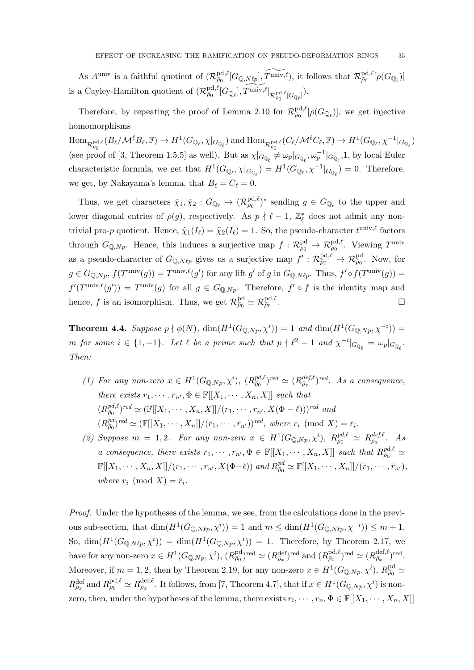As  $A^{\text{univ}}$  is a faithful quotient of  $(\mathcal{R}_{\bar{\rho}_0}^{\text{pd},\ell}[G_{\mathbb{Q},N\ell p}], \widetilde{T}^{\text{univ},\ell}),$  it follows that  $\mathcal{R}_{\bar{\rho}_0}^{\text{pd},\ell}[\rho(G_{\mathbb{Q}_\ell})]$ is a Cayley-Hamilton quotient of  $(\mathcal{R}_{\bar{\rho}_0}^{\text{pd},\ell}[G_{\mathbb{Q}_\ell}], \widetilde{T}^{\text{univ},\ell}|_{\mathcal{R}_{\bar{\rho}_0}^{\text{pd},\ell}[G_{\mathbb{Q}_\ell}]}).$ 

Therefore, by repeating the proof of Lemma 2.10 for  $\mathcal{R}_{\bar{\rho}_0}^{\text{pd},\ell}[\rho(G_{\mathbb{Q}_\ell})]$ , we get injective homomorphisms

 $\text{Hom}_{\mathcal{R}^{\text{pd},\ell}_{\bar{\rho}_0}}(B_\ell/\mathcal{M}^\ell B_\ell,\mathbb{F})\to H^1(G_{\mathbb{Q}_\ell},\chi|_{G_{\mathbb{Q}_\ell}}) \text{ and } \text{Hom}_{\mathcal{R}^{\text{pd},\ell}_{\bar{\rho}_0}}(C_\ell/\mathcal{M}^\ell C_\ell,\mathbb{F})\to H^1(G_{\mathbb{Q}_\ell},\chi^{-1}|_{G_{\mathbb{Q}_\ell}})$ (see proof of [3, Theorem 1.5.5] as well). But as  $\chi|_{G_{\mathbb{Q}_\ell}} \neq \omega_p|_{G_{\mathbb{Q}_\ell}}, \omega_p^{-1}|_{G_{\mathbb{Q}_\ell}}, 1$ , by local Euler characteristic formula, we get that  $H^1(G_{\mathbb{Q}_\ell}, \chi|_{G_{\mathbb{Q}_\ell}}) = H^1(G_{\mathbb{Q}_\ell}, \chi^{-1}|_{G_{\mathbb{Q}_\ell}}) = 0$ . Therefore, we get, by Nakayama's lemma, that  $B_\ell = C_\ell = 0$ .

Thus, we get characters  $\tilde{\chi}_1, \tilde{\chi}_2 : G_{\mathbb{Q}_\ell} \to (\mathcal{R}_{\bar{\rho}_0}^{\mathrm{pd}, \ell})^*$  sending  $g \in G_{\mathbb{Q}_\ell}$  to the upper and lower diagonal entries of  $\rho(g)$ , respectively. As  $p \nmid \ell - 1$ ,  $\mathbb{Z}_{\ell}^*$  does not admit any nontrivial pro-p quotient. Hence,  $\tilde{\chi}_1(I_\ell) = \tilde{\chi}_2(I_\ell) = 1$ . So, the pseudo-character  $t^{\text{univ},\ell}$  factors through  $G_{\mathbb{Q},Np}$ . Hence, this induces a surjective map  $f: \mathcal{R}^{\text{pd}}_{\bar{\rho}_0} \to \mathcal{R}^{\text{pd},\ell}_{\bar{\rho}_0}$ . Viewing  $T^{\text{univ}}$ as a pseudo-character of  $G_{\mathbb{Q},N\ell p}$  gives us a surjective map  $f': \mathcal{R}^{\text{pd},\ell}_{\bar{\rho}_0} \to \mathcal{R}^{\text{pd}}_{\bar{\rho}_0}$ . Now, for  $g \in G_{\mathbb{Q},Np}$ ,  $f(T^{\text{univ}}(g)) = T^{\text{univ},\ell}(g')$  for any lift g' of g in  $G_{\mathbb{Q},N\ell p}$ . Thus,  $f' \circ f(T^{\text{univ}}(g)) =$  $f'(T^{\text{univ},\ell}(g')) = T^{\text{univ}}(g)$  for all  $g \in G_{\mathbb{Q},Np}$ . Therefore,  $f' \circ f$  is the identity map and hence, f is an isomorphism. Thus, we get  $\mathcal{R}^{\text{pd}}_{\bar{\rho}_0} \simeq \mathcal{R}^{\text{pd},\ell}_{\bar{\rho}_0}$ .

**Theorem 4.4.** Suppose  $p \nmid \phi(N)$ ,  $\dim(H^1(G_{\mathbb{Q},Np}, \chi^i)) = 1$  and  $\dim(H^1(G_{\mathbb{Q},Np}, \chi^{-i})) =$ m for some  $i \in \{1, -1\}$ . Let  $\ell$  be a prime such that  $p \nmid \ell^2 - 1$  and  $\chi^{-i}|_{G_{\mathbb{Q}_\ell}} = \omega_p|_{G_{\mathbb{Q}_\ell}}$ . Then:

- (1) For any non-zero  $x \in H^1(G_{\mathbb{Q},Np},\chi^i)$ ,  $(R_{\bar{\rho}_0}^{pd,\ell})^{red} \simeq (R_{\bar{\rho}_x}^{def,\ell})^{red}$ . As a consequence, there exists  $r_1, \dots, r_{n'}$ ,  $\Phi \in \mathbb{F}[[X_1, \dots, X_n, X]]$  such that  $(R_{\overline{\rho}_0}^{pd,\ell})^{red} \simeq (\mathbb{F}[[X_1,\cdots,X_n,X]]/(r_1,\cdots,r_{n'},X(\Phi-\ell)))^{red}$  and  $(R_{\bar{\rho}_0}^{pd})^{red} \simeq (\mathbb{F}[[X_1, \cdots, X_n]]/(\bar{r}_1, \cdots, \bar{r}_{n'}))^{red}$ , where  $r_i \pmod{X} = \bar{r}_i$ .
- (2) Suppose  $m = 1, 2$ . For any non-zero  $x \in H^1(G_{\mathbb{Q},Np}, \chi^i)$ ,  $R_{\bar{\rho}_0}^{pd,\ell} \simeq R_{\bar{\rho}_x}^{def,\ell}$ . As a consequence, there exists  $r_1, \dots, r_{n'} \Phi \in \mathbb{F}[[X_1, \dots, X_n, X]]$  such that  $R_{\bar{p}_0}^{pd, \ell} \simeq$  $\mathbb{F}[[X_1, \cdots, X_n, X]]/(r_1, \cdots, r_{n'}, X(\Phi-\ell))$  and  $R_{\bar{\rho}_0}^{pd} \simeq \mathbb{F}[[X_1, \cdots, X_n]]/(\bar{r}_1, \cdots, \bar{r}_{n'}),$ where  $r_i \pmod{X} = \overline{r_i}$ .

Proof. Under the hypotheses of the lemma, we see, from the calculations done in the previous sub-section, that  $\dim(H^1(G_{\mathbb{Q},N\ell p}, \chi^i)) = 1$  and  $m \leq \dim(H^1(G_{\mathbb{Q},N\ell p}, \chi^{-i})) \leq m + 1$ . So,  $\dim(H^1(G_{\mathbb{Q},N\ell p},\chi^i)) = \dim(H^1(G_{\mathbb{Q},Np},\chi^i)) = 1$ . Therefore, by Theorem 2.17, we have for any non-zero  $x \in H^1(G_{\mathbb{Q},N_p},\chi^i)$ ,  $(R^{pd}_{\bar{\rho}_0})^{\text{red}} \simeq (R^{def}_{\bar{\rho}_x})^{\text{red}}$  and  $(R^{pd,\ell}_{\bar{\rho}_0})^{\text{red}} \simeq (R^{def,\ell}_{\bar{\rho}_x})^{\text{red}}$ . Moreover, if  $m = 1, 2$ , then by Theorem 2.19, for any non-zero  $x \in H^1(G_{\mathbb{Q},N_p}, \chi^i)$ ,  $R_{\bar{\rho}_0}^{\text{pd}} \simeq$  $R^{\text{def}}_{\bar{\rho}_x}$  and  $R^{\text{pd},\ell}_{\bar{\rho}_0} \simeq R^{\text{def},\ell}_{\bar{\rho}_x}$ . It follows, from [7, Theorem 4.7], that if  $x \in H^1(G_{\mathbb{Q},Np},\chi^i)$  is nonzero, then, under the hypotheses of the lemma, there exists  $r_i, \dots, r_n, \Phi \in \mathbb{F}[[X_1, \dots, X_n, X]]$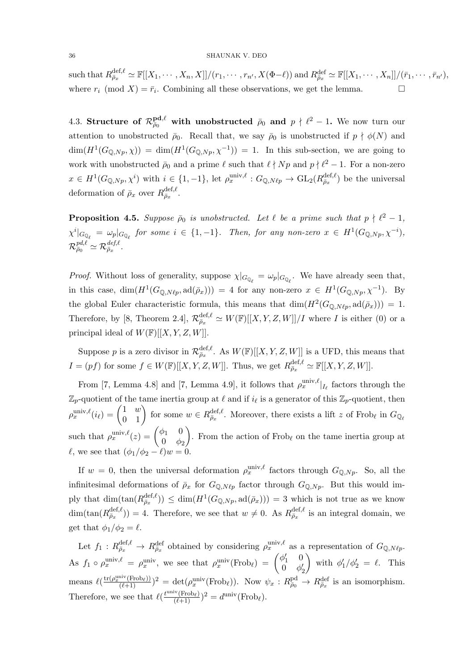such that  $R_{\bar{\rho}_x}^{\text{def},\ell} \simeq \mathbb{F}[[X_1,\cdots,X_n,X]]/(r_1,\cdots,r_{n'},X(\Phi-\ell))$  and  $R_{\bar{\rho}_x}^{\text{def}} \simeq \mathbb{F}[[X_1,\cdots,X_n]]/(\bar{r}_1,\cdots,\bar{r}_{n'}),$ where  $r_i \pmod{X} = \bar{r}_i$ . Combining all these observations, we get the lemma.

4.3. Structure of  $\mathcal{R}^{\textbf{pd},\ell}_{\bar{\rho}_0}$  with unobstructed  $\bar{\rho}_0$  and  $p \nmid \ell^2 - 1$ . We now turn our attention to unobstructed  $\bar{\rho}_0$ . Recall that, we say  $\bar{\rho}_0$  is unobstructed if  $p \nmid \phi(N)$  and  $\dim(H^1(G_{\mathbb{Q},Np},\chi)) = \dim(H^1(G_{\mathbb{Q},Np},\chi^{-1})) = 1$ . In this sub-section, we are going to work with unobstructed  $\bar{\rho}_0$  and a prime  $\ell$  such that  $\ell \nmid Np$  and  $p \nmid \ell^2 - 1$ . For a non-zero  $x \in H^1(G_{\mathbb{Q},Np},\chi^i)$  with  $i \in \{1,-1\}$ , let  $\rho_x^{\text{univ},\ell}: G_{\mathbb{Q},N\ell p} \to \text{GL}_2(R_{\bar{\rho}_x}^{\text{def},\ell})$  be the universal deformation of  $\bar{\rho}_x$  over  $R_{\bar{\rho}_x}^{\text{def},\ell}$ .

**Proposition 4.5.** Suppose  $\bar{\rho}_0$  is unobstructed. Let  $\ell$  be a prime such that  $p \nmid \ell^2 - 1$ ,  $\chi^{i}|_{G_{\mathbb{Q}_{\ell}}} = \omega_p|_{G_{\mathbb{Q}_{\ell}}}$  for some  $i \in \{1, -1\}$ . Then, for any non-zero  $x \in H^1(G_{\mathbb{Q},Np}, \chi^{-i}),$  $\mathcal{R}_{\bar{\rho}_0}^{pd, \ell} \simeq \mathcal{R}_{\bar{\rho}_x}^{def, \ell}.$ 

*Proof.* Without loss of generality, suppose  $\chi|_{G_{\mathbb{Q}_\ell}} = \omega_p|_{G_{\mathbb{Q}_\ell}}$ . We have already seen that, in this case,  $\dim(H^1(G_{\mathbb{Q},N\ell p},\mathrm{ad}(\bar{\rho}_x))) = 4$  for any non-zero  $x \in H^1(G_{\mathbb{Q},Np},\chi^{-1})$ . By the global Euler characteristic formula, this means that  $\dim(H^2(G_{\mathbb{Q},N\ell p},\mathrm{ad}(\bar{\rho}_x))) = 1$ . Therefore, by [8, Theorem 2.4],  $\mathcal{R}_{\bar{\rho}_x}^{\text{def},\ell} \simeq W(\mathbb{F})[[X,Y,Z,W]]/I$  where I is either (0) or a principal ideal of  $W(\mathbb{F})[[X, Y, Z, W]].$ 

Suppose p is a zero divisor in  $\mathcal{R}_{\bar{\rho}_x}^{\text{def},\ell}$ . As  $W(\mathbb{F})[[X, Y, Z, W]]$  is a UFD, this means that  $I = (pf)$  for some  $f \in W(\mathbb{F})[[X, Y, Z, W]].$  Thus, we get  $R_{\bar{\rho}_x}^{\text{def}, \ell} \simeq \mathbb{F}[[X, Y, Z, W]].$ 

From [7, Lemma 4.8] and [7, Lemma 4.9], it follows that  $\rho_x^{\text{univ},\ell}|_{I_{\ell}}$  factors through the  $\mathbb{Z}_p$ -quotient of the tame inertia group at  $\ell$  and if  $i_\ell$  is a generator of this  $\mathbb{Z}_p$ -quotient, then  $\rho_x^{\text{univ},\ell}(i_\ell) = \begin{pmatrix} 1 & w \\ 0 & 1 \end{pmatrix}$  for some  $w \in R_{\bar{\rho}_x}^{\text{def},\ell}$ . Moreover, there exists a lift z of Frob<sub> $\ell$ </sub> in  $G_{\mathbb{Q}_\ell}$ such that  $\rho_x^{\text{univ},\ell}(z) = \begin{pmatrix} \phi_1 & 0 \\ 0 & \phi_2 \end{pmatrix}$  $0 \phi_2$ ). From the action of  $Frob_{\ell}$  on the tame inertia group at  $\ell$ , we see that  $(\phi_1/\phi_2 - \ell)w = 0$ .

If  $w = 0$ , then the universal deformation  $\rho_x^{\text{univ},\ell}$  factors through  $G_{\mathbb{Q},Np}$ . So, all the infinitesimal deformations of  $\bar{\rho}_x$  for  $G_{\mathbb{Q},N\ell p}$  factor through  $G_{\mathbb{Q},N p}$ . But this would imply that  $\dim(\tan(R_{\bar{\rho}_x}^{\text{def},\ell})) \leq \dim(H^1(G_{\mathbb{Q},Np},\text{ad}(\bar{\rho}_x))) = 3$  which is not true as we know  $\dim(\tan(R_{\bar{\rho}_x}^{\text{def},\ell})) = 4.$  Therefore, we see that  $w \neq 0$ . As  $R_{\bar{\rho}_x}^{\text{def},\ell}$  is an integral domain, we get that  $\phi_1/\phi_2 = \ell$ .

Let  $f_1: R^{\text{def},\ell}_{\bar{\rho}_x} \to R^{\text{def}}_{\bar{\rho}_x}$  obtained by considering  $\rho_x^{\text{univ},\ell}$  as a representation of  $G_{\mathbb{Q},N\ell p}$ . As  $f_1 \circ \rho_x^{\text{univ},\ell} = \rho_x^{\text{univ}}$ , we see that  $\rho_x^{\text{univ}}(\text{Frob}_{\ell}) = \begin{pmatrix} \phi_1' & 0 \\ 0 & \phi_1' \end{pmatrix}$  $0 \phi'_2$ with  $\phi'_1/\phi'_2 = \ell$ . This means  $\ell\left(\frac{\text{tr}(\rho_x^{\text{univ}}(\text{Frob}_{\ell}))}{(\ell+1)}\right)^2 = \det(\rho_x^{\text{univ}}(\text{Frob}_{\ell}))$ . Now  $\psi_x : R^{\text{pd}}_{\bar{\rho}_0} \to R^{\text{def}}_{\bar{\rho}_x}$  is an isomorphism. Therefore, we see that  $\ell(\frac{t^{\text{univ}}(\text{Frob}_{\ell})}{(\ell+1)})^2 = d^{\text{univ}}(\text{Frob}_{\ell}).$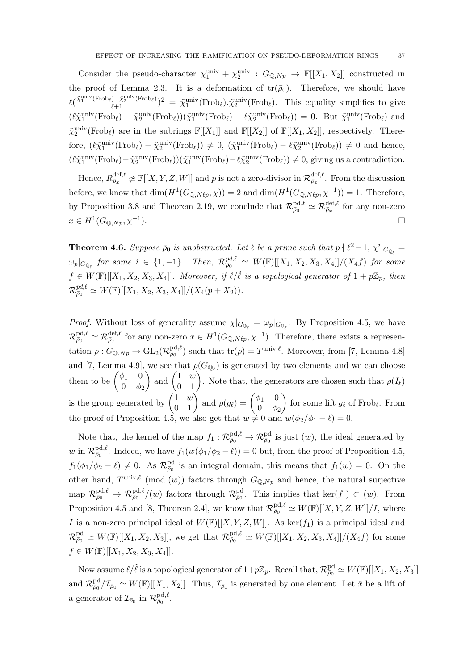Consider the pseudo-character  $\tilde{\chi}_1^{\text{univ}} + \tilde{\chi}_2^{\text{univ}} : G_{\mathbb{Q},Np} \to \mathbb{F}[[X_1,X_2]]$  constructed in the proof of Lemma 2.3. It is a deformation of  $tr(\bar{\rho}_0)$ . Therefore, we should have  $\ell(\frac{\tilde{\chi}_1^{\text{univ}}(\text{Frob}_{\ell})+\tilde{\chi}_2^{\text{univ}}(\text{Frob}_{\ell})}{\ell+1})^2 = \tilde{\chi}_1^{\text{univ}}(\text{Frob}_{\ell}).\tilde{\chi}_2^{\text{univ}}(\text{Frob}_{\ell}).$  This equality simplifies to give  $(\ell \tilde{\chi}_1^{\text{univ}}(\text{Frob}_{\ell}) - \tilde{\chi}_2^{\text{univ}}(\text{Frob}_{\ell}))(\tilde{\chi}_1^{\text{univ}}(\text{Frob}_{\ell}) - \ell \tilde{\chi}_2^{\text{univ}}(\text{Frob}_{\ell})) = 0.$  But  $\tilde{\chi}_1^{\text{univ}}(\text{Frob}_{\ell})$  and  $\tilde{\chi}_2^{\text{univ}}(\text{Frob}_\ell)$  are in the subrings  $\mathbb{F}[[X_1]]$  and  $\mathbb{F}[[X_2]]$  of  $\mathbb{F}[[X_1, X_2]]$ , respectively. Therefore,  $(\ell \tilde{\chi}_1^{\text{univ}}(\text{Frob}_{\ell}) - \tilde{\chi}_2^{\text{univ}}(\text{Frob}_{\ell})) \neq 0$ ,  $(\tilde{\chi}_1^{\text{univ}}(\text{Frob}_{\ell}) - \ell \tilde{\chi}_2^{\text{univ}}(\text{Frob}_{\ell})) \neq 0$  and hence,  $(\ell \tilde{\chi}_1^{\text{univ}}(\text{Frob}_{\ell}) - \tilde{\chi}_2^{\text{univ}}(\text{Frob}_{\ell}))(\tilde{\chi}_1^{\text{univ}}(\text{Frob}_{\ell}) - \ell \tilde{\chi}_2^{\text{univ}}(\text{Frob}_{\ell})) \neq 0$ , giving us a contradiction.

Hence,  $R_{\bar{\rho}_x}^{\text{def},\ell} \not\simeq \mathbb{F}[[X,Y,Z,W]]$  and  $p$  is not a zero-divisor in  $\mathcal{R}_{\bar{\rho}_x}^{\text{def},\ell}$ . From the discussion before, we know that  $\dim(H^1(G_{\mathbb{Q},N\ell p}, \chi)) = 2$  and  $\dim(H^1(G_{\mathbb{Q},N\ell p}, \chi^{-1})) = 1$ . Therefore, by Proposition 3.8 and Theorem 2.19, we conclude that  $\mathcal{R}^{\text{pd},\ell}_{\bar{\rho}_0} \simeq \mathcal{R}^{\text{def},\ell}_{\bar{\rho}_x}$  for any non-zero  $x \in H^1(G_{\mathbb{Q},Np}, \chi^{-1})$ ).

**Theorem 4.6.** Suppose  $\bar{\rho}_0$  is unobstructed. Let  $\ell$  be a prime such that  $p \nmid \ell^2 - 1$ ,  $\chi^i|_{G_{\mathbb{Q}_{\ell}}} =$  $\omega_p|_{G_{\mathbb{Q}_{\ell}}}$  for some  $i \in \{1, -1\}.$  Then,  $\mathcal{R}_{\bar{\rho}_0}^{pd, \ell} \simeq \, W(\mathbb{F})[[X_1, X_2, X_3, X_4]]/(X_4 f)$  for some  $f \in W(\mathbb{F})[[X_1, X_2, X_3, X_4]]$ . Moreover, if  $\ell/\tilde{\ell}$  is a topological generator of  $1 + p\mathbb{Z}_p$ , then  $\mathcal{R}_{\bar{\rho}_0}^{\mathit{pd},\ell} \simeq W(\mathbb{F})[[X_1,X_2,X_3,X_4]]/(X_4(p+X_2)).$ 

*Proof.* Without loss of generality assume  $\chi|_{G_{\mathbb{Q}_\ell}} = \omega_p|_{G_{\mathbb{Q}_\ell}}$ . By Proposition 4.5, we have  $\mathcal{R}^{\text{pd},\ell}_{\bar{\rho}_0} \simeq \mathcal{R}^{\text{def},\ell}_{\bar{\rho}_x}$  for any non-zero  $x \in H^1(G_{\mathbb{Q},N\ell p},\chi^{-1})$ . Therefore, there exists a representation  $\rho: G_{\mathbb{Q},Np} \to GL_2(\mathcal{R}_{\overline{\rho}_0}^{\text{pd},\ell})$  such that  $\text{tr}(\rho) = T^{\text{univ},\ell}$ . Moreover, from [7, Lemma 4.8] and [7, Lemma 4.9], we see that  $\rho(G_{\mathbb{Q}_\ell})$  is generated by two elements and we can choose them to be  $\begin{pmatrix} \phi_1 & 0 \\ 0 & \phi_2 \end{pmatrix}$  $0 \phi_2$ ) and  $\begin{pmatrix} 1 & w \\ 0 & 1 \end{pmatrix}$ . Note that, the generators are chosen such that  $\rho(I_{\ell})$ is the group generated by  $\begin{pmatrix} 1 & w \\ 0 & 1 \end{pmatrix}$  and  $\rho(g_{\ell}) = \begin{pmatrix} \phi_1 & 0 \\ 0 & \phi_2 \end{pmatrix}$  $0 \phi_2$ for some lift  $g_{\ell}$  of Frob<sub> $\ell$ </sub>. From the proof of Proposition 4.5, we also get that  $w \neq 0$  and  $w(\phi_2/\phi_1 - \ell) = 0$ .

Note that, the kernel of the map  $f_1: \mathcal{R}^{\text{pd},\ell}_{\bar{\rho}_0} \to \mathcal{R}^{\text{pd}}_{\bar{\rho}_0}$  is just  $(w)$ , the ideal generated by w in  $\mathcal{R}_{\bar{\rho}_0}^{\text{pd},\ell}$ . Indeed, we have  $f_1(w(\phi_1/\phi_2-\ell))=0$  but, from the proof of Proposition 4.5,  $f_1(\phi_1/\phi_2 - \ell) \neq 0$ . As  $\mathcal{R}^{\text{pd}}_{\bar{\rho}_0}$  is an integral domain, this means that  $f_1(w) = 0$ . On the other hand,  $T^{\text{univ},\ell}$  (mod  $(w)$ ) factors through  $G_{\mathbb{Q},Np}$  and hence, the natural surjective map  $\mathcal{R}^{\text{pd},\ell}_{\bar{\rho}_0} \to \mathcal{R}^{\text{pd},\ell}_{\bar{\rho}_0}/(w)$  factors through  $\mathcal{R}^{\text{pd}}_{\bar{\rho}_0}$ . This implies that ker $(f_1) \subset (w)$ . From Proposition 4.5 and [8, Theorem 2.4], we know that  $\mathcal{R}_{\bar{\rho}_0}^{\text{pd},\ell} \simeq W(\mathbb{F})[[X,Y,Z,W]]/I$ , where I is a non-zero principal ideal of  $W(\mathbb{F})[[X, Y, Z, W]]$ . As ker $(f_1)$  is a principal ideal and  $\mathcal{R}^{\text{pd}}_{\bar{\rho}_0} \simeq W(\mathbb{F})[[X_1, X_2, X_3]],$  we get that  $\mathcal{R}^{\text{pd}, \ell}_{\bar{\rho}_0} \simeq W(\mathbb{F})[[X_1, X_2, X_3, X_4]]/(X_4 f)$  for some  $f \in W(\mathbb{F})[[X_1, X_2, X_3, X_4]].$ 

Now assume  $\ell/\tilde{\ell}$  is a topological generator of  $1+p\mathbb{Z}_p$ . Recall that,  $\mathcal{R}^{\text{pd}}_{\bar{\rho}_0}\simeq W(\mathbb{F})[[X_1,X_2,X_3]]$ and  $\mathcal{R}^{\text{pd}}_{\bar{\rho}_0}/\mathcal{I}_{\bar{\rho}_0} \simeq W(\mathbb{F})[[X_1, X_2]]$ . Thus,  $\mathcal{I}_{\bar{\rho}_0}$  is generated by one element. Let  $\tilde{x}$  be a lift of a generator of  $\mathcal{I}_{\bar{\rho}_0}$  in  $\mathcal{R}^{\text{pd},\ell}_{\bar{\rho}_0}$ .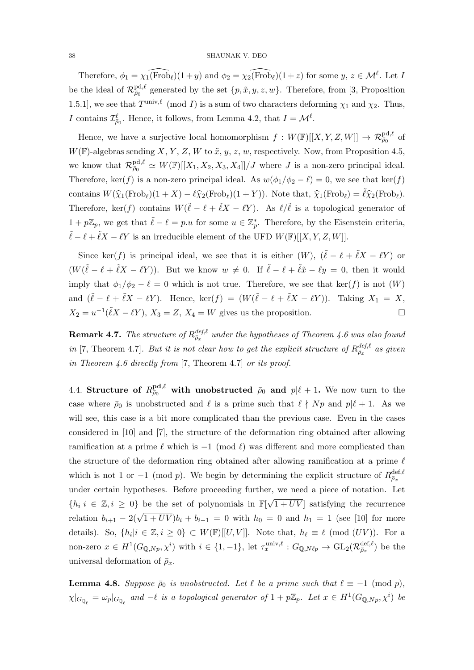Therefore,  $\phi_1 = \chi_1(\widehat{\text{Frob}}_\ell)(1 + y)$  and  $\phi_2 = \chi_2(\widehat{\text{Frob}}_\ell)(1 + z)$  for some  $y, z \in \mathcal{M}^\ell$ . Let I be the ideal of  $\mathcal{R}^{\text{pd},\ell}_{\bar{\rho}_0}$  generated by the set  $\{p,\tilde{x},y,z,w\}$ . Therefore, from [3, Proposition 1.5.1], we see that  $T^{\text{univ},\ell}$  (mod I) is a sum of two characters deforming  $\chi_1$  and  $\chi_2$ . Thus, I contains  $\mathcal{I}_{\bar{\rho}_0}^{\ell}$ . Hence, it follows, from Lemma 4.2, that  $I = \mathcal{M}^{\ell}$ .

Hence, we have a surjective local homomorphism  $f: W(\mathbb{F})[[X, Y, Z, W]] \to \mathcal{R}_{\bar{\rho}_0}^{\text{pd}, \ell}$  of  $W(\mathbb{F})$ -algebras sending X, Y, Z, W to  $\tilde{x}$ ,  $y$ , z, w, respectively. Now, from Proposition 4.5, we know that  $\mathcal{R}^{\text{pd},\ell}_{\bar{\rho}_0} \simeq W(\mathbb{F})[[X_1,X_2,X_3,X_4]]/J$  where J is a non-zero principal ideal. Therefore, ker(f) is a non-zero principal ideal. As  $w(\phi_1/\phi_2 - \ell) = 0$ , we see that ker(f) contains  $W(\hat{\chi}_1(\text{Frob}_\ell)(1 + X) - \ell \hat{\chi}_2(\text{Frob}_\ell)(1 + Y))$ . Note that,  $\hat{\chi}_1(\text{Frob}_\ell) = \tilde{\ell} \hat{\chi}_2(\text{Frob}_\ell)$ . Therefore, ker(f) contains  $W(\tilde{\ell} - \ell + \tilde{\ell}X - \ell Y)$ . As  $\ell/\tilde{\ell}$  is a topological generator of  $1 + p\mathbb{Z}_p$ , we get that  $\tilde{\ell} - \ell = p.u$  for some  $u \in \mathbb{Z}_p^*$ . Therefore, by the Eisenstein criteria,  $\tilde{\ell} - \ell + \tilde{\ell}X - \ell Y$  is an irreducible element of the UFD  $W(\mathbb{F})[[X, Y, Z, W]].$ 

Since ker(f) is principal ideal, we see that it is either  $(W)$ ,  $(\tilde{\ell} - \ell + \tilde{\ell}X - \ell Y)$  or  $(W(\tilde{\ell} - \ell + \tilde{\ell}X - \ell Y)).$  But we know  $w \neq 0$ . If  $\tilde{\ell} - \ell + \tilde{\ell}\tilde{x} - \ell y = 0$ , then it would imply that  $\phi_1/\phi_2 - \ell = 0$  which is not true. Therefore, we see that ker(f) is not  $(W)$ and  $(\tilde{\ell} - \ell + \tilde{\ell}X - \ell Y)$ . Hence, ker $(f) = (W(\tilde{\ell} - \ell + \tilde{\ell}X - \ell Y))$ . Taking  $X_1 = X$ ,  $X_2 = u^{-1}(\tilde{\ell}X - \ell Y), X_3 = Z, X_4 = W$  gives us the proposition.

 ${\bf Remark~4.7.}$  The structure of  $R_{\bar{\rho}_x}^{def,\ell}$  under the hypotheses of Theorem 4.6 was also found in [7, Theorem 4.7]. But it is not clear how to get the explicit structure of  $R_{\bar{\rho}_x}^{def,\ell}$  as given in Theorem 4.6 directly from [7, Theorem 4.7] or its proof.

4.4. Structure of  $R_{\bar{\rho}_0}^{\mathrm{pd}, \ell}$  with unobstructed  $\bar{\rho}_0$  and  $p|\ell + 1$ . We now turn to the case where  $\bar{\rho}_0$  is unobstructed and  $\ell$  is a prime such that  $\ell \nmid Np$  and  $p|\ell + 1$ . As we will see, this case is a bit more complicated than the previous case. Even in the cases considered in [10] and [7], the structure of the deformation ring obtained after allowing ramification at a prime  $\ell$  which is  $-1 \pmod{\ell}$  was different and more complicated than the structure of the deformation ring obtained after allowing ramification at a prime  $\ell$ which is not 1 or  $-1 \pmod{p}$ . We begin by determining the explicit structure of  $R_{\bar{\rho}_x}^{\text{def},\ell}$ under certain hypotheses. Before proceeding further, we need a piece of notation. Let  ${h_i | i \in \mathbb{Z}, i \geq 0}$  be the set of polynomials in  $\mathbb{F}[\sqrt{\}}]$  $(1+UV)$  satisfying the recurrence relation  $b_{i+1} - 2(\sqrt{1+UV})b_i + b_{i-1} = 0$  with  $h_0 = 0$  and  $h_1 = 1$  (see [10] for more details). So,  $\{h_i | i \in \mathbb{Z}, i \geq 0\} \subset W(\mathbb{F})[[U, V]].$  Note that,  $h_\ell \equiv \ell \pmod{(UV)}$ . For a non-zero  $x \in H^1(G_{\mathbb{Q},N_p},\chi^i)$  with  $i \in \{1,-1\}$ , let  $\tau_x^{\text{univ},\ell}: G_{\mathbb{Q},N\ell_p} \to \text{GL}_2(\mathcal{R}_{\bar{\rho}_x}^{\text{def},\ell})$  be the universal deformation of  $\bar{\rho}_x$ .

**Lemma 4.8.** Suppose  $\bar{\rho}_0$  is unobstructed. Let  $\ell$  be a prime such that  $\ell \equiv -1 \pmod{p}$ ,  $\chi|_{G_{\mathbb{Q}_\ell}} = \omega_p|_{G_{\mathbb{Q}_\ell}}$  and  $-\ell$  is a topological generator of  $1 + p\mathbb{Z}_p$ . Let  $x \in H^1(G_{\mathbb{Q},Np},\chi^i)$  be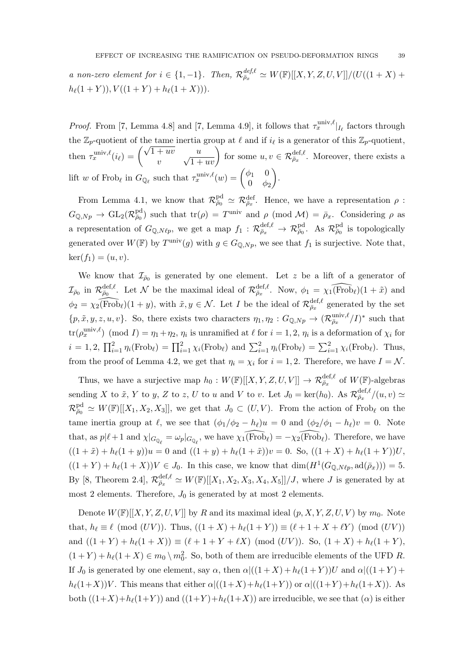a non-zero element for  $i \in \{1, -1\}$ . Then,  $\mathcal{R}_{\bar{\rho}_x}^{\text{def},\ell} \simeq W(\mathbb{F})[[X, Y, Z, U, V]]/(U((1+X))$  $h_{\ell}(1 + Y), V ((1 + Y) + h_{\ell}(1 + X))).$ 

*Proof.* From [7, Lemma 4.8] and [7, Lemma 4.9], it follows that  $\tau_x^{\text{univ},\ell}|_{I_{\ell}}$  factors through the  $\mathbb{Z}_p$ -quotient of the tame inertia group at  $\ell$  and if  $i_\ell$  is a generator of this  $\mathbb{Z}_p$ -quotient, then  $\tau_x^{\text{univ},\ell}(i_\ell) = \begin{pmatrix} \sqrt{1+uv} & u \\ u & \sqrt{1+uv} \end{pmatrix}$  $\overline{v}$  $\left(\frac{u}{\sqrt{1+uv}}\right)$  for some  $u, v \in \mathcal{R}_{\bar{\rho}_x}^{\text{def}, \ell}$ . Moreover, there exists a lift w of Frob<sub>l</sub> in  $G_{\mathbb{Q}_\ell}$  such that  $\tau_x^{\text{univ},\ell}(w) = \begin{pmatrix} \phi_1 & 0 \\ 0 & \phi_2 \end{pmatrix}$  $0 \phi_2$ .

From Lemma 4.1, we know that  $\mathcal{R}^{\text{pd}}_{\bar{\rho}_0} \simeq \mathcal{R}^{\text{def}}_{\bar{\rho}_x}$ . Hence, we have a representation  $\rho$ :  $G_{\mathbb{Q},Np} \to GL_2(\mathcal{R}_{\bar{\rho}_0}^{\text{pd}})$  such that  $\text{tr}(\rho) = T^{\text{univ}}$  and  $\rho \pmod{\mathcal{M}} = \bar{\rho}_x$ . Considering  $\rho$  as a representation of  $G_{\mathbb{Q},N\ell_p}$ , we get a map  $f_1 : \mathcal{R}^{\text{def},\ell}_{\bar{\rho}_x} \to \mathcal{R}^{\text{pd}}_{\bar{\rho}_0}$ . As  $\mathcal{R}^{\text{pd}}_{\bar{\rho}_0}$  is topologically generated over  $W(\mathbb{F})$  by  $T^{\text{univ}}(g)$  with  $g \in G_{\mathbb{Q},Np}$ , we see that  $f_1$  is surjective. Note that,  $\ker(f_1) = (u, v).$ 

We know that  $\mathcal{I}_{\bar{\rho}_0}$  is generated by one element. Let z be a lift of a generator of  $\mathcal{I}_{\bar{\rho}_0}$  in  $\mathcal{R}_{\bar{\rho}_0}^{\text{def},\ell}$ . Let N be the maximal ideal of  $\mathcal{R}_{\bar{\rho}_x}^{\text{def},\ell}$ . Now,  $\phi_1 = \widehat{\chi_1(\text{Frob}_\ell)}(1 + \tilde{x})$  and  $\phi_2 = \widehat{\chi_2(\text{Frob}_{\ell})}(1 + y)$ , with  $\tilde{x}, y \in \mathcal{N}$ . Let I be the ideal of  $\mathcal{R}_{\bar{\rho}_x}^{\text{def}, \ell}$  generated by the set  $\{p, \tilde{x}, y, z, u, v\}$ . So, there exists two characters  $\eta_1, \eta_2 : G_{\mathbb{Q},Np} \to (\mathcal{R}_{\bar{\rho}_x}^{\text{univ}, \ell}/I)^*$  such that  $\text{tr}(\rho_x^{\text{univ},\ell}) \pmod{I} = \eta_1 + \eta_2, \eta_i$  is unramified at  $\ell$  for  $i = 1, 2, \eta_i$  is a deformation of  $\chi_i$  for  $i = 1, 2, \prod_{i=1}^{2} \eta_i(\text{Frob}_{\ell}) = \prod_{i=1}^{2} \chi_i(\text{Frob}_{\ell})$  and  $\sum_{i=1}^{2} \eta_i(\text{Frob}_{\ell}) = \sum_{i=1}^{2} \chi_i(\text{Frob}_{\ell})$ . Thus, from the proof of Lemma 4.2, we get that  $\eta_i = \chi_i$  for  $i = 1, 2$ . Therefore, we have  $I = \mathcal{N}$ .

Thus, we have a surjective map  $h_0: W(\mathbb{F})[[X, Y, Z, U, V]] \to \mathcal{R}_{\bar{\rho}_x}^{\text{def}, \ell}$  of  $W(\mathbb{F})$ -algebras sending X to  $\tilde{x}$ , Y to y, Z to z, U to u and V to v. Let  $J_0 = \text{ker}(h_0)$ . As  $\mathcal{R}_{\bar{\rho}_x}^{\text{def},\ell}(u,v) \simeq$  $\mathcal{R}^{\text{pd}}_{\bar{\rho}_0} \simeq W(\mathbb{F})[[X_1, X_2, X_3]],$  we get that  $J_0 \subset (U, V)$ . From the action of Frob<sub>l</sub> on the tame inertia group at  $\ell$ , we see that  $(\phi_1/\phi_2 - h_\ell)u = 0$  and  $(\phi_2/\phi_1 - h_\ell)v = 0$ . Note that, as  $p|\ell + 1$  and  $\chi|_{G_{\mathbb{Q}_\ell}} = \omega_p|_{G_{\mathbb{Q}_\ell}}$ , we have  $\widehat{\chi_1(\text{Frob}_\ell)} = -\widehat{\chi_2(\text{Frob}_\ell)}$ . Therefore, we have  $((1 + \tilde{x}) + h_{\ell}(1 + y))u = 0$  and  $((1 + y) + h_{\ell}(1 + \tilde{x}))v = 0$ . So,  $((1 + X) + h_{\ell}(1 + Y))U$ ,  $((1 + Y) + h_{\ell}(1 + X))V \in J_0$ . In this case, we know that  $\dim(H^1(G_{\mathbb{Q},N\ell_p},\mathrm{ad}(\bar{\rho}_x))) = 5$ . By [8, Theorem 2.4],  $\mathcal{R}_{\bar{\rho}_x}^{\text{def},\ell} \simeq W(\mathbb{F})[[X_1, X_2, X_3, X_4, X_5]]/J$ , where J is generated by at most 2 elements. Therefore,  $J_0$  is generated by at most 2 elements.

Denote  $W(\mathbb{F})[[X, Y, Z, U, V]]$  by R and its maximal ideal  $(p, X, Y, Z, U, V)$  by  $m_0$ . Note that,  $h_\ell \equiv \ell \pmod{(UV)}$ . Thus,  $((1 + X) + h_\ell(1 + Y)) \equiv (\ell + 1 + X + \ell Y) \pmod{(UV)}$ and  $((1 + Y) + h_{\ell}(1 + X)) \equiv (\ell + 1 + Y + \ell X) \pmod{(UV)}$ . So,  $(1 + X) + h_{\ell}(1 + Y)$ ,  $(1 + Y) + h_{\ell}(1 + X) \in m_0 \setminus m_0^2$ . So, both of them are irreducible elements of the UFD R. If  $J_0$  is generated by one element, say  $\alpha$ , then  $\alpha$ |((1+X) +  $h_{\ell}(1 + Y)$ )U and  $\alpha$ |((1+Y) +  $h_{\ell}(1+X)V$ . This means that either  $\alpha|((1+X)+h_{\ell}(1+Y))$  or  $\alpha|((1+Y)+h_{\ell}(1+X))$ . As both  $((1+X)+h_{\ell}(1+Y))$  and  $((1+Y)+h_{\ell}(1+X))$  are irreducible, we see that  $(\alpha)$  is either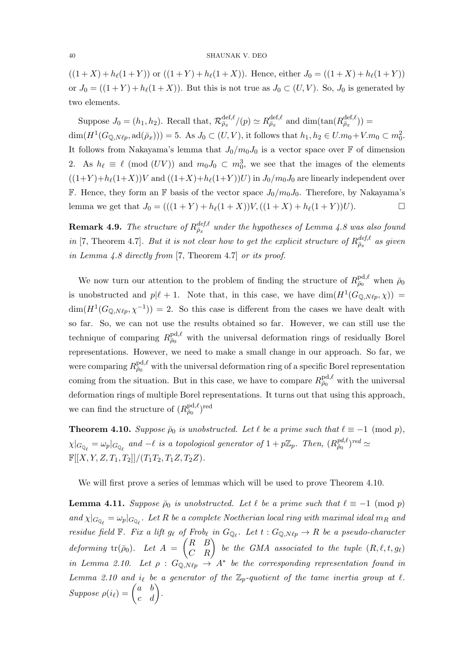#### 40 SHAUNAK V. DEO

 $((1 + X) + h_{\ell}(1 + Y))$  or  $((1 + Y) + h_{\ell}(1 + X))$ . Hence, either  $J_0 = ((1 + X) + h_{\ell}(1 + Y))$ or  $J_0 = ((1 + Y) + h_\ell(1 + X))$ . But this is not true as  $J_0 \subset (U, V)$ . So,  $J_0$  is generated by two elements.

Suppose  $J_0 = (h_1, h_2)$ . Recall that,  $\mathcal{R}_{\bar{\rho}_x}^{\text{def}, \ell} / (p) \simeq R_{\bar{\rho}_x}^{\text{def}, \ell}$  and  $\dim(\tan(R_{\bar{\rho}_x}^{\text{def}, \ell})) =$  $\dim(H^1(G_{\mathbb{Q},N\ell_p},\mathrm{ad}(\bar{\rho}_x)))=5.$  As  $J_0\subset (U,V)$ , it follows that  $h_1, h_2\in U.m_0+V.m_0\subset m_0^2$ . It follows from Nakayama's lemma that  $J_0/m_0J_0$  is a vector space over  $\mathbb F$  of dimension 2. As  $h_{\ell} \equiv \ell \pmod{(UV)}$  and  $m_0J_0 \subset m_0^3$ , we see that the images of the elements  $((1+Y)+h_{\ell}(1+X))V$  and  $((1+X)+h_{\ell}(1+Y))U$  in  $J_0/m_0J_0$  are linearly independent over **F.** Hence, they form an **F** basis of the vector space  $J_0/m_0J_0$ . Therefore, by Nakayama's lemma we get that  $J_0 = (((1 + Y) + h_\ell(1 + X))V,((1 + X) + h_\ell(1 + Y))U).$ 

**Remark 4.9.** The structure of  $R_{\bar{\rho}_x}^{def,\ell}$  under the hypotheses of Lemma 4.8 was also found in [7, Theorem 4.7]. But it is not clear how to get the explicit structure of  $R_{\bar{\rho}_x}^{def,\ell}$  as given in Lemma 4.8 directly from [7, Theorem 4.7] or its proof.

We now turn our attention to the problem of finding the structure of  $R_{\bar{p}_0}^{\text{pd},\ell}$  when  $\bar{\rho}_0$ is unobstructed and  $p|\ell + 1$ . Note that, in this case, we have  $\dim(H^1(G_{\mathbb{Q},N\ell p}, \chi)) =$  $\dim(H^1(G_{\mathbb{Q},N\ell p},\chi^{-1})) = 2.$  So this case is different from the cases we have dealt with so far. So, we can not use the results obtained so far. However, we can still use the technique of comparing  $R_{\bar{p}_0}^{\text{pd},\ell}$  with the universal deformation rings of residually Borel representations. However, we need to make a small change in our approach. So far, we were comparing  $R_{\bar{\rho}_0}^{\text{pd},\ell}$  with the universal deformation ring of a specific Borel representation coming from the situation. But in this case, we have to compare  $R_{\bar{\rho}_0}^{\text{pd},\ell}$  with the universal deformation rings of multiple Borel representations. It turns out that using this approach, we can find the structure of  $(R_{\bar{p}_0}^{\text{pd}, \ell})^{\text{red}}$ 

**Theorem 4.10.** Suppose  $\bar{\rho}_0$  is unobstructed. Let  $\ell$  be a prime such that  $\ell \equiv -1 \pmod{p}$ ,  $\chi|_{G_{\mathbb{Q}_\ell}} = \omega_p|_{G_{\mathbb{Q}_\ell}}$  and  $-\ell$  is a topological generator of  $1 + p\mathbb{Z}_p$ . Then,  $(R_{\bar{\rho}_0}^{pd,\ell})^{red} \simeq$  $\mathbb{F}[[X, Y, Z, T_1, T_2]]/(T_1T_2, T_1Z, T_2Z).$ 

We will first prove a series of lemmas which will be used to prove Theorem 4.10.

**Lemma 4.11.** Suppose  $\bar{\rho}_0$  is unobstructed. Let  $\ell$  be a prime such that  $\ell \equiv -1 \pmod{p}$ and  $\chi|_{G_{\mathbb{Q}_{\ell}}} = \omega_p|_{G_{\mathbb{Q}_{\ell}}}$ . Let R be a complete Noetherian local ring with maximal ideal  $m_R$  and residue field  $\mathbb F$ . Fix a lift  $g_\ell$  of Frob<sub>l</sub> in  $G_{\mathbb Q_\ell}$ . Let  $t : G_{\mathbb Q, N\ell p} \to R$  be a pseudo-character  $deforming\ \mathrm{tr}(\bar{\rho}_0). \ \ \mathit{Let}\ \ A\ =\ \begin{pmatrix} R & B \ C & R \end{pmatrix} \ \ be \ \ the \ \ GMA \ \ associated \ \ to \ \ the \ \ tuple \ \ (R,\ell,t,g_\ell)$ in Lemma 2.10. Let  $\rho$  :  $G_{\mathbb{Q},N\ell p} \to A^*$  be the corresponding representation found in Lemma 2.10 and  $i_{\ell}$  be a generator of the  $\mathbb{Z}_p$ -quotient of the tame inertia group at  $\ell$ . Suppose  $\rho(i_{\ell}) = \begin{pmatrix} a & b \ c & d \end{pmatrix}$ .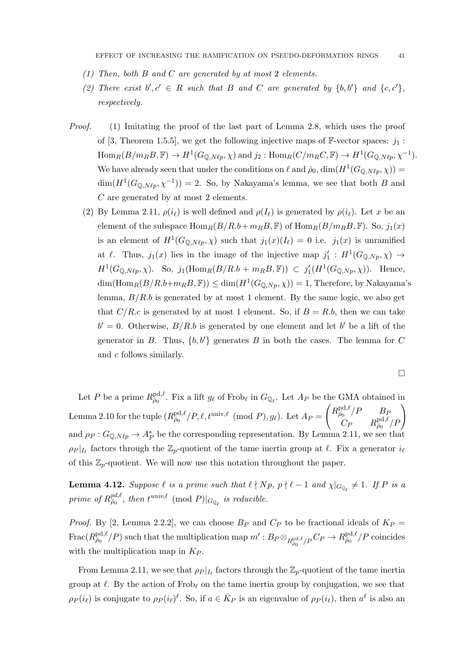- (1) Then, both B and C are generated by at most 2 elements.
- (2) There exist  $b', c' \in R$  such that B and C are generated by  $\{b, b'\}$  and  $\{c, c'\}$ , respectively.
- Proof. (1) Imitating the proof of the last part of Lemma 2.8, which uses the proof of [3, Theorem 1.5.5], we get the following injective maps of  $\mathbb{F}\text{-vector spaces: } j_1$ :  $\text{Hom}_R(B/m_R B, \mathbb{F}) \to H^1(G_{\mathbb{Q},N\ell p}, \chi)$  and  $j_2 : \text{Hom}_R(C/m_R C, \mathbb{F}) \to H^1(G_{\mathbb{Q},N\ell p}, \chi^{-1}).$ We have already seen that under the conditions on  $\ell$  and  $\bar{\rho}_0$ ,  $\dim(H^1(G_{\mathbb{Q},N\ell p}, \chi)) =$  $\dim(H^1(G_{\mathbb{Q},N\ell p},\chi^{-1})) = 2$ . So, by Nakayama's lemma, we see that both B and C are generated by at most 2 elements.
	- (2) By Lemma 2.11,  $\rho(i_\ell)$  is well defined and  $\rho(I_\ell)$  is generated by  $\rho(i_\ell)$ . Let x be an element of the subspace  $\text{Hom}_R(B/R.b+m_BB,\mathbb{F})$  of  $\text{Hom}_R(B/m_BB,\mathbb{F})$ . So,  $j_1(x)$ is an element of  $H^1(G_{\mathbb{Q},N\ell p}, \chi)$  such that  $j_1(x)(I_\ell) = 0$  i.e.  $j_1(x)$  is unramified at  $\ell$ . Thus,  $j_1(x)$  lies in the image of the injective map  $j'_1 : H^1(G_{\mathbb{Q},N_p}, \chi) \to$  $H^1(G_{\mathbb{Q},N\ell p}, \chi)$ . So,  $j_1(\text{Hom}_R(B/R.b + m_R B, \mathbb{F})) \subset j'_1(H^1(G_{\mathbb{Q},Np}, \chi))$ . Hence,  $\dim(\text{Hom}_R(B/R.b+m_BB,\mathbb{F})) \leq \dim(H^1(G_{\mathbb{Q},Np},\chi)) = 1$ , Therefore, by Nakayama's lemma,  $B/R.b$  is generated by at most 1 element. By the same logic, we also get that  $C/R.c$  is generated by at most 1 element. So, if  $B = R.b$ , then we can take  $b' = 0$ . Otherwise,  $B/R.b$  is generated by one element and let b' be a lift of the generator in B. Thus,  $\{b, b'\}$  generates B in both the cases. The lemma for C and c follows similarly.

$$
\Box
$$

Let P be a prime  $R_{\bar{\rho}_0}^{\text{pd},\ell}$ . Fix a lift  $g_\ell$  of Frob<sub> $\ell$ </sub> in  $G_{\mathbb{Q}_\ell}$ . Let  $A_P$  be the GMA obtained in Lemma 2.10 for the tuple  $(R_{\bar{p}_0}^{\text{pd}, \ell}/P, \ell, t^{\text{univ}, \ell} \pmod{P}, g_\ell$ . Let  $A_P =$  $\left(R_{\bar{\rho}_0}^{\text{pd},\ell}/P \right)$   $B_F$  $\left( \begin{matrix} C_P & B_P \ C_P & R_{\bar\rho_0}^{\mathrm{pd},\ell}/P \end{matrix} \right)$ and  $\rho_P$ :  $G_{\mathbb{Q},N\ell_p} \to A_P^*$  be the corresponding representation. By Lemma 2.11, we see that  $\rho_P |_{I_\ell}$  factors through the  $\mathbb{Z}_p$ -quotient of the tame inertia group at  $\ell$ . Fix a generator  $i_\ell$ of this  $\mathbb{Z}_p$ -quotient. We will now use this notation throughout the paper.

**Lemma 4.12.** Suppose  $\ell$  is a prime such that  $\ell \nmid Np$ ,  $p \nmid \ell - 1$  and  $\chi|_{G_{\mathbb{Q}_{\ell}}} \neq 1$ . If P is a prime of  $R_{\bar{\rho}_0}^{pd,\ell}$ , then  $t^{univ,\ell} \pmod{P}|_{G_{\mathbb{Q}_{\ell}}}$  is reducible.

*Proof.* By [2, Lemma 2.2.2], we can choose  $B_P$  and  $C_P$  to be fractional ideals of  $K_P$  =  $\text{Frac}(R_{\bar{\rho}_0}^{\text{pd},\ell}/P)$  such that the multiplication map  $m':B_P \otimes_{R_{\bar{\rho}_0}^{\text{pd},\ell}/P} C_P \to R_{\bar{\rho}_0}^{\text{pd},\ell}/P$  coincides with the multiplication map in  $K_P$ .

From Lemma 2.11, we see that  $\rho_P |_{I_\ell}$  factors through the  $\mathbb{Z}_p$ -quotient of the tame inertia group at  $\ell$ . By the action of Frob<sub>l</sub> on the tame inertia group by conjugation, we see that  $\rho_P(i_\ell)$  is conjugate to  $\rho_P(i_\ell)^{\ell}$ . So, if  $a \in \bar{K}_P$  is an eigenvalue of  $\rho_P(i_\ell)$ , then  $a^{\ell}$  is also an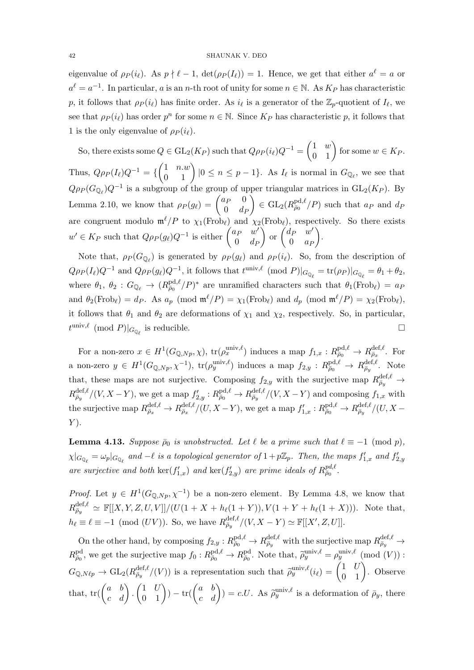eigenvalue of  $\rho_P(i_\ell)$ . As  $p \nmid \ell - 1$ ,  $\det(\rho_P(I_\ell)) = 1$ . Hence, we get that either  $a^\ell = a$  or  $a^{\ell} = a^{-1}$ . In particular, a is an n-th root of unity for some  $n \in \mathbb{N}$ . As  $K_P$  has characteristic p, it follows that  $\rho_P(i_\ell)$  has finite order. As  $i_\ell$  is a generator of the  $\mathbb{Z}_p$ -quotient of  $I_\ell$ , we see that  $\rho_P(i_\ell)$  has order  $p^n$  for some  $n \in \mathbb{N}$ . Since  $K_P$  has characteristic p, it follows that 1 is the only eigenvalue of  $\rho_P(i_\ell)$ .

So, there exists some  $Q \in \mathrm{GL}_2(K_P)$  such that  $Q \rho_P(i_\ell) Q^{-1} = \begin{pmatrix} 1 & w \ 0 & 1 \end{pmatrix}$  for some  $w \in K_P$ . Thus,  $Q\rho_P(I_\ell)Q^{-1} = \left\{ \begin{pmatrix} 1 & n.w \\ 0 & 1 \end{pmatrix} | 0 \le n \le p-1 \right\}$ . As  $I_\ell$  is normal in  $G_{\mathbb{Q}_\ell}$ , we see that  $Q\rho_P(G_{\mathbb{Q}_\ell})Q^{-1}$  is a subgroup of the group of upper triangular matrices in  $GL_2(K_P)$ . By Lemma 2.10, we know that  $\rho_P(g_\ell) = \begin{pmatrix} a_P & 0 \\ 0 & d_S \end{pmatrix}$  $0 \t d_F$  $\Big) \in GL_2(R_{\bar{p}_0}^{\text{pd}, \ell}/P)$  such that  $a_P$  and  $d_P$ are congruent modulo  $\mathfrak{m}^{\ell}/P$  to  $\chi_1(\text{Frob}_{\ell})$  and  $\chi_2(\text{Frob}_{\ell})$ , respectively. So there exists  $w' \in K_P$  such that  $Q \rho_P(g_\ell) Q^{-1}$  is either  $\begin{pmatrix} a_P & w' \\ 0 & A_P \end{pmatrix}$  $0 \t d_F$  $\int$  or  $\begin{pmatrix} d_P & w' \\ 0 & z \end{pmatrix}$  $0 \quad a_P$ .

Note that,  $\rho_P(G_{\mathbb{Q}_\ell})$  is generated by  $\rho_P(g_\ell)$  and  $\rho_P(i_\ell)$ . So, from the description of  $Q\rho_P(I_\ell)Q^{-1}$  and  $Q\rho_P(g_\ell)Q^{-1}$ , it follows that  $t^{\text{univ},\ell} \pmod{P}|_{G_{\mathbb{Q}_\ell}} = \text{tr}(\rho_P)|_{G_{\mathbb{Q}_\ell}} = \theta_1 + \theta_2$ , where  $\theta_1, \ \theta_2 : G_{\mathbb{Q}_\ell} \to (R_{\bar{\rho}_0}^{\text{pd}, \ell}/P)^*$  are unramified characters such that  $\theta_1(\text{Frob}_\ell) = a_P$ and  $\theta_2(\text{Frob}_\ell) = d_P$ . As  $a_p \pmod{\mathfrak{m}^\ell/P} = \chi_1(\text{Frob}_\ell)$  and  $d_p \pmod{\mathfrak{m}^\ell/P} = \chi_2(\text{Frob}_\ell)$ , it follows that  $\theta_1$  and  $\theta_2$  are deformations of  $\chi_1$  and  $\chi_2$ , respectively. So, in particular,  $t^{\text{univ},\ell} \pmod{P}|_{G_{\mathbb{Q}_{\ell}}}$  is reducible.

For a non-zero  $x \in H^1(G_{\mathbb{Q},Np}, \chi)$ ,  $\text{tr}(\rho_x^{\text{univ}, \ell})$  induces a map  $f_{1,x}: R_{\overline{\rho}_0}^{\text{pd}, \ell} \to R_{\overline{\rho}_x}^{\text{def}, \ell}$ . For a non-zero  $y \in H^1(G_{\mathbb{Q},N_p},\chi^{-1}), \text{ tr}(\rho_y^{\text{univ},\ell})$  induces a map  $f_{2,y} : R^{\text{pd},\ell}_{\bar{\rho}_0} \to R^{\text{def},\ell}_{\bar{\rho}_y}$ . Note that, these maps are not surjective. Composing  $f_{2,y}$  with the surjective map  $R_{\bar{\rho}_y}^{\text{def},\ell} \to$  $R_{\bar{\rho}_y}^{\text{def},\ell}/(V,X-Y)$ , we get a map  $f'_{2,y}: R_{\bar{\rho}_0}^{\text{pd},\ell} \to R_{\bar{\rho}_y}^{\text{def},\ell}/(V,X-Y)$  and composing  $f_{1,x}$  with the surjective map  $R_{\bar{\rho}_x}^{\text{def},\ell} \to R_{\bar{\rho}_x}^{\text{def},\ell}/(U,X-Y)$ , we get a map  $f'_{1,x}: R_{\bar{\rho}_0}^{\text{pd},\ell} \to R_{\bar{\rho}_y}^{\text{def},\ell}/(U,X-Y)$  $Y$ ).

**Lemma 4.13.** Suppose  $\bar{\rho}_0$  is unobstructed. Let  $\ell$  be a prime such that  $\ell \equiv -1 \pmod{p}$ ,  $\chi|_{G_{\mathbb{Q}_\ell}} = \omega_p|_{G_{\mathbb{Q}_\ell}}$  and  $-\ell$  is a topological generator of  $1 + p\mathbb{Z}_p$ . Then, the maps  $f'_{1,x}$  and  $f'_{2,y}$ are surjective and both  $\ker(f'_{1,x})$  and  $\ker(f'_{2,y})$  are prime ideals of  $R_{\bar{\rho}_0}^{pd,\ell}$ .

*Proof.* Let  $y \in H^1(G_{\mathbb{Q},N_p},\chi^{-1})$  be a non-zero element. By Lemma 4.8, we know that  $R_{\bar{\rho}_y}^{\text{def},\ell} \simeq \mathbb{F}[[X, Y, Z, U, V]]/(U(1 + X + h_{\ell}(1 + Y)), V(1 + Y + h_{\ell}(1 + X))).$  Note that,  $h_{\ell} \equiv \ell \equiv -1 \pmod{(UV)}$ . So, we have  $R_{\bar{\rho}_y}^{\text{def},\ell}/(V, X - Y) \simeq \mathbb{F}[[X', Z, U]].$ 

On the other hand, by composing  $f_{2,y}: R^{\text{pd},\ell}_{\bar{\rho}_0} \to R^{\text{def},\ell}_{\bar{\rho}_y}$  with the surjective map  $R^{\text{def},\ell}_{\bar{\rho}_y} \to$  $R^{\text{pd}}_{\bar{\rho}_0}$ , we get the surjective map  $f_0: R^{\text{pd},\ell}_{\bar{\rho}_0} \to R^{\text{pd}}_{\bar{\rho}_0}$ . Note that,  $\tilde{\rho}_y^{\text{univ},\ell} = \rho_y^{\text{univ},\ell} \pmod{(V)}$ :  $G_{\mathbb{Q},N\ell p} \to \mathrm{GL}_2(R_{\bar{\rho}_y}^{\mathrm{def},\ell}/(V))$  is a representation such that  $\tilde{\rho}_y^{\mathrm{univ},\ell}(i_\ell) = \begin{pmatrix} 1 & U \\ 0 & 1 \end{pmatrix}$ . Observe that,  $\text{tr}(\begin{pmatrix} a & b \\ c & d \end{pmatrix} \cdot \begin{pmatrix} 1 & U \\ 0 & 1 \end{pmatrix}) - \text{tr}(\begin{pmatrix} a & b \\ c & d \end{pmatrix}) = c.U.$  As  $\tilde{\rho}_y^{\text{univ},\ell}$  is a deformation of  $\bar{\rho}_y$ , there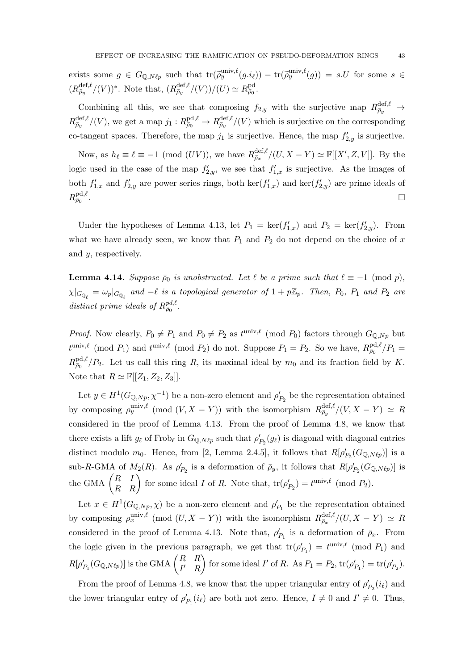exists some  $g \in G_{\mathbb{Q},N\ell p}$  such that  $\text{tr}(\tilde{\rho}_y^{\text{univ},\ell}(g.i_\ell)) - \text{tr}(\tilde{\rho}_y^{\text{univ},\ell}(g)) = s.U$  for some  $s \in$  $(R_{\bar{\rho}_y}^{\text{def},\ell}/(V))^*$ . Note that,  $(R_{\bar{\rho}_y}^{\text{def},\ell}/(V))/(U) \simeq R_{\bar{\rho}_0}^{\text{pd}}$ .

Combining all this, we see that composing  $f_{2,y}$  with the surjective map  $R_{\bar{\rho}_y}^{\text{def},\ell} \rightarrow$  $R_{\bar{\rho}_y}^{\text{def},\ell}/(V)$ , we get a map  $j_1: R_{\bar{\rho}_0}^{\text{pd},\ell} \to R_{\bar{\rho}_y}^{\text{def},\ell}/(V)$  which is surjective on the corresponding co-tangent spaces. Therefore, the map  $j_1$  is surjective. Hence, the map  $f'_{2,y}$  is surjective.

Now, as  $h_\ell \equiv \ell \equiv -1 \pmod{(UV)}$ , we have  $R_{\bar{\rho}_x}^{\text{def},\ell}/(U, X - Y) \simeq \mathbb{F}[[X', Z, V]]$ . By the logic used in the case of the map  $f'_{2,y}$ , we see that  $f'_{1,x}$  is surjective. As the images of both  $f'_{1,x}$  and  $f'_{2,y}$  are power series rings, both  $\ker(f'_{1,x})$  and  $\ker(f'_{2,y})$  are prime ideals of  $R^{\text{pd},\ell}_{\bar\rho_0}$ .

Under the hypotheses of Lemma 4.13, let  $P_1 = \text{ker}(f'_{1,x})$  and  $P_2 = \text{ker}(f'_{2,y})$ . From what we have already seen, we know that  $P_1$  and  $P_2$  do not depend on the choice of x and y, respectively.

**Lemma 4.14.** Suppose  $\bar{\rho}_0$  is unobstructed. Let  $\ell$  be a prime such that  $\ell \equiv -1 \pmod{p}$ ,  $\chi|_{G_{\mathbb{Q}_\ell}} = \omega_p|_{G_{\mathbb{Q}_\ell}}$  and  $-\ell$  is a topological generator of  $1 + p\mathbb{Z}_p$ . Then,  $P_0$ ,  $P_1$  and  $P_2$  are distinct prime ideals of  $R_{\bar{\rho}_0}^{pd,\ell}$ .

*Proof.* Now clearly,  $P_0 \neq P_1$  and  $P_0 \neq P_2$  as  $t^{\text{univ},\ell}$  (mod  $P_0$ ) factors through  $G_{\mathbb{Q},Np}$  but  $t^{\text{univ},\ell} \pmod{P_1}$  and  $t^{\text{univ},\ell} \pmod{P_2}$  do not. Suppose  $P_1 = P_2$ . So we have,  $R_{\bar{\rho}_0}^{\text{pd},\ell}/P_1 =$  $R_{\bar{\rho}_0}^{\text{pd},\ell}/P_2$ . Let us call this ring R, its maximal ideal by  $m_0$  and its fraction field by K. Note that  $R \simeq \mathbb{F}[[Z_1, Z_2, Z_3]]$ .

Let  $y \in H^1(G_{\mathbb{Q},N_p}, \chi^{-1})$  be a non-zero element and  $\rho'_{P_2}$  be the representation obtained by composing  $\rho_y^{\text{univ},\ell}$  (mod  $(V, X - Y)$ ) with the isomorphism  $R_{\bar{\rho}_y}^{\text{def},\ell}/(V, X - Y) \simeq R$ considered in the proof of Lemma 4.13. From the proof of Lemma 4.8, we know that there exists a lift  $g_\ell$  of Frob<sub> $\ell$ </sub> in  $G_{\mathbb{Q},N\ell p}$  such that  $\rho'_{P_2}(g_\ell)$  is diagonal with diagonal entries distinct modulo  $m_0$ . Hence, from [2, Lemma 2.4.5], it follows that  $R[\rho'_{P_2}(G_{\mathbb{Q},N\ell p})]$  is a sub-R-GMA of  $M_2(R)$ . As  $\rho'_{P_2}$  is a deformation of  $\bar{\rho}_y$ , it follows that  $R[\rho'_{P_2}(G_{\mathbb{Q},N\ell p})]$  is the GMA  $\begin{pmatrix} R & I \\ R & R \end{pmatrix}$  for some ideal I of R. Note that,  $\text{tr}(\rho'_{P_2}) = t^{\text{univ}, \ell} \pmod{P_2}$ .

Let  $x \in H^1(G_{\mathbb{Q},N_p}, \chi)$  be a non-zero element and  $\rho'_{P_1}$  be the representation obtained by composing  $\rho_x^{\text{univ},\ell}$  (mod  $(U, X - Y)$ ) with the isomorphism  $R_{\bar{\rho}_x}^{\text{def},\ell}/(U, X - Y) \simeq R$ considered in the proof of Lemma 4.13. Note that,  $\rho'_{P_1}$  is a deformation of  $\bar{\rho}_x$ . From the logic given in the previous paragraph, we get that  $tr(\rho'_{P_1}) = t^{\text{univ}, \ell} \pmod{P_1}$  and  $R[\rho'_{P_1}(G_{\mathbb{Q},N\ell p})]$  is the GMA  $\begin{pmatrix} R & R \ I' & R \end{pmatrix}$  $I'$  R for some ideal I' of R. As  $P_1 = P_2$ ,  $tr(\rho'_{P_1}) = tr(\rho'_{P_2})$ .

From the proof of Lemma 4.8, we know that the upper triangular entry of  $\rho'_{P_2}(i_\ell)$  and the lower triangular entry of  $\rho'_{P_1}(i_{\ell})$  are both not zero. Hence,  $I \neq 0$  and  $I' \neq 0$ . Thus,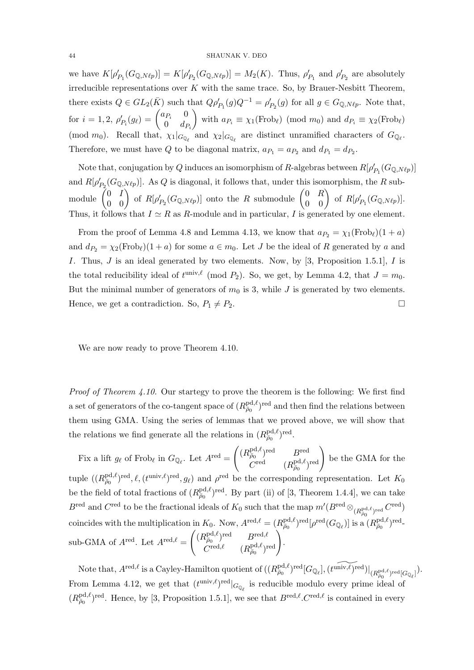#### 44 SHAUNAK V. DEO

we have  $K[\rho'_{P_1}(G_{\mathbb{Q},N\ell p})] = K[\rho'_{P_2}(G_{\mathbb{Q},N\ell p})] = M_2(K)$ . Thus,  $\rho'_{P_1}$  and  $\rho'_{P_2}$  are absolutely irreducible representations over  $K$  with the same trace. So, by Brauer-Nesbitt Theorem, there exists  $Q \in GL_2(\overline{K})$  such that  $Q\rho'_{P_1}(g)Q^{-1} = \rho'_{P_2}(g)$  for all  $g \in G_{\mathbb{Q},N\ell p}$ . Note that, for  $i = 1, 2, \ \rho'_{P_i}(g_\ell) = \begin{pmatrix} a_{P_i} & 0 \\ 0 & d_L \end{pmatrix}$  $0 \t d_{P_i}$ with  $a_{P_i} \equiv \chi_1(\text{Frob}_{\ell}) \pmod{m_0}$  and  $d_{P_i} \equiv \chi_2(\text{Frob}_{\ell})$ (mod  $m_0$ ). Recall that,  $\chi_1|_{G_{\mathbb{Q}_\ell}}$  and  $\chi_2|_{G_{\mathbb{Q}_\ell}}$  are distinct unramified characters of  $G_{\mathbb{Q}_\ell}$ . Therefore, we must have Q to be diagonal matrix,  $a_{P_1} = a_{P_2}$  and  $d_{P_1} = d_{P_2}$ .

Note that, conjugation by Q induces an isomorphism of R-algebras between  $R[\rho'_{P_1}(G_{\mathbb{Q},N\ell p})]$ and  $R[\rho'_{P_2}(G_{\mathbb{Q},N\ell p})]$ . As Q is diagonal, it follows that, under this isomorphism, the R sub- $\mod$ ule  $\begin{pmatrix} 0 & I \ 0 & 0 \end{pmatrix}$  of  $R[\rho'_{P_2}(G_{\mathbb{Q},N\ell p})]$  onto the  $R$  submodule  $\begin{pmatrix} 0 & R \ 0 & 0 \end{pmatrix}$  of  $R[\rho'_{P_1}(G_{\mathbb{Q},N\ell p})]$ . Thus, it follows that  $I \simeq R$  as R-module and in particular, I is generated by one element.

From the proof of Lemma 4.8 and Lemma 4.13, we know that  $a_{P_2} = \chi_1(\text{Frob}_\ell)(1 + a)$ and  $d_{P_2} = \chi_2(\text{Frob}_\ell)(1 + a)$  for some  $a \in m_0$ . Let J be the ideal of R generated by a and I. Thus,  $J$  is an ideal generated by two elements. Now, by [3, Proposition 1.5.1],  $I$  is the total reducibility ideal of  $t^{\text{univ},\ell} \pmod{P_2}$ . So, we get, by Lemma 4.2, that  $J = m_0$ . But the minimal number of generators of  $m_0$  is 3, while J is generated by two elements. Hence, we get a contradiction. So,  $P_1 \neq P_2$ .

We are now ready to prove Theorem 4.10.

*Proof of Theorem 4.10.* Our startegy to prove the theorem is the following: We first find a set of generators of the co-tangent space of  $(R_{\bar{\rho}_0}^{\text{pd}, \ell})^{\text{red}}$  and then find the relations between them using GMA. Using the series of lemmas that we proved above, we will show that the relations we find generate all the relations in  $(R_{\bar{\rho}_0}^{\text{pd}, \ell})^{\text{red}}$ .

Fix a lift  $g_{\ell}$  of Frob<sub> $\ell$ </sub> in  $G_{\mathbb{Q}_{\ell}}$ . Let  $A^{\text{red}} =$  $\left( (R^{\text{pd},\ell}_{\bar{\rho}_0})^{\text{red}} \qquad B^{\text{red}} \right)$  $\overline{C}^{\mathrm{red}, \ell}_{{\cal C}^\mathrm{red}} \left(R^{\mathrm{pd}, \ell}_{{\bar\rho}_0}\right) \mathrm{~be~the~GMA~for~the~d}$ tuple  $((R_{\bar{\rho}_0}^{\text{pd}, \ell})^{\text{red}}, \ell, (t^{\text{univ}, \ell})^{\text{red}}, g_\ell)$  and  $\rho^{\text{red}}$  be the corresponding representation. Let  $K_0$ be the field of total fractions of  $(R_{\bar{\rho}_0}^{\text{pd}, \ell})^{\text{red}}$ . By part (ii) of [3, Theorem 1.4.4], we can take  $B^{\text{red}}$  and  $C^{\text{red}}$  to be the fractional ideals of  $K_0$  such that the map  $m'(B^{\text{red}} \otimes_{(R_{\bar{\rho}_0}^{\text{pd}}, \ell)_{\text{red}}} C^{\text{red}})$ coincides with the multiplication in  $K_0$ . Now,  $A^{\text{red},\ell} = (R_{\bar{\rho}_0}^{\text{pd},\ell})^{\text{red}} [\rho^{\text{red}}(G_{\mathbb{Q}_\ell})]$  is a  $(R_{\bar{\rho}_0}^{\text{pd},\ell})^{\text{red}}$ sub-GMA of  $A^{\text{red}}$ . Let  $A^{\text{red}, \ell} =$  $\left\{ (R^{\text{pd},\ell}_{\bar{\rho}_0})^{\text{red}} \quad B^{\text{red},\ell} \right\}$  $R^{\text{pd},\ell}_{\bar\rho_0}$ red  $B^{\text{red},\ell}_{\bar\rho_0} \over (R^{\text{pd},\ell}_{\bar\rho_0})^{\text{red}}}\Bigg).$ 

Note that,  $A^{\text{red}, \ell}$  is a Cayley-Hamilton quotient of  $((R_{\bar{\rho}_0}^{\text{pd}, \ell})^{\text{red}}[G_{\mathbb{Q}_\ell}], (t^{\widetilde{\text{univ}, \ell}})^{\text{red}}]|_{(R_{\bar{\rho}_0}^{\text{pd}, \ell})^{\text{red}}[G_{\mathbb{Q}_\ell}]}$ .  $\bar{\rho}_0$ From Lemma 4.12, we get that  $(t^{\text{univ}, \ell})^{\text{red}}|_{G_{\mathbb{Q}_{\ell}}}$  is reducible modulo every prime ideal of  $(R_{\bar{\rho}_0}^{\text{pd},\ell})^{\text{red}}$ . Hence, by [3, Proposition 1.5.1], we see that  $B^{\text{red},\ell}$ . C<sup>red, $\ell$ </sup> is contained in every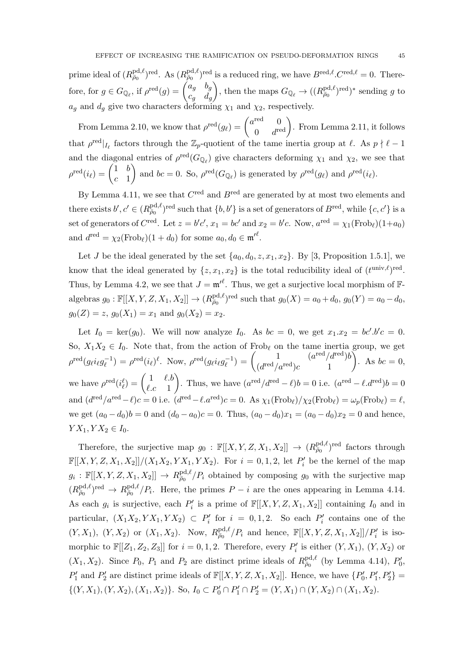prime ideal of  $(R_{\bar{\rho}_0}^{\text{pd},\ell})^{\text{red}}$ . As  $(R_{\bar{\rho}_0}^{\text{pd},\ell})^{\text{red}}$  is a reduced ring, we have  $B^{\text{red},\ell}$ .  $C^{\text{red},\ell} = 0$ . Therefore, for  $g \in G_{\mathbb{Q}_{\ell}}$ , if  $\rho^{\text{red}}(g) = \begin{pmatrix} a_g & b_g \\ c & d \end{pmatrix}$  $c_g$   $d_g$ ), then the maps  $G_{\mathbb{Q}_{\ell}} \to ((R_{\bar{\rho}_0}^{\text{pd}, \ell})^{\text{red}})^*$  sending g to  $a_g$  and  $d_g$  give two characters deforming  $\chi_1$  and  $\chi_2$ , respectively.

From Lemma 2.10, we know that  $\rho^{\text{red}}(g_{\ell}) = \begin{pmatrix} a^{\text{red}} & 0 \\ 0 & a^{\text{red}} \end{pmatrix}$  $\begin{pmatrix} 0 \ 0 & d^{\text{red}} \end{pmatrix}$ . From Lemma 2.11, it follows that  $\rho^{\text{red}}|_{I_\ell}$  factors through the  $\mathbb{Z}_p$ -quotient of the tame inertia group at  $\ell$ . As  $p \nmid \ell - 1$ and the diagonal entries of  $\rho^{\text{red}}(G_{\mathbb{Q}_\ell})$  give characters deforming  $\chi_1$  and  $\chi_2$ , we see that  $\rho^{\rm red}(i_\ell) = \begin{pmatrix} 1 & b \ c & 1 \end{pmatrix}$  $c<sub>-1</sub>$ ) and  $bc = 0$ . So,  $\rho^{\text{red}}(G_{\mathbb{Q}_\ell})$  is generated by  $\rho^{\text{red}}(g_\ell)$  and  $\rho^{\text{red}}(i_\ell)$ .

By Lemma 4.11, we see that  $C^{\text{red}}$  and  $B^{\text{red}}$  are generated by at most two elements and there exists  $b', c' \in (R^{\text{pd}, \ell}_{\overline{\rho}_0})^{\text{red}}$  such that  $\{b, b'\}$  is a set of generators of  $B^{\text{red}}$ , while  $\{c, c'\}$  is a set of generators of  $C^{\text{red}}$ . Let  $z = b'c'$ ,  $x_1 = bc'$  and  $x_2 = b'c$ . Now,  $a^{\text{red}} = \chi_1(\text{Frob}_\ell)(1+a_0)$ and  $d^{\text{red}} = \chi_2(\text{Frob}_\ell)(1 + d_0)$  for some  $a_0, d_0 \in \mathfrak{m'}^\ell$ .

Let J be the ideal generated by the set  $\{a_0, d_0, z, x_1, x_2\}$ . By [3, Proposition 1.5.1], we know that the ideal generated by  $\{z, x_1, x_2\}$  is the total reducibility ideal of  $(t^{\text{univ}, \ell})^{\text{red}}$ . Thus, by Lemma 4.2, we see that  $J = \mathfrak{m}^{\prime \ell}$ . Thus, we get a surjective local morphism of  $\mathbb{F}$ algebras  $g_0: \mathbb{F}[[X, Y, Z, X_1, X_2]] \to (R_{\bar{p}_0}^{\text{pd}, \ell})^{\text{red}}$  such that  $g_0(X) = a_0 + d_0$ ,  $g_0(Y) = a_0 - d_0$ ,  $g_0(Z) = z$ ,  $g_0(X_1) = x_1$  and  $g_0(X_2) = x_2$ .

Let  $I_0 = \text{ker}(g_0)$ . We will now analyze  $I_0$ . As  $bc = 0$ , we get  $x_1.x_2 = bc'.b'c = 0$ . So,  $X_1X_2 \in I_0$ . Note that, from the action of Frob<sub>l</sub> on the tame inertia group, we get  $\rho^{\rm red}(g_\ell i_\ell g_\ell^{-1}$  $\varrho_{\ell}^{-1}$ ) =  $\rho^{\text{red}}(i_{\ell})^{\ell}$ . Now,  $\rho^{\text{red}}(g_{\ell}i_{\ell}g_{\ell}^{-1})$  $\chi_{\ell}^{-1}) = \begin{pmatrix} 1 & (a^{\text{red}}/d^{\text{red}})b \ (d^{\text{red}}/d^{\text{red}})c & 1 \end{pmatrix}$  $(d^{\text{red}}/a^{\text{red}})c$  1 ). As  $bc = 0$ , we have  $\rho^{\text{red}}(i_{\ell}^{\ell}) = \begin{pmatrix} 1 & \ell.b \\ \ell.c & 1 \end{pmatrix}$  $\ell.c$  1 ). Thus, we have  $(a^{\text{red}}/d^{\text{red}} - \ell)b = 0$  i.e.  $(a^{\text{red}} - \ell.d^{\text{red}})b = 0$ and  $(d^{\text{red}}/a^{\text{red}} - \ell)c = 0$  i.e.  $(d^{\text{red}} - \ell.a^{\text{red}})c = 0$ . As  $\chi_1(\text{Frob}_{\ell})/\chi_2(\text{Frob}_{\ell}) = \omega_p(\text{Frob}_{\ell}) = \ell,$ we get  $(a_0 - d_0)b = 0$  and  $(d_0 - a_0)c = 0$ . Thus,  $(a_0 - d_0)x_1 = (a_0 - d_0)x_2 = 0$  and hence,  $Y X_1, Y X_2 \in I_0.$ 

Therefore, the surjective map  $g_0 : \mathbb{F}[[X, Y, Z, X_1, X_2]] \to (R_{\bar{\rho}_0}^{\text{pd}, \ell})^{\text{red}}$  factors through  $\mathbb{F}[[X,Y,Z,X_1,X_2]]/(X_1X_2, YX_1, YX_2)$ . For  $i = 0,1,2$ , let  $P'_i$  be the kernel of the map  $g_i : \mathbb{F}[[X, Y, Z, X_1, X_2]] \to R^{\text{pd}, \ell}_{\bar{\rho}_0}/P_i$  obtained by composing  $g_0$  with the surjective map  $(R_{\bar{\rho}_0}^{\text{pd},\ell})^{\text{red}} \to R_{\bar{\rho}_0}^{\text{pd},\ell}/P_i$ . Here, the primes  $P-i$  are the ones appearing in Lemma 4.14. As each  $g_i$  is surjective, each  $P'_i$  is a prime of  $\mathbb{F}[[X, Y, Z, X_1, X_2]]$  containing  $I_0$  and in particular,  $(X_1X_2, YX_1, YX_2) \subset P'_i$  for  $i = 0, 1, 2$ . So each  $P'_i$  contains one of the  $(Y, X_1)$ ,  $(Y, X_2)$  or  $(X_1, X_2)$ . Now,  $R_{\bar{\rho}_0}^{\text{pd}, \ell}/P_i$  and hence,  $\mathbb{F}[[X, Y, Z, X_1, X_2]]/P'_i$  is isomorphic to  $\mathbb{F}[[Z_1, Z_2, Z_3]]$  for  $i = 0, 1, 2$ . Therefore, every  $P'_i$  is either  $(Y, X_1)$ ,  $(Y, X_2)$  or  $(X_1, X_2)$ . Since  $P_0$ ,  $P_1$  and  $P_2$  are distinct prime ideals of  $R_{\bar{\rho}_0}^{\text{pd}, \ell}$  (by Lemma 4.14),  $P'_0$ ,  $P'_1$  and  $P'_2$  are distinct prime ideals of  $\mathbb{F}[[X, Y, Z, X_1, X_2]]$ . Hence, we have  $\{P'_0, P'_1, P'_2\}$  $\{(Y, X_1), (Y, X_2), (X_1, X_2)\}\.$  So,  $I_0 \subset P'_0 \cap P'_1 \cap P'_2 = (Y, X_1) \cap (Y, X_2) \cap (X_1, X_2).$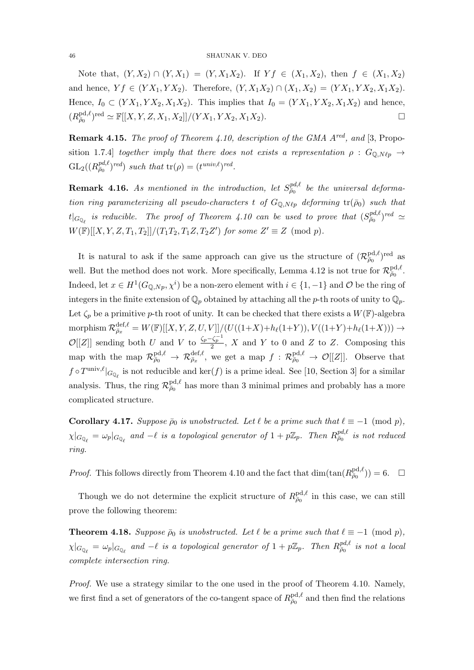Note that,  $(Y, X_2) \cap (Y, X_1) = (Y, X_1X_2)$ . If  $Yf \in (X_1, X_2)$ , then  $f \in (X_1, X_2)$ and hence,  $Y f \in (Y X_1, Y X_2)$ . Therefore,  $(Y, X_1 X_2) \cap (X_1, X_2) = (Y X_1, Y X_2, X_1 X_2)$ . Hence,  $I_0 \subset (YX_1, YX_2, X_1X_2)$ . This implies that  $I_0 = (YX_1, YX_2, X_1X_2)$  and hence,  $(R_{\bar{\rho}_0}^{\text{pd}, \ell})^{\text{red}} \simeq \mathbb{F}[[X, Y, Z, X_1, X_2]]/(Y X_1, Y X_2, X_1 X_2).$ 

**Remark 4.15.** The proof of Theorem 4.10, description of the GMA  $A^{red}$ , and [3, Proposition 1.7.4] together imply that there does not exists a representation  $\rho : G_{\mathbb{Q},N\ell p} \to$  $GL_2((R_{\bar{\rho}_0}^{pd,\ell})^{red})$  such that  $tr(\rho) = (t^{univ,\ell})^{red}$ .

**Remark 4.16.** As mentioned in the introduction, let  $S_{\bar{\rho}_0}^{pd,\ell}$  be the universal deformation ring parameterizing all pseudo-characters t of  $G_{\mathbb{Q},N\ell_p}$  deforming  $tr(\bar{\rho}_0)$  such that  $t|_{G_{\mathbb{Q}_{\ell}}}$  is reducible. The proof of Theorem 4.10 can be used to prove that  $(S_{\bar{\rho}_0}^{pd,\ell})^{red} \simeq$  $W(\mathbb{F})[[X, Y, Z, T_1, T_2]]/(T_1T_2, T_1Z, T_2Z')$  for some  $Z' \equiv Z \pmod{p}$ .

It is natural to ask if the same approach can give us the structure of  $(\mathcal{R}_{\bar{\rho}_0}^{\text{pd}, \ell})^{\text{red}}$  as well. But the method does not work. More specifically, Lemma 4.12 is not true for  $\mathcal{R}_{\bar{\rho}_0}^{\text{pd},\ell}$ . Indeed, let  $x \in H^1(G_{\mathbb{Q},Np}, \chi^i)$  be a non-zero element with  $i \in \{1, -1\}$  and  $\mathcal{O}$  be the ring of integers in the finite extension of  $\mathbb{Q}_p$  obtained by attaching all the p-th roots of unity to  $\mathbb{Q}_p$ . Let  $\zeta_p$  be a primitive p-th root of unity. It can be checked that there exists a  $W(\mathbb{F})$ -algebra morphism  $\mathcal{R}_{\bar{\rho}_x}^{\text{def},\ell} = W(\mathbb{F})[[X, Y, Z, U, V]]/(U((1+X)+h_{\ell}(1+Y)), V((1+Y)+h_{\ell}(1+X))) \rightarrow$  $\mathcal{O}[[Z]]$  sending both U and V to  $\frac{\zeta_p-\zeta_p^{-1}}{2}$ , X and Y to 0 and Z to Z. Composing this map with the map  $\mathcal{R}^{\text{pd},\ell}_{\bar{\rho}_0} \to \mathcal{R}^{\text{def},\ell}_{\bar{\rho}_x}$ , we get a map  $f: \mathcal{R}^{\text{pd},\ell}_{\bar{\rho}_0} \to \mathcal{O}[[Z]]$ . Observe that  $f \circ T^{\text{univ},\ell}|_{G_{\mathbb{Q}_\ell}}$  is not reducible and  $\ker(f)$  is a prime ideal. See [10, Section 3] for a similar analysis. Thus, the ring  $\mathcal{R}_{\bar{\rho}_0}^{\text{pd},\ell}$  has more than 3 minimal primes and probably has a more complicated structure.

**Corollary 4.17.** Suppose  $\bar{\rho}_0$  is unobstructed. Let  $\ell$  be a prime such that  $\ell \equiv -1 \pmod{p}$ ,  $\chi|_{G_{\mathbb{Q}_\ell}} = \omega_p|_{G_{\mathbb{Q}_\ell}}$  and  $-\ell$  is a topological generator of  $1 + p\mathbb{Z}_p$ . Then  $R_{\bar{\rho}_0}^{pd,\ell}$  is not reduced ring.

*Proof.* This follows directly from Theorem 4.10 and the fact that  $\dim(\tan(R_{\bar{\rho}_0}^{\text{pd}, \ell})) = 6.$ 

Though we do not determine the explicit structure of  $R_{\bar{\rho}_0}^{\text{pd},\ell}$  in this case, we can still prove the following theorem:

**Theorem 4.18.** Suppose  $\bar{\rho}_0$  is unobstructed. Let  $\ell$  be a prime such that  $\ell \equiv -1 \pmod{p}$ ,  $\chi|_{G_{\mathbb{Q}_\ell}} = \omega_p|_{G_{\mathbb{Q}_\ell}}$  and  $-\ell$  is a topological generator of  $1 + p\mathbb{Z}_p$ . Then  $R^{pd,\ell}_{\bar{\rho}_0}$  is not a local complete intersection ring.

Proof. We use a strategy similar to the one used in the proof of Theorem 4.10. Namely, we first find a set of generators of the co-tangent space of  $R_{\bar{\rho}_0}^{\text{pd},\ell}$  and then find the relations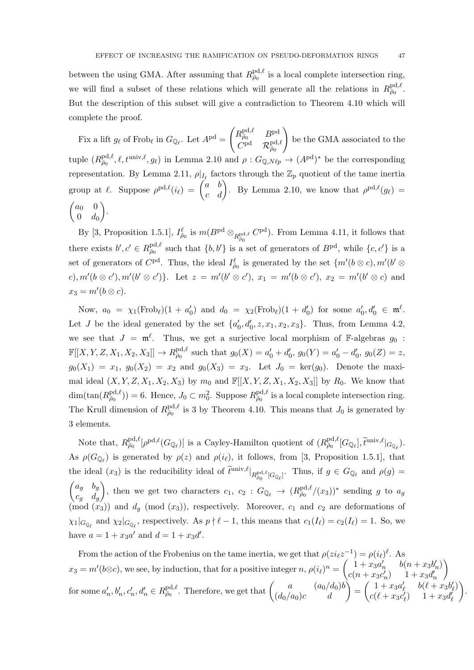between the using GMA. After assuming that  $R_{\bar{\rho}_0}^{\text{pd},\ell}$  is a local complete intersection ring, we will find a subset of these relations which will generate all the relations in  $R_{\bar{\rho}_0}^{\text{pd},\ell}$ . But the description of this subset will give a contradiction to Theorem 4.10 which will complete the proof.

Fix a lift  $g_{\ell}$  of Frob<sub> $\ell$ </sub> in  $G_{\mathbb{Q}_{\ell}}$ . Let  $A^{\text{pd}} =$  $\begin{pmatrix} R^{\text{pd},\ell}_{\bar\rho_0} & B^{\text{pd}} \end{pmatrix}$  $C^{\mathrm{pd} - } \mathcal{R}^{\mathrm{pd},\ell}_{\bar\rho_0}$  $\setminus$ be the GMA associated to the tuple  $(R_{\bar{\rho}_0}^{\text{pd},\ell}, \ell, t^{\text{univ},\ell}, g_\ell)$  in Lemma 2.10 and  $\rho: G_{\mathbb{Q},N\ell p} \to (A^{\text{pd}})^*$  be the corresponding representation. By Lemma 2.11,  $\rho|_{I_{\ell}}$  factors through the  $\mathbb{Z}_p$  quotient of the tame inertia group at  $\ell$ . Suppose  $\rho^{pd,\ell}(i_{\ell}) = \begin{pmatrix} a & b \\ c & d \end{pmatrix}$ . By Lemma 2.10, we know that  $\rho^{pd,\ell}(g_{\ell}) =$  $\int a_0$  0  $0 \quad d_0$ .

By [3, Proposition 1.5.1],  $I_{\bar{\rho}_0}^{\ell}$  is  $m(B^{\text{pd}} \otimes_{R_{\bar{\rho}_0}^{\text{pd}}, \ell} C^{\text{pd}})$ . From Lemma 4.11, it follows that there exists  $b', c' \in R^{\text{pd},\ell}_{\bar{\rho}_0}$  such that  $\{b, b'\}$  is a set of generators of  $B^{\text{pd}}$ , while  $\{c, c'\}$  is a set of generators of  $C^{pd}$ . Thus, the ideal  $I_{\bar{\rho}_0}^{\ell}$  is generated by the set  $\{m'(b\otimes c), m'(b'\otimes$ c),  $m'(b \otimes c')$ ,  $m'(b' \otimes c')$ . Let  $z = m'(b' \otimes c')$ ,  $x_1 = m'(b \otimes c')$ ,  $x_2 = m'(b' \otimes c)$  and  $x_3 = m'(b \otimes c).$ 

Now,  $a_0 = \chi_1(\text{Frob}_{\ell})(1 + a'_0)$  and  $d_0 = \chi_2(\text{Frob}_{\ell})(1 + d'_0)$  for some  $a'_0, d'_0 \in \mathfrak{m}^{\ell}$ . Let J be the ideal generated by the set  $\{a'_0, d'_0, z, x_1, x_2, x_3\}$ . Thus, from Lemma 4.2, we see that  $J = \mathfrak{m}^{\ell}$ . Thus, we get a surjective local morphism of F-algebras  $g_0$ :  $\mathbb{F}[[X,Y,Z,X_1,X_2,X_3]] \to R_{\bar{\rho}_0}^{\text{pd},\ell}$  such that  $g_0(X) = a'_0 + d'_0$ ,  $g_0(Y) = a'_0 - d'_0$ ,  $g_0(Z) = z$ ,  $g_0(X_1) = x_1, g_0(X_2) = x_2$  and  $g_0(X_3) = x_3$ . Let  $J_0 = \text{ker}(g_0)$ . Denote the maximal ideal  $(X, Y, Z, X_1, X_2, X_3)$  by  $m_0$  and  $\mathbb{F}[[X, Y, Z, X_1, X_2, X_3]]$  by  $R_0$ . We know that  $\dim(\tan(R_{\bar{\rho}_0}^{\text{pd},\ell})) = 6.$  Hence,  $J_0 \subset m_0^2$ . Suppose  $R_{\bar{\rho}_0}^{\text{pd},\ell}$  is a local complete intersection ring. The Krull dimension of  $R_{\bar{\rho}_0}^{\text{pd},\ell}$  is 3 by Theorem 4.10. This means that  $J_0$  is generated by 3 elements.

Note that,  $R^{\text{pd},\ell}_{\bar{\rho}_0}[\rho^{\text{pd},\ell}(G_{\mathbb{Q}_\ell})]$  is a Cayley-Hamilton quotient of  $(R^{\text{pd},\ell}_{\bar{\rho}_0}[G_{\mathbb{Q}_\ell}],\tilde{t}^{\text{univ},\ell}|_{G_{\mathbb{Q}_\ell}})$ . As  $\rho(G_{\mathbb{Q}_\ell})$  is generated by  $\rho(z)$  and  $\rho(i_\ell)$ , it follows, from [3, Proposition 1.5.1], that the ideal  $(x_3)$  is the reducibility ideal of  $\tilde{t}^{\text{univ},\ell}|_{R_{\rho_0}^{\text{pd},\ell}[G_{\mathbb{Q}_\ell}]}$ . Thus, if  $g \in G_{\mathbb{Q}_\ell}$  and  $\rho(g)$  =  $\begin{pmatrix} a_g & b_g \end{pmatrix}$  $c_g$   $d_g$ ), then we get two characters  $c_1, c_2 : G_{\mathbb{Q}_{\ell}} \to (R_{\overline{\rho}_0}^{\text{pd}, \ell}/(x_3))^*$  sending g to  $a_g$  $(\text{mod}~(x_3))$  and  $d_g$  (mod  $(x_3)$ ), respectively. Moreover,  $c_1$  and  $c_2$  are deformations of  $\chi_1|_{G_{\mathbb{Q}_\ell}}$  and  $\chi_2|_{G_{\mathbb{Q}_\ell}}$ , respectively. As  $p \nmid \ell - 1$ , this means that  $c_1(I_\ell) = c_2(I_\ell) = 1$ . So, we have  $a = 1 + x_3 a'$  and  $d = 1 + x_3 d'$ .

From the action of the Frobenius on the tame inertia, we get that  $\rho(zi_{\ell}z^{-1}) = \rho(i_{\ell})$  $^{\ell}$ . As  $x_3 = m'(b \otimes c)$ , we see, by induction, that for a positive integer  $n$ ,  $\rho(i_\ell)^n = \begin{pmatrix} 1 + x_3 a'_n & b(n + x_3 b'_n) \\ c(n + x_3 a'_n) & 1 + x_3 a'_n \end{pmatrix}$  $c(n + x_3c'_n)$   $1 + x_3d'_n$  $\setminus$  $\text{for some } a'_n, b'_n, c'_n, d'_n \in R^{\text{pd}, \ell}_{\bar{\rho}_0}$ . Therefore, we get that  $\begin{pmatrix} a & (a_0/d_0)b \\ (d_0/a_0)c & d \end{pmatrix} = \begin{pmatrix} 1 + x_3a'_\ell & b(\ell + x_3b'_\ell) \\ c(\ell + x_3c'_\ell) & 1 + x_3d'_\ell \end{pmatrix}$  $c(\ell + x_3c'_\ell)$   $1 + x_3d'_\ell$  $\setminus$ 

.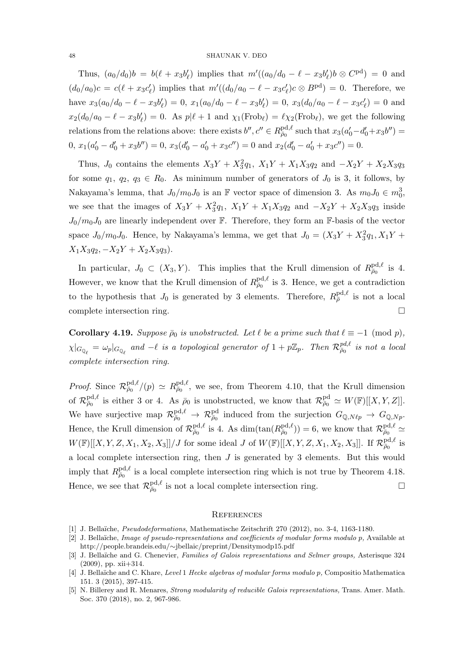Thus,  $(a_0/d_0)b = b(\ell + x_3b'_\ell)$  implies that  $m'((a_0/d_0 - \ell - x_3b'_\ell)b \otimes C^{\text{pd}}) = 0$  and  $(d_0/a_0)c = c(\ell + x_3c'_\ell)$  implies that  $m'((d_0/a_0 - \ell - x_3c'_\ell)c \otimes B^{\text{pd}}) = 0$ . Therefore, we have  $x_3(a_0/d_0 - \ell - x_3b'_\ell) = 0$ ,  $x_1(a_0/d_0 - \ell - x_3b'_\ell) = 0$ ,  $x_3(d_0/a_0 - \ell - x_3c'_\ell) = 0$  and  $x_2(d_0/a_0 - \ell - x_3b'_\ell) = 0$ . As  $p|\ell + 1$  and  $\chi_1(\text{Frob}_\ell) = \ell \chi_2(\text{Frob}_\ell)$ , we get the following relations from the relations above: there exists  $b'', c'' \in R^{\text{pd}, \ell}_{\bar{\rho}_0}$  such that  $x_3(a'_0 - d'_0 + x_3b'') =$ 0,  $x_1(a'_0 - d'_0 + x_3b'') = 0$ ,  $x_3(d'_0 - a'_0 + x_3c'') = 0$  and  $x_2(d'_0 - a'_0 + x_3c'') = 0$ .

Thus,  $J_0$  contains the elements  $X_3Y + X_3^2q_1$ ,  $X_1Y + X_1X_3q_2$  and  $-X_2Y + X_2X_3q_3$ for some  $q_1, q_2, q_3 \in R_0$ . As minimum number of generators of  $J_0$  is 3, it follows, by Nakayama's lemma, that  $J_0/m_0J_0$  is an F vector space of dimension 3. As  $m_0J_0 \in m_0^3$ , we see that the images of  $X_3Y + X_3^2q_1$ ,  $X_1Y + X_1X_3q_2$  and  $-X_2Y + X_2X_3q_3$  inside  $J_0/m_0J_0$  are linearly independent over F. Therefore, they form an F-basis of the vector space  $J_0/m_0J_0$ . Hence, by Nakayama's lemma, we get that  $J_0 = (X_3Y + X_3^2q_1, X_1Y +$  $X_1X_3q_2, -X_2Y + X_2X_3q_3$ .

In particular,  $J_0 \subset (X_3, Y)$ . This implies that the Krull dimension of  $R_{\bar{\rho}_0}^{\text{pd}, \ell}$  is 4. However, we know that the Krull dimension of  $R_{\bar{\rho}_0}^{\text{pd},\ell}$  is 3. Hence, we get a contradiction to the hypothesis that  $J_0$  is generated by 3 elements. Therefore,  $R_{\bar{\rho}}^{\text{pd},\ell}$  is not a local complete intersection ring.

**Corollary 4.19.** Suppose  $\bar{\rho}_0$  is unobstructed. Let  $\ell$  be a prime such that  $\ell \equiv -1 \pmod{p}$ ,  $\chi|_{G_{\mathbb{Q}_\ell}} = \omega_p|_{G_{\mathbb{Q}_\ell}}$  and  $-\ell$  is a topological generator of  $1 + p\mathbb{Z}_p$ . Then  $\mathcal{R}^{pd,\ell}_{\bar{\rho}_0}$  is not a local complete intersection ring.

*Proof.* Since  $\mathcal{R}^{\text{pd},\ell}_{\bar{\rho}_0}/(p) \simeq R^{\text{pd},\ell}_{\bar{\rho}_0}$ , we see, from Theorem 4.10, that the Krull dimension of  $\mathcal{R}^{\text{pd},\ell}_{\bar{\rho}_0}$  is either 3 or 4. As  $\bar{\rho}_0$  is unobstructed, we know that  $\mathcal{R}^{\text{pd}}_{\bar{\rho}_0} \simeq W(\mathbb{F})[[X,Y,Z]]$ . We have surjective map  $\mathcal{R}^{\text{pd},\ell}_{\bar{\rho}_0} \to \mathcal{R}^{\text{pd}}_{\bar{\rho}_0}$  induced from the surjection  $G_{\mathbb{Q},N\ell p} \to G_{\mathbb{Q},Np}$ . Hence, the Krull dimension of  $\mathcal{R}^{\text{pd},\ell}_{\bar{\rho}_0}$  is 4. As  $\dim(\tan(R^{\text{pd},\ell}_{\bar{\rho}_0})) = 6$ , we know that  $\mathcal{R}^{\text{pd},\ell}_{\bar{\rho}_0} \simeq$  $W(\mathbb{F})[[X,Y,Z,X_1,X_2,X_3]]/J$  for some ideal J of  $W(\mathbb{F})[[X,Y,Z,X_1,X_2,X_3]]$ . If  $\mathcal{R}_{\bar{\rho}_0}^{\text{pd},\ell}$  is a local complete intersection ring, then  $J$  is generated by 3 elements. But this would imply that  $R_{\bar{\rho}_0}^{\text{pd},\ell}$  is a local complete intersection ring which is not true by Theorem 4.18. Hence, we see that  $\mathcal{R}^{\text{pd},\ell}_{\bar{\rho}_0}$  is not a local complete intersection ring.

#### **REFERENCES**

- [1] J. Bella¨ıche, Pseudodeformations, Mathematische Zeitschrift 270 (2012), no. 3-4, 1163-1180.
- [2] J. Bellaïche, *Image of pseudo-representations and coefficients of modular forms modulo p*, Available at http://people.brandeis.edu/∼jbellaic/preprint/Densitymodp15.pdf
- [3] J. Bellaïche and G. Chenevier, Families of Galois representations and Selmer groups, Asterisque 324 (2009), pp. xii+314.
- [4] J. Bellaïche and C. Khare, Level 1 Hecke algebras of modular forms modulo p, Compositio Mathematica 151. 3 (2015), 397-415.
- [5] N. Billerey and R. Menares, *Strong modularity of reducible Galois representations*, Trans. Amer. Math. Soc. 370 (2018), no. 2, 967-986.